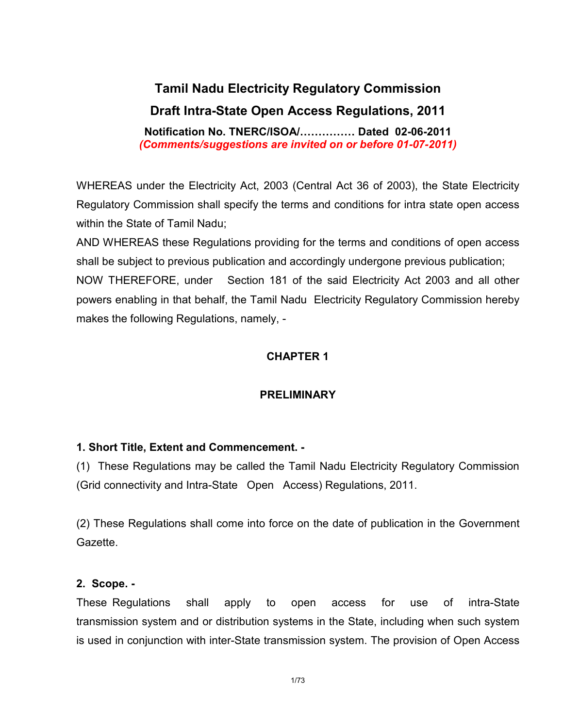# Tamil Nadu Electricity Regulatory Commission Draft Intra-State Open Access Regulations, 2011

Notification No. TNERC/ISOA/…………… Dated 02-06-2011 (Comments/suggestions are invited on or before 01-07-2011)

WHEREAS under the Electricity Act, 2003 (Central Act 36 of 2003), the State Electricity Regulatory Commission shall specify the terms and conditions for intra state open access within the State of Tamil Nadu;

AND WHEREAS these Regulations providing for the terms and conditions of open access shall be subject to previous publication and accordingly undergone previous publication; NOW THEREFORE, under Section 181 of the said Electricity Act 2003 and all other powers enabling in that behalf, the Tamil Nadu Electricity Regulatory Commission hereby makes the following Regulations, namely, -

# CHAPTER 1

### PRELIMINARY

### 1. Short Title, Extent and Commencement. -

(1) These Regulations may be called the Tamil Nadu Electricity Regulatory Commission (Grid connectivity and Intra-State Open Access) Regulations, 2011.

(2) These Regulations shall come into force on the date of publication in the Government Gazette.

### 2. Scope. -

These Regulations shall apply to open access for use of intra-State transmission system and or distribution systems in the State, including when such system is used in conjunction with inter-State transmission system. The provision of Open Access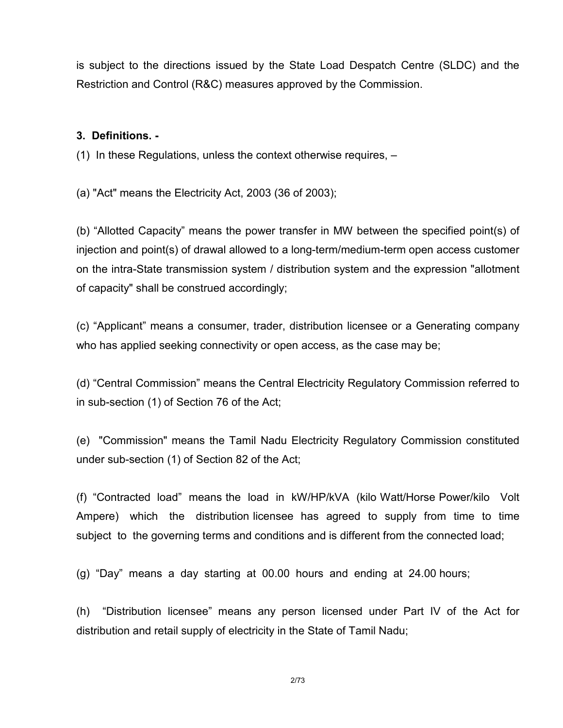is subject to the directions issued by the State Load Despatch Centre (SLDC) and the Restriction and Control (R&C) measures approved by the Commission.

### 3. Definitions. -

(1) In these Regulations, unless the context otherwise requires, –

(a) "Act" means the Electricity Act, 2003 (36 of 2003);

(b) "Allotted Capacity" means the power transfer in MW between the specified point(s) of injection and point(s) of drawal allowed to a long-term/medium-term open access customer on the intra-State transmission system / distribution system and the expression "allotment of capacity" shall be construed accordingly;

(c) "Applicant" means a consumer, trader, distribution licensee or a Generating company who has applied seeking connectivity or open access, as the case may be;

(d) "Central Commission" means the Central Electricity Regulatory Commission referred to in sub-section (1) of Section 76 of the Act;

(e) "Commission" means the Tamil Nadu Electricity Regulatory Commission constituted under sub-section (1) of Section 82 of the Act;

(f) "Contracted load" means the load in kW/HP/kVA (kilo Watt/Horse Power/kilo Volt Ampere) which the distribution licensee has agreed to supply from time to time subject to the governing terms and conditions and is different from the connected load;

(g) "Day" means a day starting at 00.00 hours and ending at 24.00 hours;

(h) "Distribution licensee" means any person licensed under Part IV of the Act for distribution and retail supply of electricity in the State of Tamil Nadu;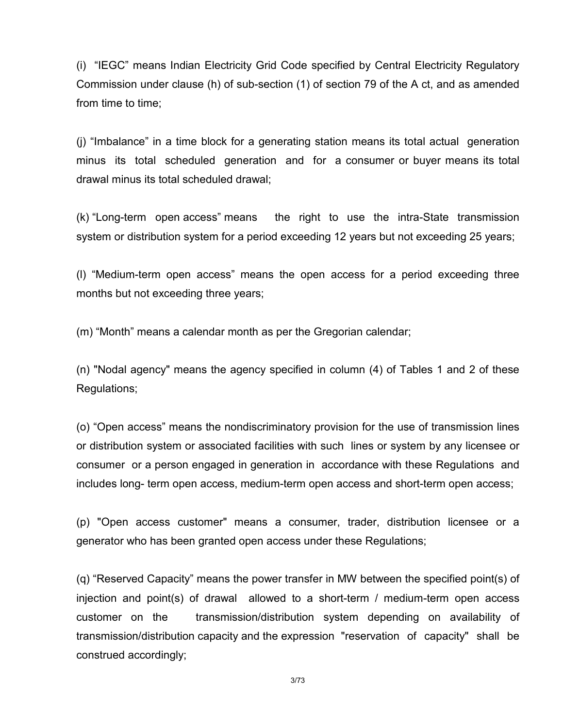(i) "IEGC" means Indian Electricity Grid Code specified by Central Electricity Regulatory Commission under clause (h) of sub-section (1) of section 79 of the A ct, and as amended from time to time;

(j) "Imbalance" in a time block for a generating station means its total actual generation minus its total scheduled generation and for a consumer or buyer means its total drawal minus its total scheduled drawal;

(k) "Long-term open access" means the right to use the intra-State transmission system or distribution system for a period exceeding 12 years but not exceeding 25 years;

(l) "Medium-term open access" means the open access for a period exceeding three months but not exceeding three years;

(m) "Month" means a calendar month as per the Gregorian calendar;

(n) "Nodal agency" means the agency specified in column (4) of Tables 1 and 2 of these Regulations;

(o) "Open access" means the nondiscriminatory provision for the use of transmission lines or distribution system or associated facilities with such lines or system by any licensee or consumer or a person engaged in generation in accordance with these Regulations and includes long- term open access, medium-term open access and short-term open access;

(p) "Open access customer" means a consumer, trader, distribution licensee or a generator who has been granted open access under these Regulations;

(q) "Reserved Capacity" means the power transfer in MW between the specified point(s) of injection and point(s) of drawal allowed to a short-term / medium-term open access customer on the transmission/distribution system depending on availability of transmission/distribution capacity and the expression "reservation of capacity" shall be construed accordingly;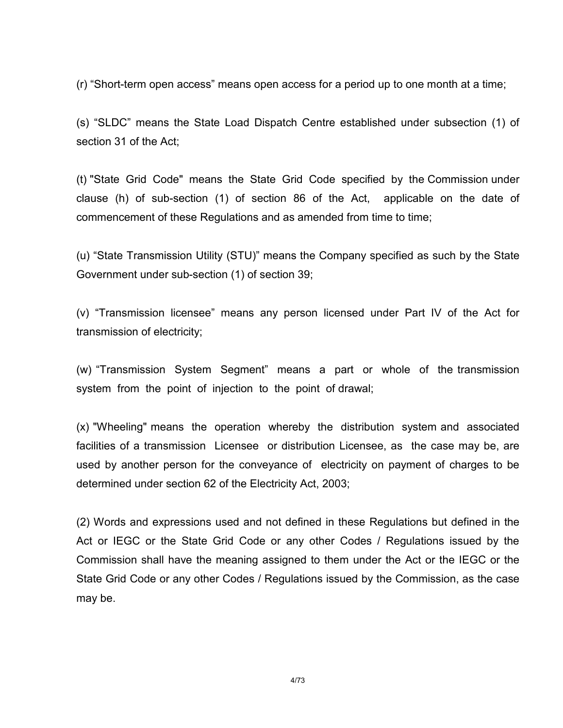(r) "Short-term open access" means open access for a period up to one month at a time;

(s) "SLDC" means the State Load Dispatch Centre established under subsection (1) of section 31 of the Act;

(t) "State Grid Code" means the State Grid Code specified by the Commission under clause (h) of sub-section (1) of section 86 of the Act, applicable on the date of commencement of these Regulations and as amended from time to time;

(u) "State Transmission Utility (STU)" means the Company specified as such by the State Government under sub-section (1) of section 39;

(v) "Transmission licensee" means any person licensed under Part IV of the Act for transmission of electricity;

(w) "Transmission System Segment" means a part or whole of the transmission system from the point of injection to the point of drawal;

(x) "Wheeling" means the operation whereby the distribution system and associated facilities of a transmission Licensee or distribution Licensee, as the case may be, are used by another person for the conveyance of electricity on payment of charges to be determined under section 62 of the Electricity Act, 2003;

(2) Words and expressions used and not defined in these Regulations but defined in the Act or IEGC or the State Grid Code or any other Codes / Regulations issued by the Commission shall have the meaning assigned to them under the Act or the IEGC or the State Grid Code or any other Codes / Regulations issued by the Commission, as the case may be.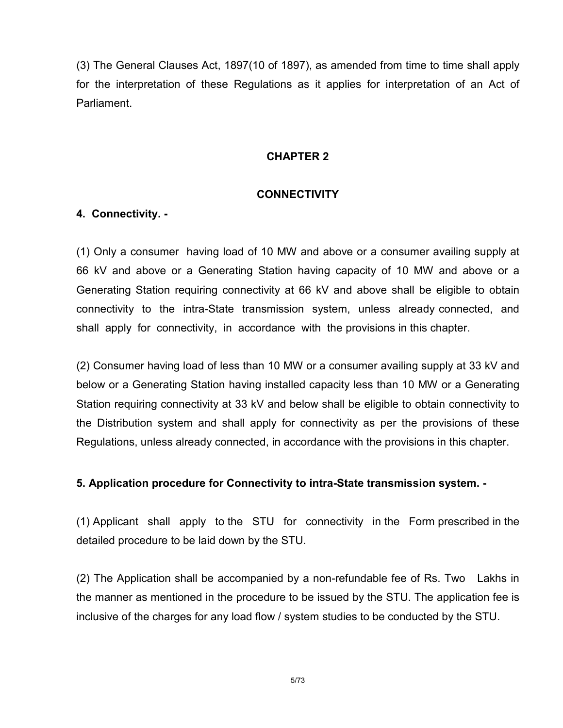(3) The General Clauses Act, 1897(10 of 1897), as amended from time to time shall apply for the interpretation of these Regulations as it applies for interpretation of an Act of **Parliament** 

### CHAPTER 2

### **CONNECTIVITY**

# 4. Connectivity. -

(1) Only a consumer having load of 10 MW and above or a consumer availing supply at 66 kV and above or a Generating Station having capacity of 10 MW and above or a Generating Station requiring connectivity at 66 kV and above shall be eligible to obtain connectivity to the intra-State transmission system, unless already connected, and shall apply for connectivity, in accordance with the provisions in this chapter.

(2) Consumer having load of less than 10 MW or a consumer availing supply at 33 kV and below or a Generating Station having installed capacity less than 10 MW or a Generating Station requiring connectivity at 33 kV and below shall be eligible to obtain connectivity to the Distribution system and shall apply for connectivity as per the provisions of these Regulations, unless already connected, in accordance with the provisions in this chapter.

### 5. Application procedure for Connectivity to intra-State transmission system. -

(1) Applicant shall apply to the STU for connectivity in the Form prescribed in the detailed procedure to be laid down by the STU.

(2) The Application shall be accompanied by a non-refundable fee of Rs. Two Lakhs in the manner as mentioned in the procedure to be issued by the STU. The application fee is inclusive of the charges for any load flow / system studies to be conducted by the STU.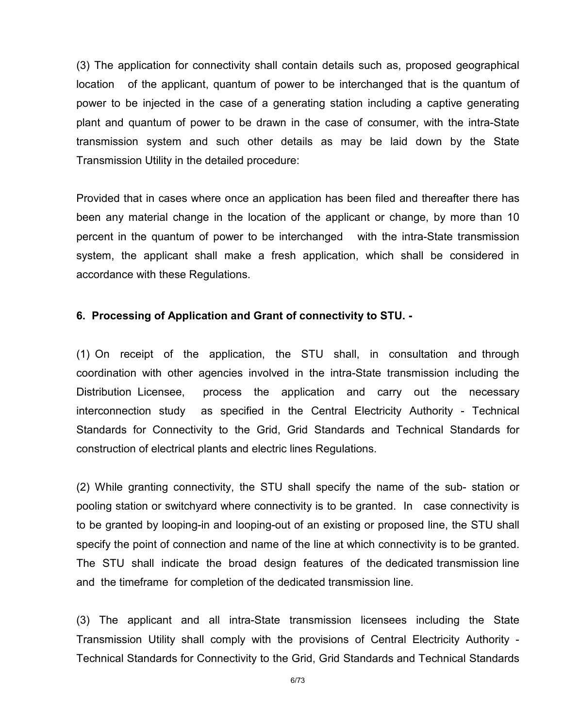(3) The application for connectivity shall contain details such as, proposed geographical location of the applicant, quantum of power to be interchanged that is the quantum of power to be injected in the case of a generating station including a captive generating plant and quantum of power to be drawn in the case of consumer, with the intra-State transmission system and such other details as may be laid down by the State Transmission Utility in the detailed procedure:

Provided that in cases where once an application has been filed and thereafter there has been any material change in the location of the applicant or change, by more than 10 percent in the quantum of power to be interchanged with the intra-State transmission system, the applicant shall make a fresh application, which shall be considered in accordance with these Regulations.

### 6. Processing of Application and Grant of connectivity to STU. -

(1) On receipt of the application, the STU shall, in consultation and through coordination with other agencies involved in the intra-State transmission including the Distribution Licensee, process the application and carry out the necessary interconnection study as specified in the Central Electricity Authority - Technical Standards for Connectivity to the Grid, Grid Standards and Technical Standards for construction of electrical plants and electric lines Regulations.

(2) While granting connectivity, the STU shall specify the name of the sub- station or pooling station or switchyard where connectivity is to be granted. In case connectivity is to be granted by looping-in and looping-out of an existing or proposed line, the STU shall specify the point of connection and name of the line at which connectivity is to be granted. The STU shall indicate the broad design features of the dedicated transmission line and the timeframe for completion of the dedicated transmission line.

(3) The applicant and all intra-State transmission licensees including the State Transmission Utility shall comply with the provisions of Central Electricity Authority - Technical Standards for Connectivity to the Grid, Grid Standards and Technical Standards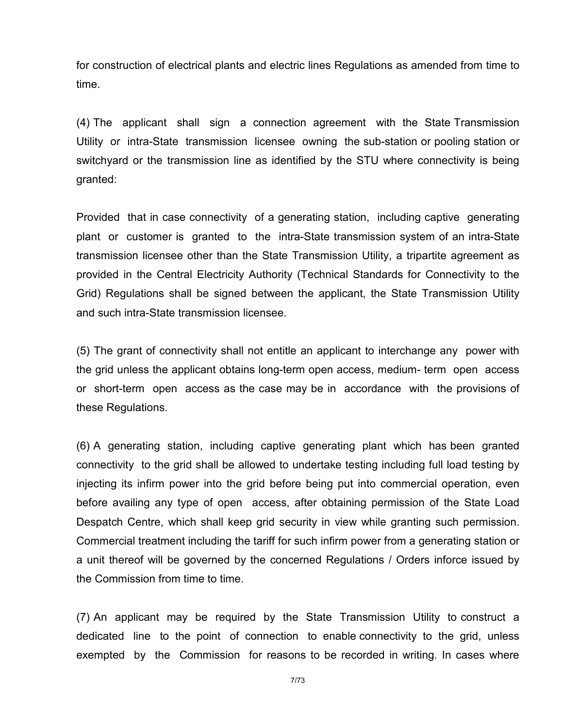for construction of electrical plants and electric lines Regulations as amended from time to time.

(4) The applicant shall sign a connection agreement with the State Transmission Utility or intra-State transmission licensee owning the sub-station or pooling station or switchyard or the transmission line as identified by the STU where connectivity is being granted:

Provided that in case connectivity of a generating station, including captive generating plant or customer is granted to the intra-State transmission system of an intra-State transmission licensee other than the State Transmission Utility, a tripartite agreement as provided in the Central Electricity Authority (Technical Standards for Connectivity to the Grid) Regulations shall be signed between the applicant, the State Transmission Utility and such intra-State transmission licensee.

(5) The grant of connectivity shall not entitle an applicant to interchange any power with the grid unless the applicant obtains long-term open access, medium- term open access or short-term open access as the case may be in accordance with the provisions of these Regulations.

(6) A generating station, including captive generating plant which has been granted connectivity to the grid shall be allowed to undertake testing including full load testing by injecting its infirm power into the grid before being put into commercial operation, even before availing any type of open access, after obtaining permission of the State Load Despatch Centre, which shall keep grid security in view while granting such permission. Commercial treatment including the tariff for such infirm power from a generating station or a unit thereof will be governed by the concerned Regulations / Orders inforce issued by the Commission from time to time.

(7) An applicant may be required by the State Transmission Utility to construct a dedicated line to the point of connection to enable connectivity to the grid, unless exempted by the Commission for reasons to be recorded in writing. In cases where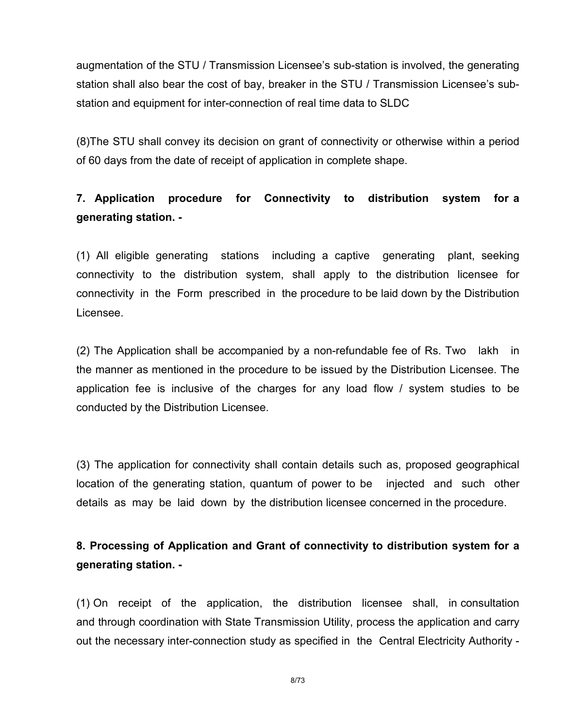augmentation of the STU / Transmission Licensee's sub-station is involved, the generating station shall also bear the cost of bay, breaker in the STU / Transmission Licensee's substation and equipment for inter-connection of real time data to SLDC

(8)The STU shall convey its decision on grant of connectivity or otherwise within a period of 60 days from the date of receipt of application in complete shape.

# 7. Application procedure for Connectivity to distribution system for a generating station. -

(1) All eligible generating stations including a captive generating plant, seeking connectivity to the distribution system, shall apply to the distribution licensee for connectivity in the Form prescribed in the procedure to be laid down by the Distribution Licensee.

(2) The Application shall be accompanied by a non-refundable fee of Rs. Two lakh in the manner as mentioned in the procedure to be issued by the Distribution Licensee. The application fee is inclusive of the charges for any load flow / system studies to be conducted by the Distribution Licensee.

(3) The application for connectivity shall contain details such as, proposed geographical location of the generating station, quantum of power to be injected and such other details as may be laid down by the distribution licensee concerned in the procedure.

8. Processing of Application and Grant of connectivity to distribution system for a generating station. -

(1) On receipt of the application, the distribution licensee shall, in consultation and through coordination with State Transmission Utility, process the application and carry out the necessary inter-connection study as specified in the Central Electricity Authority -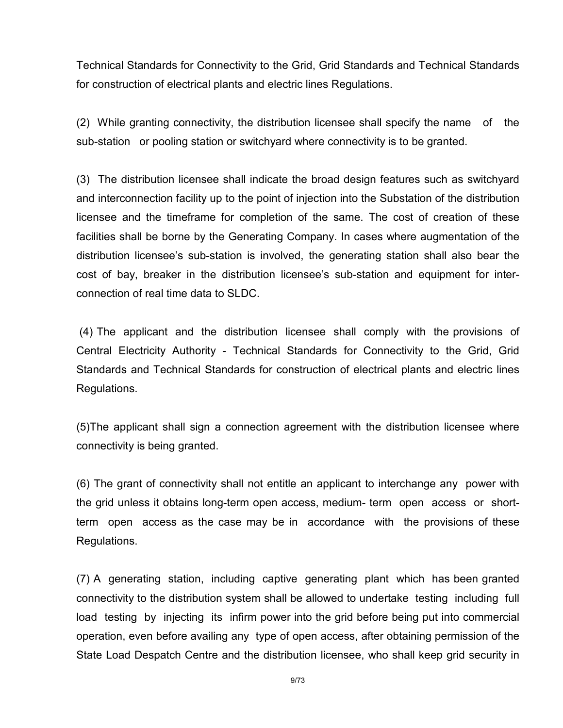Technical Standards for Connectivity to the Grid, Grid Standards and Technical Standards for construction of electrical plants and electric lines Regulations.

(2) While granting connectivity, the distribution licensee shall specify the name of the sub-station or pooling station or switchyard where connectivity is to be granted.

(3) The distribution licensee shall indicate the broad design features such as switchyard and interconnection facility up to the point of injection into the Substation of the distribution licensee and the timeframe for completion of the same. The cost of creation of these facilities shall be borne by the Generating Company. In cases where augmentation of the distribution licensee's sub-station is involved, the generating station shall also bear the cost of bay, breaker in the distribution licensee's sub-station and equipment for interconnection of real time data to SLDC.

 (4) The applicant and the distribution licensee shall comply with the provisions of Central Electricity Authority - Technical Standards for Connectivity to the Grid, Grid Standards and Technical Standards for construction of electrical plants and electric lines Regulations.

(5)The applicant shall sign a connection agreement with the distribution licensee where connectivity is being granted.

(6) The grant of connectivity shall not entitle an applicant to interchange any power with the grid unless it obtains long-term open access, medium- term open access or shortterm open access as the case may be in accordance with the provisions of these Regulations.

(7) A generating station, including captive generating plant which has been granted connectivity to the distribution system shall be allowed to undertake testing including full load testing by injecting its infirm power into the grid before being put into commercial operation, even before availing any type of open access, after obtaining permission of the State Load Despatch Centre and the distribution licensee, who shall keep grid security in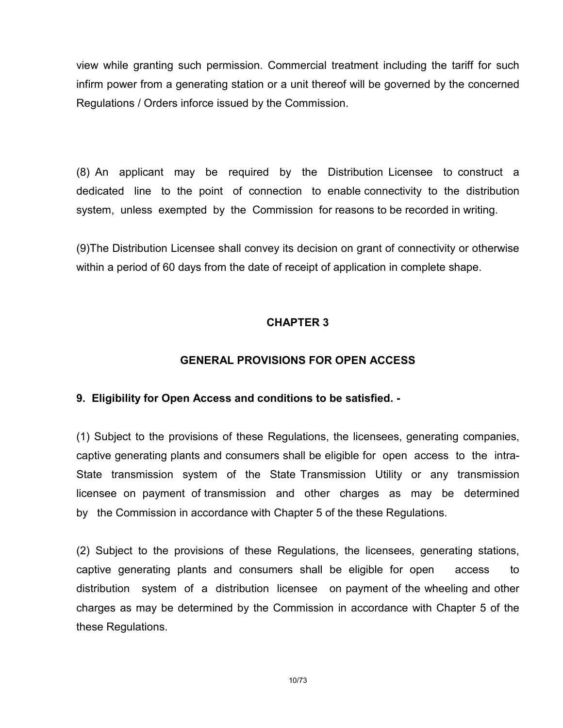view while granting such permission. Commercial treatment including the tariff for such infirm power from a generating station or a unit thereof will be governed by the concerned Regulations / Orders inforce issued by the Commission.

(8) An applicant may be required by the Distribution Licensee to construct a dedicated line to the point of connection to enable connectivity to the distribution system, unless exempted by the Commission for reasons to be recorded in writing.

(9)The Distribution Licensee shall convey its decision on grant of connectivity or otherwise within a period of 60 days from the date of receipt of application in complete shape.

# CHAPTER 3

# GENERAL PROVISIONS FOR OPEN ACCESS

### 9. Eligibility for Open Access and conditions to be satisfied. -

(1) Subject to the provisions of these Regulations, the licensees, generating companies, captive generating plants and consumers shall be eligible for open access to the intra-State transmission system of the State Transmission Utility or any transmission licensee on payment of transmission and other charges as may be determined by the Commission in accordance with Chapter 5 of the these Regulations.

(2) Subject to the provisions of these Regulations, the licensees, generating stations, captive generating plants and consumers shall be eligible for open access to distribution system of a distribution licensee on payment of the wheeling and other charges as may be determined by the Commission in accordance with Chapter 5 of the these Regulations.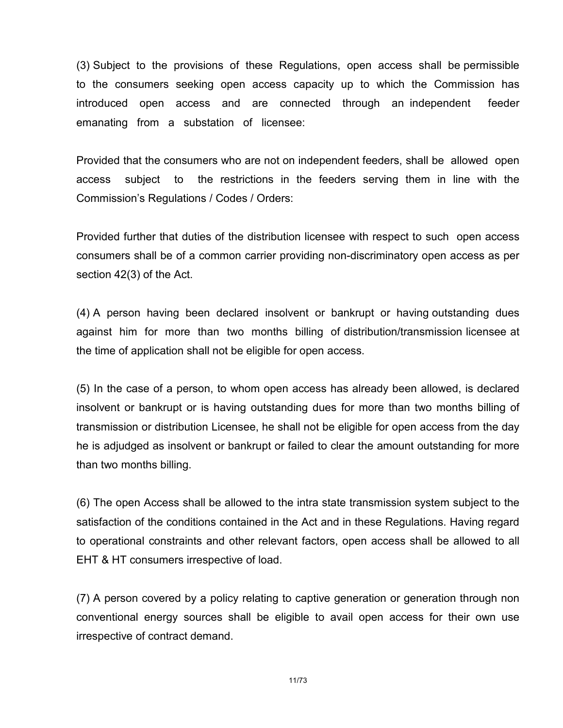(3) Subject to the provisions of these Regulations, open access shall be permissible to the consumers seeking open access capacity up to which the Commission has introduced open access and are connected through an independent feeder emanating from a substation of licensee:

Provided that the consumers who are not on independent feeders, shall be allowed open access subject to the restrictions in the feeders serving them in line with the Commission's Regulations / Codes / Orders:

Provided further that duties of the distribution licensee with respect to such open access consumers shall be of a common carrier providing non-discriminatory open access as per section 42(3) of the Act.

(4) A person having been declared insolvent or bankrupt or having outstanding dues against him for more than two months billing of distribution/transmission licensee at the time of application shall not be eligible for open access.

(5) In the case of a person, to whom open access has already been allowed, is declared insolvent or bankrupt or is having outstanding dues for more than two months billing of transmission or distribution Licensee, he shall not be eligible for open access from the day he is adjudged as insolvent or bankrupt or failed to clear the amount outstanding for more than two months billing.

(6) The open Access shall be allowed to the intra state transmission system subject to the satisfaction of the conditions contained in the Act and in these Regulations. Having regard to operational constraints and other relevant factors, open access shall be allowed to all EHT & HT consumers irrespective of load.

(7) A person covered by a policy relating to captive generation or generation through non conventional energy sources shall be eligible to avail open access for their own use irrespective of contract demand.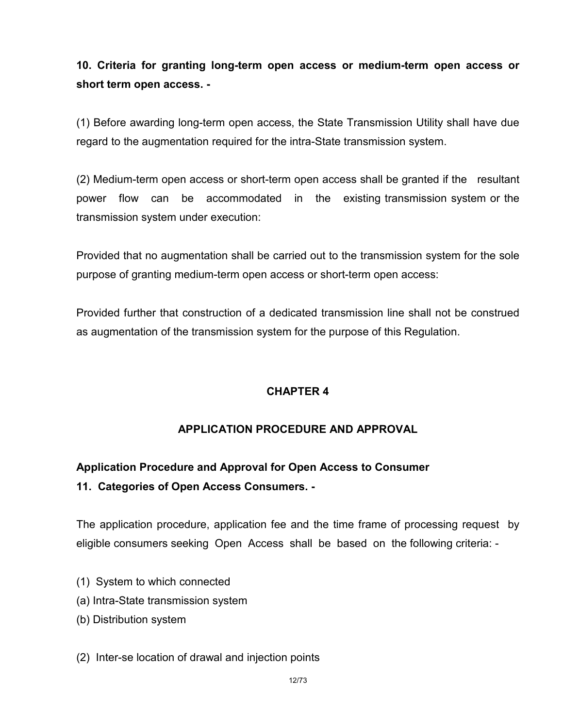10. Criteria for granting long-term open access or medium-term open access or short term open access. -

(1) Before awarding long-term open access, the State Transmission Utility shall have due regard to the augmentation required for the intra-State transmission system.

(2) Medium-term open access or short-term open access shall be granted if the resultant power flow can be accommodated in the existing transmission system or the transmission system under execution:

Provided that no augmentation shall be carried out to the transmission system for the sole purpose of granting medium-term open access or short-term open access:

Provided further that construction of a dedicated transmission line shall not be construed as augmentation of the transmission system for the purpose of this Regulation.

# CHAPTER 4

# APPLICATION PROCEDURE AND APPROVAL

# Application Procedure and Approval for Open Access to Consumer 11. Categories of Open Access Consumers. -

The application procedure, application fee and the time frame of processing request by eligible consumers seeking Open Access shall be based on the following criteria: -

- (1) System to which connected
- (a) Intra-State transmission system
- (b) Distribution system

### (2) Inter-se location of drawal and injection points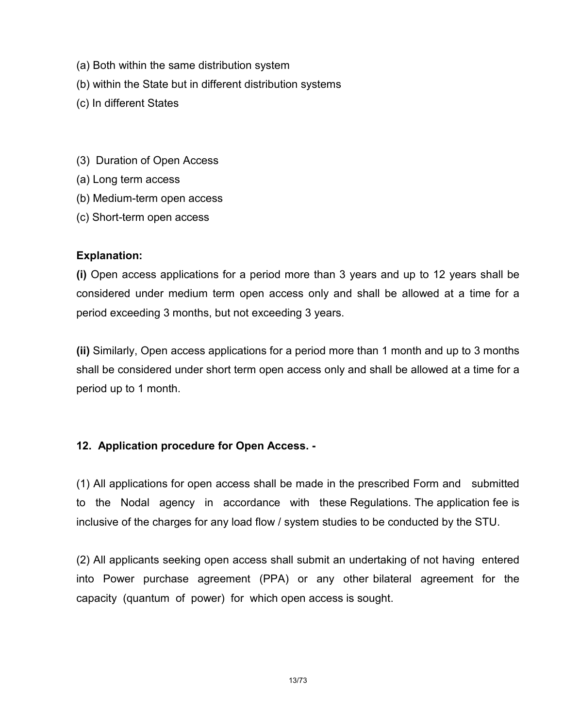- (a) Both within the same distribution system
- (b) within the State but in different distribution systems
- (c) In different States
- (3) Duration of Open Access
- (a) Long term access
- (b) Medium-term open access
- (c) Short-term open access

# Explanation:

(i) Open access applications for a period more than 3 years and up to 12 years shall be considered under medium term open access only and shall be allowed at a time for a period exceeding 3 months, but not exceeding 3 years.

(ii) Similarly, Open access applications for a period more than 1 month and up to 3 months shall be considered under short term open access only and shall be allowed at a time for a period up to 1 month.

# 12. Application procedure for Open Access. -

(1) All applications for open access shall be made in the prescribed Form and submitted to the Nodal agency in accordance with these Regulations. The application fee is inclusive of the charges for any load flow / system studies to be conducted by the STU.

(2) All applicants seeking open access shall submit an undertaking of not having entered into Power purchase agreement (PPA) or any other bilateral agreement for the capacity (quantum of power) for which open access is sought.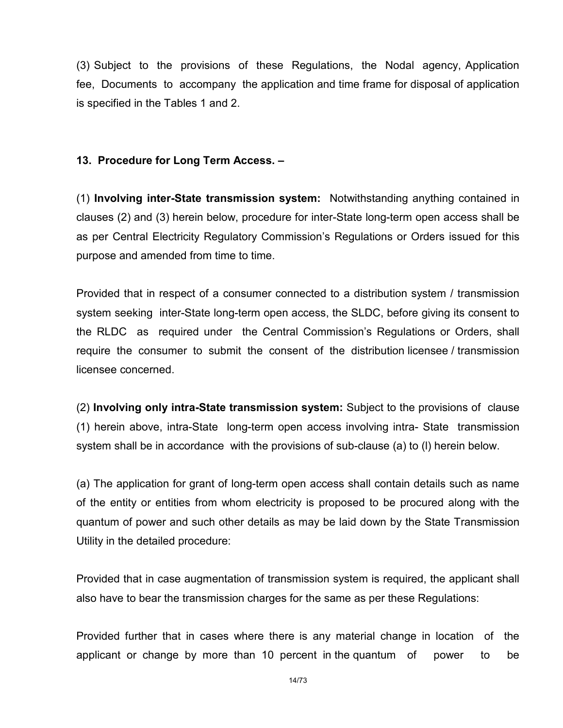(3) Subject to the provisions of these Regulations, the Nodal agency, Application fee, Documents to accompany the application and time frame for disposal of application is specified in the Tables 1 and 2.

### 13. Procedure for Long Term Access. –

(1) Involving inter-State transmission system: Notwithstanding anything contained in clauses (2) and (3) herein below, procedure for inter-State long-term open access shall be as per Central Electricity Regulatory Commission's Regulations or Orders issued for this purpose and amended from time to time.

Provided that in respect of a consumer connected to a distribution system / transmission system seeking inter-State long-term open access, the SLDC, before giving its consent to the RLDC as required under the Central Commission's Regulations or Orders, shall require the consumer to submit the consent of the distribution licensee / transmission licensee concerned.

(2) Involving only intra-State transmission system: Subject to the provisions of clause (1) herein above, intra-State long-term open access involving intra- State transmission system shall be in accordance with the provisions of sub-clause (a) to (l) herein below.

(a) The application for grant of long-term open access shall contain details such as name of the entity or entities from whom electricity is proposed to be procured along with the quantum of power and such other details as may be laid down by the State Transmission Utility in the detailed procedure:

Provided that in case augmentation of transmission system is required, the applicant shall also have to bear the transmission charges for the same as per these Regulations:

Provided further that in cases where there is any material change in location of the applicant or change by more than 10 percent in the quantum of power to be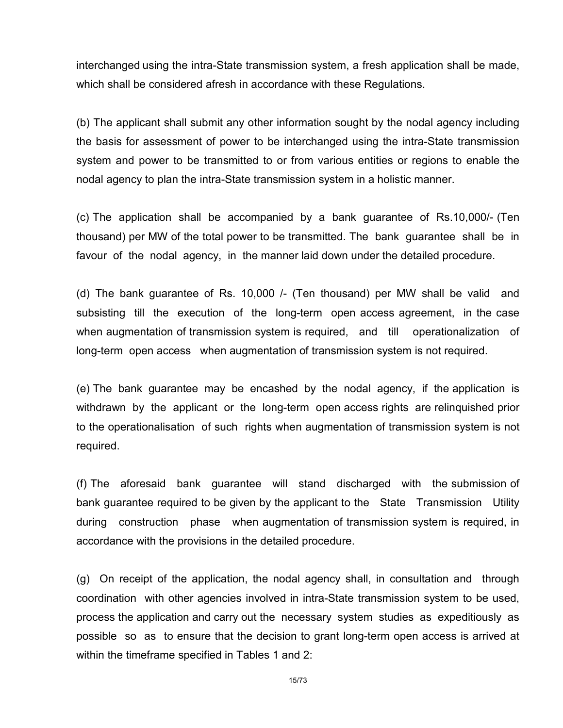interchanged using the intra-State transmission system, a fresh application shall be made, which shall be considered afresh in accordance with these Regulations.

(b) The applicant shall submit any other information sought by the nodal agency including the basis for assessment of power to be interchanged using the intra-State transmission system and power to be transmitted to or from various entities or regions to enable the nodal agency to plan the intra-State transmission system in a holistic manner.

(c) The application shall be accompanied by a bank guarantee of Rs.10,000/- (Ten thousand) per MW of the total power to be transmitted. The bank guarantee shall be in favour of the nodal agency, in the manner laid down under the detailed procedure.

(d) The bank guarantee of Rs. 10,000 /- (Ten thousand) per MW shall be valid and subsisting till the execution of the long-term open access agreement, in the case when augmentation of transmission system is required, and till operationalization of long-term open access when augmentation of transmission system is not required.

(e) The bank guarantee may be encashed by the nodal agency, if the application is withdrawn by the applicant or the long-term open access rights are relinquished prior to the operationalisation of such rights when augmentation of transmission system is not required.

(f) The aforesaid bank guarantee will stand discharged with the submission of bank guarantee required to be given by the applicant to the State Transmission Utility during construction phase when augmentation of transmission system is required, in accordance with the provisions in the detailed procedure.

(g) On receipt of the application, the nodal agency shall, in consultation and through coordination with other agencies involved in intra-State transmission system to be used, process the application and carry out the necessary system studies as expeditiously as possible so as to ensure that the decision to grant long-term open access is arrived at within the timeframe specified in Tables 1 and 2: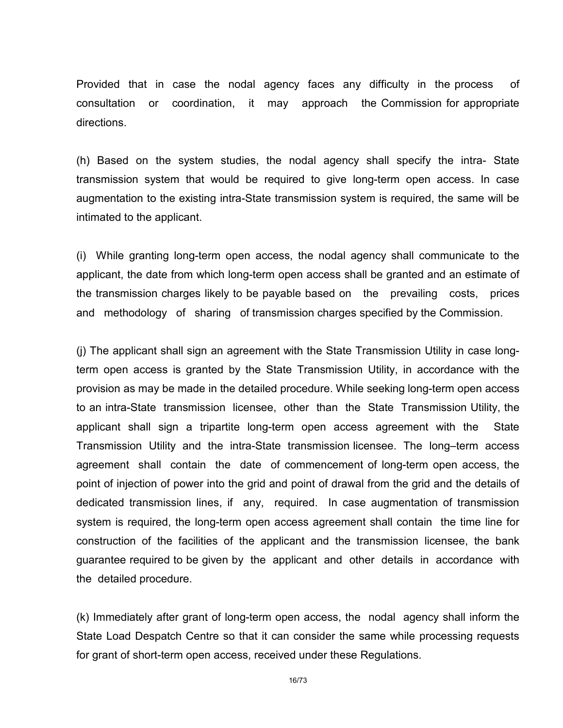Provided that in case the nodal agency faces any difficulty in the process of consultation or coordination, it may approach the Commission for appropriate directions.

(h) Based on the system studies, the nodal agency shall specify the intra- State transmission system that would be required to give long-term open access. In case augmentation to the existing intra-State transmission system is required, the same will be intimated to the applicant.

(i) While granting long-term open access, the nodal agency shall communicate to the applicant, the date from which long-term open access shall be granted and an estimate of the transmission charges likely to be payable based on the prevailing costs, prices and methodology of sharing of transmission charges specified by the Commission.

(j) The applicant shall sign an agreement with the State Transmission Utility in case longterm open access is granted by the State Transmission Utility, in accordance with the provision as may be made in the detailed procedure. While seeking long-term open access to an intra-State transmission licensee, other than the State Transmission Utility, the applicant shall sign a tripartite long-term open access agreement with the State Transmission Utility and the intra-State transmission licensee. The long–term access agreement shall contain the date of commencement of long-term open access, the point of injection of power into the grid and point of drawal from the grid and the details of dedicated transmission lines, if any, required. In case augmentation of transmission system is required, the long-term open access agreement shall contain the time line for construction of the facilities of the applicant and the transmission licensee, the bank guarantee required to be given by the applicant and other details in accordance with the detailed procedure.

(k) Immediately after grant of long-term open access, the nodal agency shall inform the State Load Despatch Centre so that it can consider the same while processing requests for grant of short-term open access, received under these Regulations.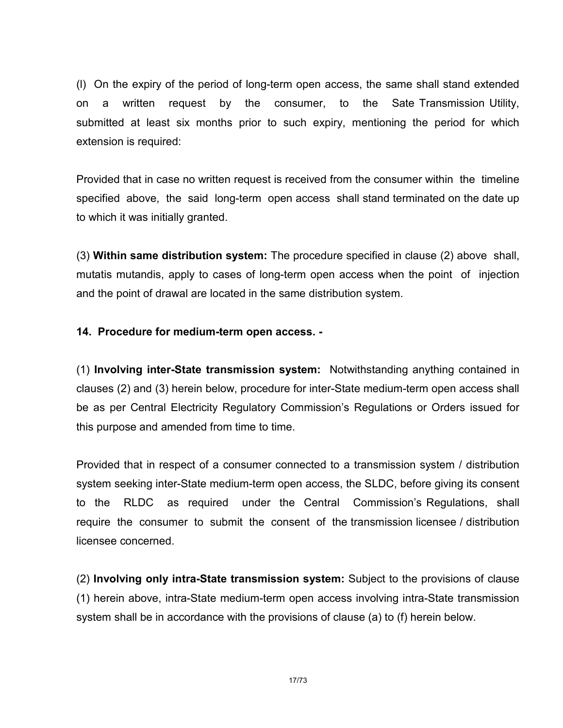(l) On the expiry of the period of long-term open access, the same shall stand extended on a written request by the consumer, to the Sate Transmission Utility, submitted at least six months prior to such expiry, mentioning the period for which extension is required:

Provided that in case no written request is received from the consumer within the timeline specified above, the said long-term open access shall stand terminated on the date up to which it was initially granted.

(3) Within same distribution system: The procedure specified in clause (2) above shall, mutatis mutandis, apply to cases of long-term open access when the point of injection and the point of drawal are located in the same distribution system.

### 14. Procedure for medium-term open access. -

(1) Involving inter-State transmission system: Notwithstanding anything contained in clauses (2) and (3) herein below, procedure for inter-State medium-term open access shall be as per Central Electricity Regulatory Commission's Regulations or Orders issued for this purpose and amended from time to time.

Provided that in respect of a consumer connected to a transmission system / distribution system seeking inter-State medium-term open access, the SLDC, before giving its consent to the RLDC as required under the Central Commission's Regulations, shall require the consumer to submit the consent of the transmission licensee / distribution licensee concerned.

(2) Involving only intra-State transmission system: Subject to the provisions of clause (1) herein above, intra-State medium-term open access involving intra-State transmission system shall be in accordance with the provisions of clause (a) to (f) herein below.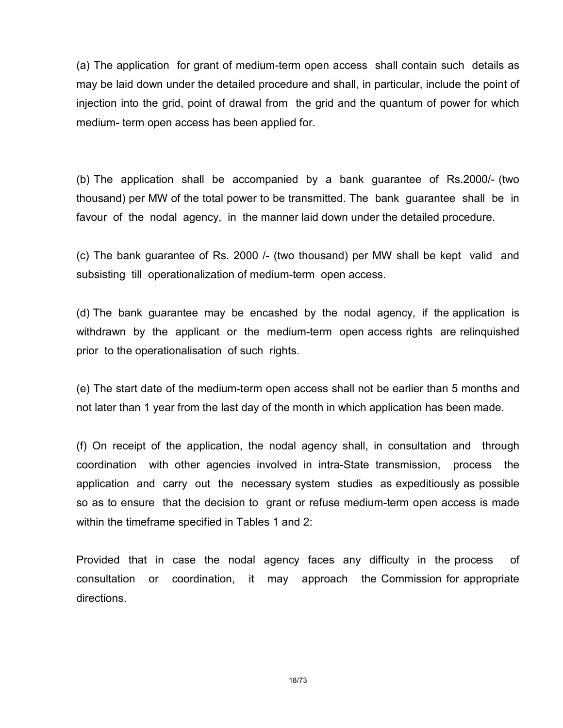(a) The application for grant of medium-term open access shall contain such details as may be laid down under the detailed procedure and shall, in particular, include the point of injection into the grid, point of drawal from the grid and the quantum of power for which medium- term open access has been applied for.

(b) The application shall be accompanied by a bank guarantee of Rs.2000/- (two thousand) per MW of the total power to be transmitted. The bank guarantee shall be in favour of the nodal agency, in the manner laid down under the detailed procedure.

(c) The bank guarantee of Rs. 2000 /- (two thousand) per MW shall be kept valid and subsisting till operationalization of medium-term open access.

(d) The bank guarantee may be encashed by the nodal agency, if the application is withdrawn by the applicant or the medium-term open access rights are relinquished prior to the operationalisation of such rights.

(e) The start date of the medium-term open access shall not be earlier than 5 months and not later than 1 year from the last day of the month in which application has been made.

(f) On receipt of the application, the nodal agency shall, in consultation and through coordination with other agencies involved in intra-State transmission, process the application and carry out the necessary system studies as expeditiously as possible so as to ensure that the decision to grant or refuse medium-term open access is made within the timeframe specified in Tables 1 and 2:

Provided that in case the nodal agency faces any difficulty in the process of consultation or coordination, it may approach the Commission for appropriate directions.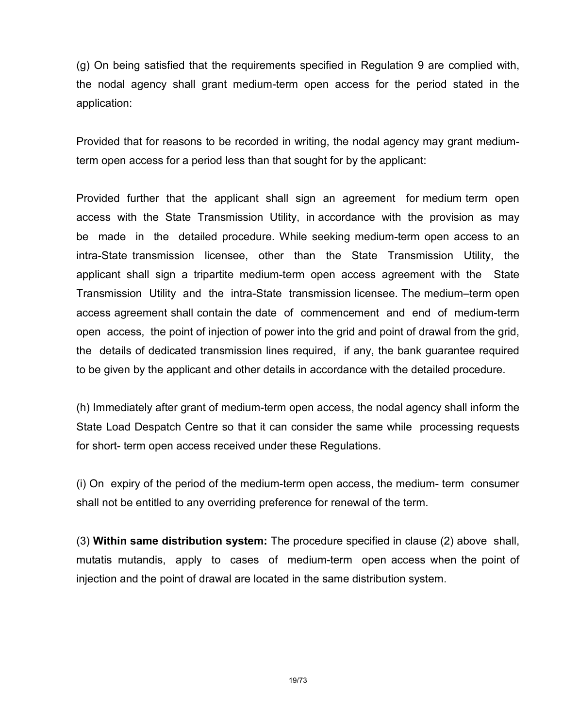(g) On being satisfied that the requirements specified in Regulation 9 are complied with, the nodal agency shall grant medium-term open access for the period stated in the application:

Provided that for reasons to be recorded in writing, the nodal agency may grant mediumterm open access for a period less than that sought for by the applicant:

Provided further that the applicant shall sign an agreement for medium term open access with the State Transmission Utility, in accordance with the provision as may be made in the detailed procedure. While seeking medium-term open access to an intra-State transmission licensee, other than the State Transmission Utility, the applicant shall sign a tripartite medium-term open access agreement with the State Transmission Utility and the intra-State transmission licensee. The medium–term open access agreement shall contain the date of commencement and end of medium-term open access, the point of injection of power into the grid and point of drawal from the grid, the details of dedicated transmission lines required, if any, the bank guarantee required to be given by the applicant and other details in accordance with the detailed procedure.

(h) Immediately after grant of medium-term open access, the nodal agency shall inform the State Load Despatch Centre so that it can consider the same while processing requests for short- term open access received under these Regulations.

(i) On expiry of the period of the medium-term open access, the medium- term consumer shall not be entitled to any overriding preference for renewal of the term.

(3) Within same distribution system: The procedure specified in clause (2) above shall, mutatis mutandis, apply to cases of medium-term open access when the point of injection and the point of drawal are located in the same distribution system.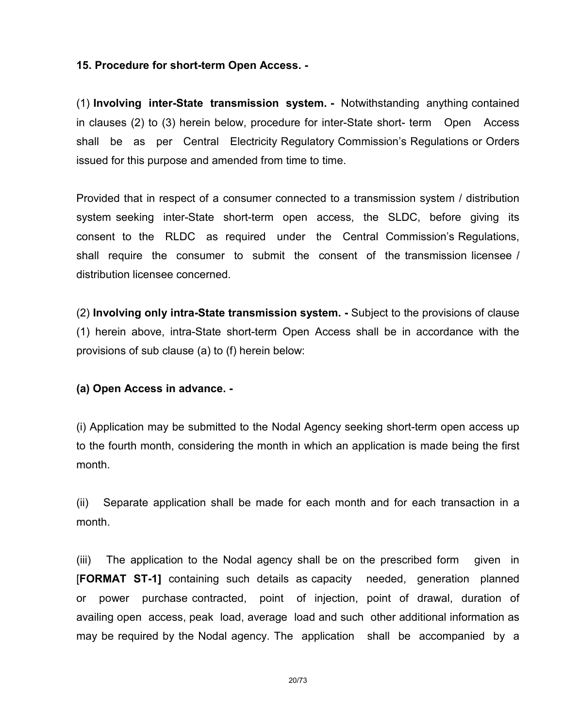### 15. Procedure for short-term Open Access. -

(1) Involving inter-State transmission system. - Notwithstanding anything contained in clauses (2) to (3) herein below, procedure for inter-State short- term Open Access shall be as per Central Electricity Regulatory Commission's Regulations or Orders issued for this purpose and amended from time to time.

Provided that in respect of a consumer connected to a transmission system / distribution system seeking inter-State short-term open access, the SLDC, before giving its consent to the RLDC as required under the Central Commission's Regulations, shall require the consumer to submit the consent of the transmission licensee / distribution licensee concerned.

(2) Involving only intra-State transmission system. - Subject to the provisions of clause (1) herein above, intra-State short-term Open Access shall be in accordance with the provisions of sub clause (a) to (f) herein below:

### (a) Open Access in advance. -

(i) Application may be submitted to the Nodal Agency seeking short-term open access up to the fourth month, considering the month in which an application is made being the first month.

(ii) Separate application shall be made for each month and for each transaction in a month.

(iii) The application to the Nodal agency shall be on the prescribed form given in [FORMAT ST-1] containing such details as capacity needed, generation planned or power purchase contracted, point of injection, point of drawal, duration of availing open access, peak load, average load and such other additional information as may be required by the Nodal agency. The application shall be accompanied by a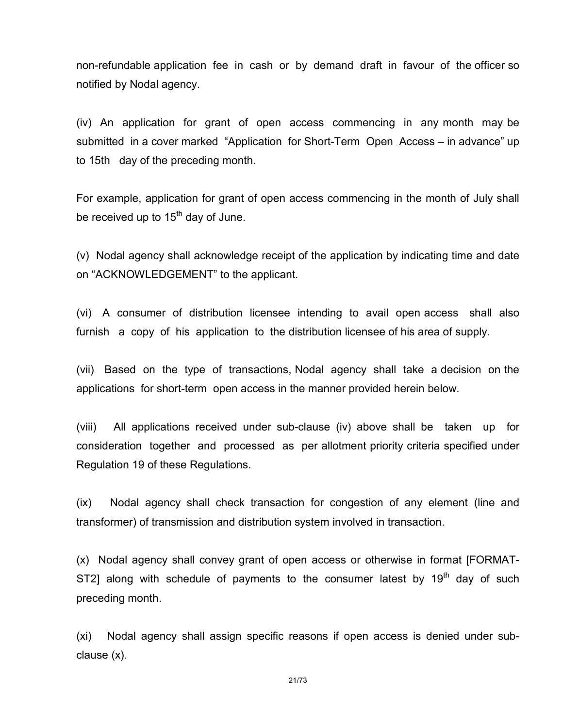non-refundable application fee in cash or by demand draft in favour of the officer so notified by Nodal agency.

(iv) An application for grant of open access commencing in any month may be submitted in a cover marked "Application for Short-Term Open Access – in advance" up to 15th day of the preceding month.

For example, application for grant of open access commencing in the month of July shall be received up to  $15<sup>th</sup>$  day of June.

(v) Nodal agency shall acknowledge receipt of the application by indicating time and date on "ACKNOWLEDGEMENT" to the applicant.

(vi) A consumer of distribution licensee intending to avail open access shall also furnish a copy of his application to the distribution licensee of his area of supply.

(vii) Based on the type of transactions, Nodal agency shall take a decision on the applications for short-term open access in the manner provided herein below.

(viii) All applications received under sub-clause (iv) above shall be taken up for consideration together and processed as per allotment priority criteria specified under Regulation 19 of these Regulations.

(ix) Nodal agency shall check transaction for congestion of any element (line and transformer) of transmission and distribution system involved in transaction.

(x) Nodal agency shall convey grant of open access or otherwise in format [FORMAT-ST2] along with schedule of payments to the consumer latest by  $19<sup>th</sup>$  day of such preceding month.

(xi) Nodal agency shall assign specific reasons if open access is denied under subclause (x).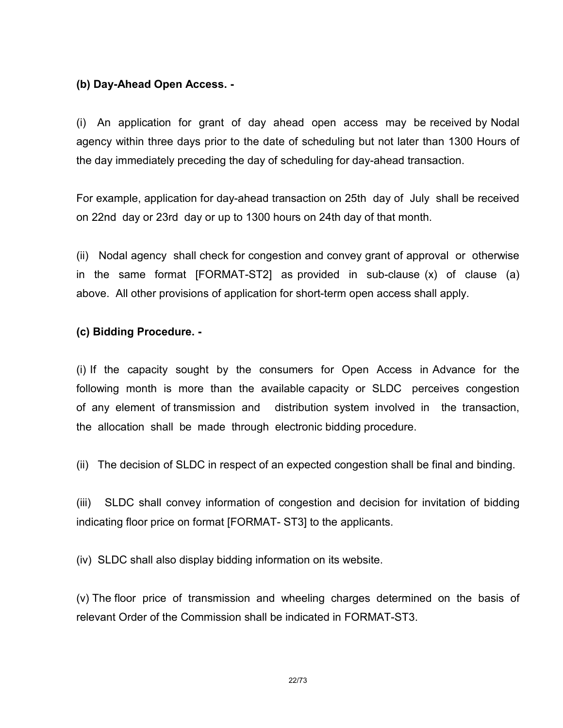### (b) Day-Ahead Open Access. -

(i) An application for grant of day ahead open access may be received by Nodal agency within three days prior to the date of scheduling but not later than 1300 Hours of the day immediately preceding the day of scheduling for day-ahead transaction.

For example, application for day-ahead transaction on 25th day of July shall be received on 22nd day or 23rd day or up to 1300 hours on 24th day of that month.

(ii) Nodal agency shall check for congestion and convey grant of approval or otherwise in the same format [FORMAT-ST2] as provided in sub-clause (x) of clause (a) above. All other provisions of application for short-term open access shall apply.

### (c) Bidding Procedure. -

(i) If the capacity sought by the consumers for Open Access in Advance for the following month is more than the available capacity or SLDC perceives congestion of any element of transmission and distribution system involved in the transaction, the allocation shall be made through electronic bidding procedure.

(ii) The decision of SLDC in respect of an expected congestion shall be final and binding.

(iii) SLDC shall convey information of congestion and decision for invitation of bidding indicating floor price on format [FORMAT- ST3] to the applicants.

(iv) SLDC shall also display bidding information on its website.

(v) The floor price of transmission and wheeling charges determined on the basis of relevant Order of the Commission shall be indicated in FORMAT-ST3.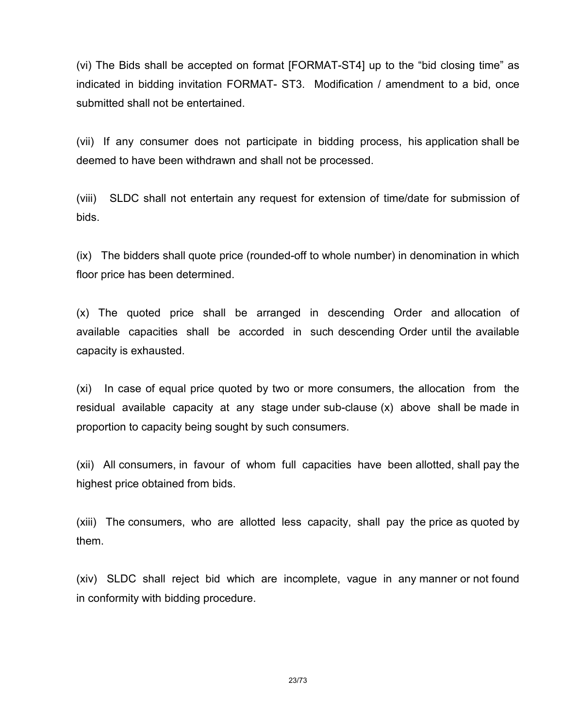(vi) The Bids shall be accepted on format [FORMAT-ST4] up to the "bid closing time" as indicated in bidding invitation FORMAT- ST3. Modification / amendment to a bid, once submitted shall not be entertained.

(vii) If any consumer does not participate in bidding process, his application shall be deemed to have been withdrawn and shall not be processed.

(viii) SLDC shall not entertain any request for extension of time/date for submission of bids.

(ix) The bidders shall quote price (rounded-off to whole number) in denomination in which floor price has been determined.

(x) The quoted price shall be arranged in descending Order and allocation of available capacities shall be accorded in such descending Order until the available capacity is exhausted.

(xi) In case of equal price quoted by two or more consumers, the allocation from the residual available capacity at any stage under sub-clause (x) above shall be made in proportion to capacity being sought by such consumers.

(xii) All consumers, in favour of whom full capacities have been allotted, shall pay the highest price obtained from bids.

(xiii) The consumers, who are allotted less capacity, shall pay the price as quoted by them.

(xiv) SLDC shall reject bid which are incomplete, vague in any manner or not found in conformity with bidding procedure.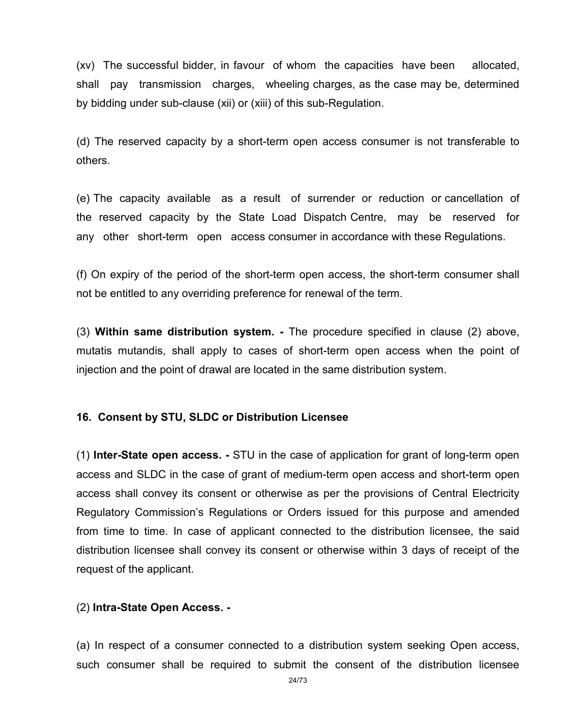(xv) The successful bidder, in favour of whom the capacities have been allocated, shall pay transmission charges, wheeling charges, as the case may be, determined by bidding under sub-clause (xii) or (xiii) of this sub-Regulation.

(d) The reserved capacity by a short-term open access consumer is not transferable to others.

(e) The capacity available as a result of surrender or reduction or cancellation of the reserved capacity by the State Load Dispatch Centre, may be reserved for any other short-term open access consumer in accordance with these Regulations.

(f) On expiry of the period of the short-term open access, the short-term consumer shall not be entitled to any overriding preference for renewal of the term.

(3) Within same distribution system. - The procedure specified in clause (2) above, mutatis mutandis, shall apply to cases of short-term open access when the point of injection and the point of drawal are located in the same distribution system.

### 16. Consent by STU, SLDC or Distribution Licensee

(1) Inter-State open access. - STU in the case of application for grant of long-term open access and SLDC in the case of grant of medium-term open access and short-term open access shall convey its consent or otherwise as per the provisions of Central Electricity Regulatory Commission's Regulations or Orders issued for this purpose and amended from time to time. In case of applicant connected to the distribution licensee, the said distribution licensee shall convey its consent or otherwise within 3 days of receipt of the request of the applicant.

### (2) Intra-State Open Access. -

(a) In respect of a consumer connected to a distribution system seeking Open access, such consumer shall be required to submit the consent of the distribution licensee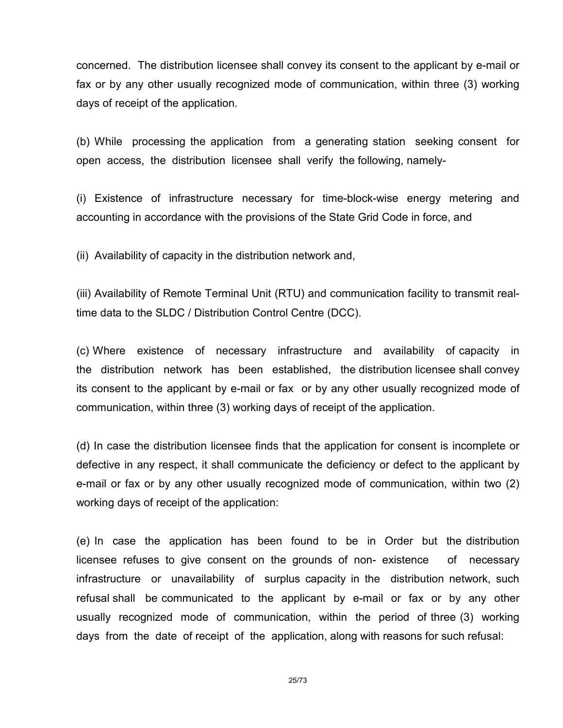concerned. The distribution licensee shall convey its consent to the applicant by e-mail or fax or by any other usually recognized mode of communication, within three (3) working days of receipt of the application.

(b) While processing the application from a generating station seeking consent for open access, the distribution licensee shall verify the following, namely-

(i) Existence of infrastructure necessary for time-block-wise energy metering and accounting in accordance with the provisions of the State Grid Code in force, and

(ii) Availability of capacity in the distribution network and,

(iii) Availability of Remote Terminal Unit (RTU) and communication facility to transmit realtime data to the SLDC / Distribution Control Centre (DCC).

(c) Where existence of necessary infrastructure and availability of capacity in the distribution network has been established, the distribution licensee shall convey its consent to the applicant by e-mail or fax or by any other usually recognized mode of communication, within three (3) working days of receipt of the application.

(d) In case the distribution licensee finds that the application for consent is incomplete or defective in any respect, it shall communicate the deficiency or defect to the applicant by e-mail or fax or by any other usually recognized mode of communication, within two (2) working days of receipt of the application:

(e) In case the application has been found to be in Order but the distribution licensee refuses to give consent on the grounds of non- existence of necessary infrastructure or unavailability of surplus capacity in the distribution network, such refusal shall be communicated to the applicant by e-mail or fax or by any other usually recognized mode of communication, within the period of three (3) working days from the date of receipt of the application, along with reasons for such refusal: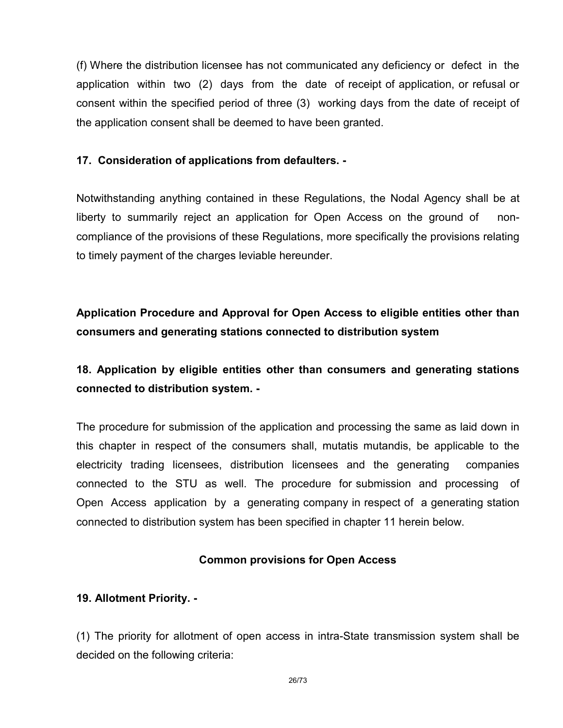(f) Where the distribution licensee has not communicated any deficiency or defect in the application within two (2) days from the date of receipt of application, or refusal or consent within the specified period of three (3) working days from the date of receipt of the application consent shall be deemed to have been granted.

### 17. Consideration of applications from defaulters. -

Notwithstanding anything contained in these Regulations, the Nodal Agency shall be at liberty to summarily reject an application for Open Access on the ground of noncompliance of the provisions of these Regulations, more specifically the provisions relating to timely payment of the charges leviable hereunder.

# Application Procedure and Approval for Open Access to eligible entities other than consumers and generating stations connected to distribution system

# 18. Application by eligible entities other than consumers and generating stations connected to distribution system. -

The procedure for submission of the application and processing the same as laid down in this chapter in respect of the consumers shall, mutatis mutandis, be applicable to the electricity trading licensees, distribution licensees and the generating companies connected to the STU as well. The procedure for submission and processing of Open Access application by a generating company in respect of a generating station connected to distribution system has been specified in chapter 11 herein below.

# Common provisions for Open Access

# 19. Allotment Priority. -

(1) The priority for allotment of open access in intra-State transmission system shall be decided on the following criteria: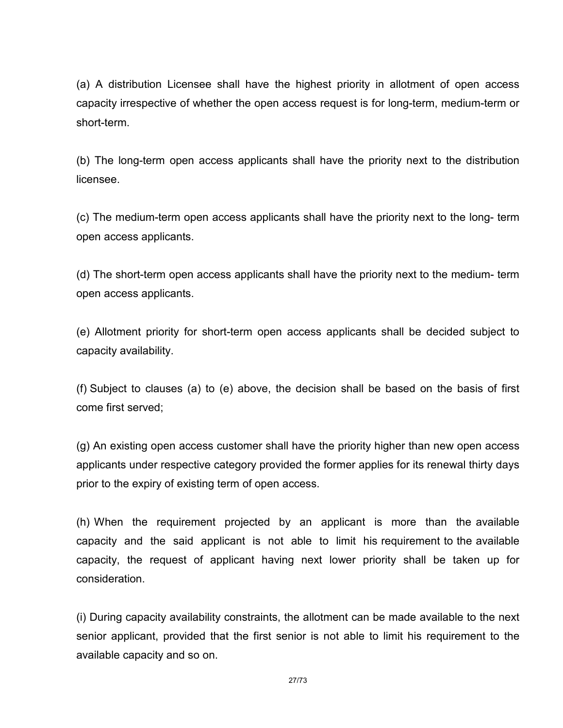(a) A distribution Licensee shall have the highest priority in allotment of open access capacity irrespective of whether the open access request is for long-term, medium-term or short-term.

(b) The long-term open access applicants shall have the priority next to the distribution licensee.

(c) The medium-term open access applicants shall have the priority next to the long- term open access applicants.

(d) The short-term open access applicants shall have the priority next to the medium- term open access applicants.

(e) Allotment priority for short-term open access applicants shall be decided subject to capacity availability.

(f) Subject to clauses (a) to (e) above, the decision shall be based on the basis of first come first served;

(g) An existing open access customer shall have the priority higher than new open access applicants under respective category provided the former applies for its renewal thirty days prior to the expiry of existing term of open access.

(h) When the requirement projected by an applicant is more than the available capacity and the said applicant is not able to limit his requirement to the available capacity, the request of applicant having next lower priority shall be taken up for consideration.

(i) During capacity availability constraints, the allotment can be made available to the next senior applicant, provided that the first senior is not able to limit his requirement to the available capacity and so on.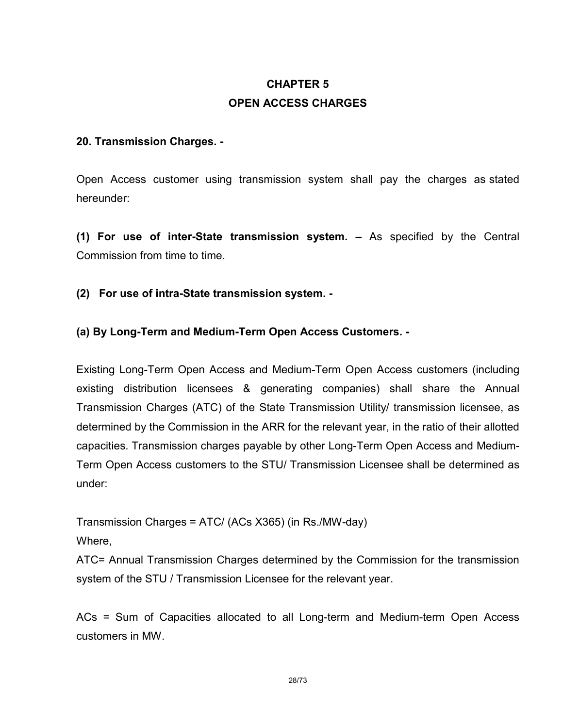# CHAPTER 5 OPEN ACCESS CHARGES

### 20. Transmission Charges. -

Open Access customer using transmission system shall pay the charges as stated hereunder:

(1) For use of inter-State transmission system. – As specified by the Central Commission from time to time.

(2) For use of intra-State transmission system. -

# (a) By Long-Term and Medium-Term Open Access Customers. -

Existing Long-Term Open Access and Medium-Term Open Access customers (including existing distribution licensees & generating companies) shall share the Annual Transmission Charges (ATC) of the State Transmission Utility/ transmission licensee, as determined by the Commission in the ARR for the relevant year, in the ratio of their allotted capacities. Transmission charges payable by other Long-Term Open Access and Medium-Term Open Access customers to the STU/ Transmission Licensee shall be determined as under:

Transmission Charges = ATC/ (ACs X365) (in Rs./MW-day)

Where,

ATC= Annual Transmission Charges determined by the Commission for the transmission system of the STU / Transmission Licensee for the relevant year.

ACs = Sum of Capacities allocated to all Long-term and Medium-term Open Access customers in MW.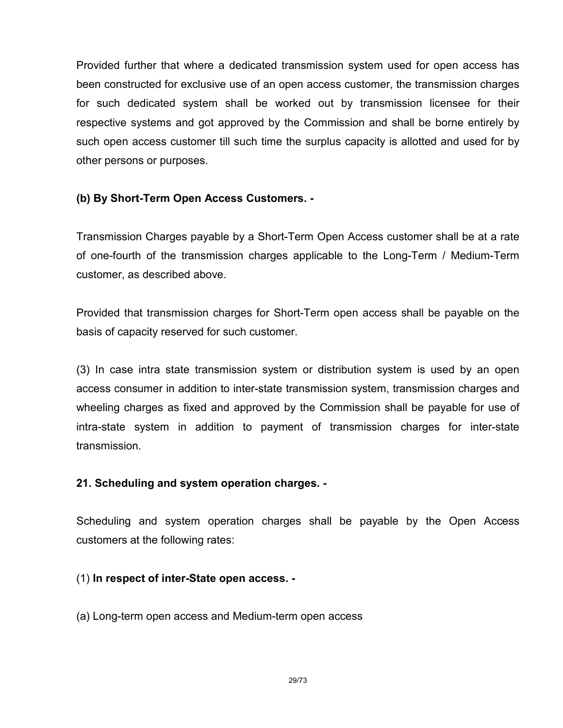Provided further that where a dedicated transmission system used for open access has been constructed for exclusive use of an open access customer, the transmission charges for such dedicated system shall be worked out by transmission licensee for their respective systems and got approved by the Commission and shall be borne entirely by such open access customer till such time the surplus capacity is allotted and used for by other persons or purposes.

### (b) By Short-Term Open Access Customers. -

Transmission Charges payable by a Short-Term Open Access customer shall be at a rate of one-fourth of the transmission charges applicable to the Long-Term / Medium-Term customer, as described above.

Provided that transmission charges for Short-Term open access shall be payable on the basis of capacity reserved for such customer.

(3) In case intra state transmission system or distribution system is used by an open access consumer in addition to inter-state transmission system, transmission charges and wheeling charges as fixed and approved by the Commission shall be payable for use of intra-state system in addition to payment of transmission charges for inter-state transmission.

### 21. Scheduling and system operation charges. -

Scheduling and system operation charges shall be payable by the Open Access customers at the following rates:

### (1) In respect of inter-State open access. -

(a) Long-term open access and Medium-term open access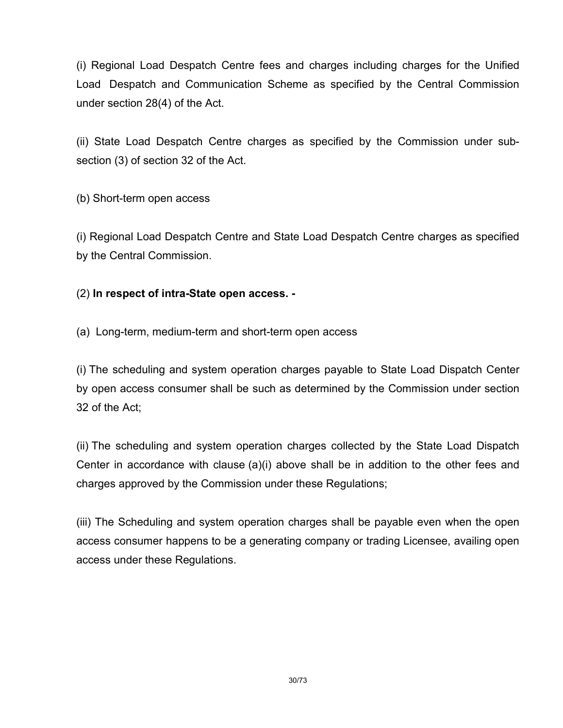(i) Regional Load Despatch Centre fees and charges including charges for the Unified Load Despatch and Communication Scheme as specified by the Central Commission under section 28(4) of the Act.

(ii) State Load Despatch Centre charges as specified by the Commission under subsection (3) of section 32 of the Act.

(b) Short-term open access

(i) Regional Load Despatch Centre and State Load Despatch Centre charges as specified by the Central Commission.

# (2) In respect of intra-State open access. -

(a) Long-term, medium-term and short-term open access

(i) The scheduling and system operation charges payable to State Load Dispatch Center by open access consumer shall be such as determined by the Commission under section 32 of the Act;

(ii) The scheduling and system operation charges collected by the State Load Dispatch Center in accordance with clause (a)(i) above shall be in addition to the other fees and charges approved by the Commission under these Regulations;

(iii) The Scheduling and system operation charges shall be payable even when the open access consumer happens to be a generating company or trading Licensee, availing open access under these Regulations.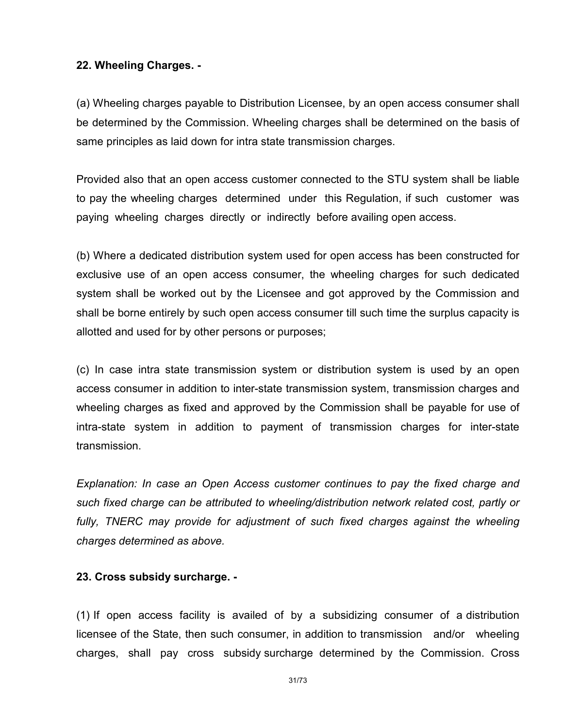### 22. Wheeling Charges. -

(a) Wheeling charges payable to Distribution Licensee, by an open access consumer shall be determined by the Commission. Wheeling charges shall be determined on the basis of same principles as laid down for intra state transmission charges.

Provided also that an open access customer connected to the STU system shall be liable to pay the wheeling charges determined under this Regulation, if such customer was paying wheeling charges directly or indirectly before availing open access.

(b) Where a dedicated distribution system used for open access has been constructed for exclusive use of an open access consumer, the wheeling charges for such dedicated system shall be worked out by the Licensee and got approved by the Commission and shall be borne entirely by such open access consumer till such time the surplus capacity is allotted and used for by other persons or purposes;

(c) In case intra state transmission system or distribution system is used by an open access consumer in addition to inter-state transmission system, transmission charges and wheeling charges as fixed and approved by the Commission shall be payable for use of intra-state system in addition to payment of transmission charges for inter-state transmission.

Explanation: In case an Open Access customer continues to pay the fixed charge and such fixed charge can be attributed to wheeling/distribution network related cost, partly or fully, TNERC may provide for adjustment of such fixed charges against the wheeling charges determined as above.

### 23. Cross subsidy surcharge. -

(1) If open access facility is availed of by a subsidizing consumer of a distribution licensee of the State, then such consumer, in addition to transmission and/or wheeling charges, shall pay cross subsidy surcharge determined by the Commission. Cross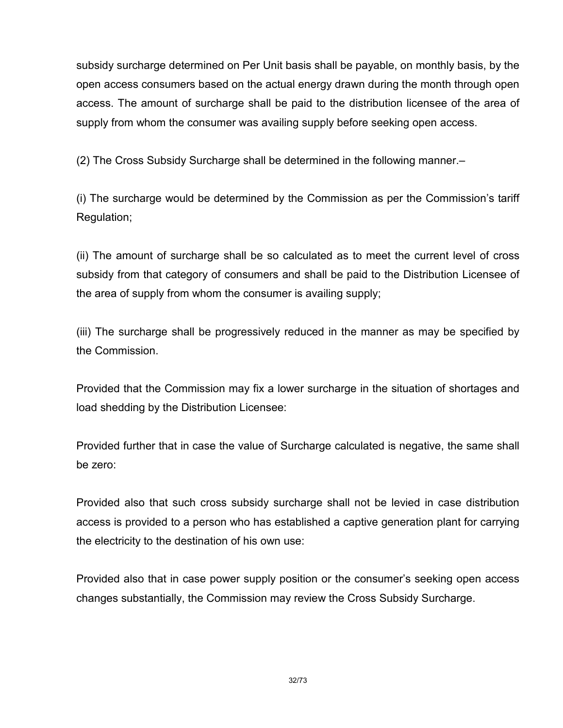subsidy surcharge determined on Per Unit basis shall be payable, on monthly basis, by the open access consumers based on the actual energy drawn during the month through open access. The amount of surcharge shall be paid to the distribution licensee of the area of supply from whom the consumer was availing supply before seeking open access.

(2) The Cross Subsidy Surcharge shall be determined in the following manner.–

(i) The surcharge would be determined by the Commission as per the Commission's tariff Regulation;

(ii) The amount of surcharge shall be so calculated as to meet the current level of cross subsidy from that category of consumers and shall be paid to the Distribution Licensee of the area of supply from whom the consumer is availing supply;

(iii) The surcharge shall be progressively reduced in the manner as may be specified by the Commission.

Provided that the Commission may fix a lower surcharge in the situation of shortages and load shedding by the Distribution Licensee:

Provided further that in case the value of Surcharge calculated is negative, the same shall be zero:

Provided also that such cross subsidy surcharge shall not be levied in case distribution access is provided to a person who has established a captive generation plant for carrying the electricity to the destination of his own use:

Provided also that in case power supply position or the consumer's seeking open access changes substantially, the Commission may review the Cross Subsidy Surcharge.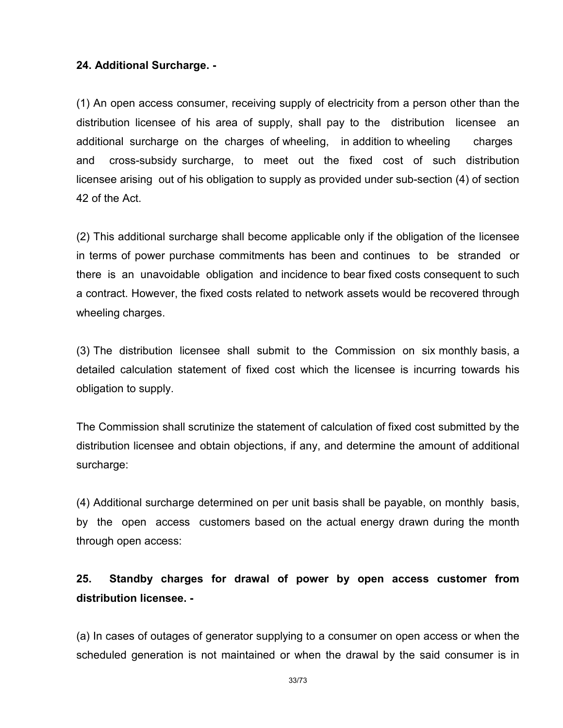### 24. Additional Surcharge. -

(1) An open access consumer, receiving supply of electricity from a person other than the distribution licensee of his area of supply, shall pay to the distribution licensee an additional surcharge on the charges of wheeling, in addition to wheeling charges and cross-subsidy surcharge, to meet out the fixed cost of such distribution licensee arising out of his obligation to supply as provided under sub-section (4) of section 42 of the Act.

(2) This additional surcharge shall become applicable only if the obligation of the licensee in terms of power purchase commitments has been and continues to be stranded or there is an unavoidable obligation and incidence to bear fixed costs consequent to such a contract. However, the fixed costs related to network assets would be recovered through wheeling charges.

(3) The distribution licensee shall submit to the Commission on six monthly basis, a detailed calculation statement of fixed cost which the licensee is incurring towards his obligation to supply.

The Commission shall scrutinize the statement of calculation of fixed cost submitted by the distribution licensee and obtain objections, if any, and determine the amount of additional surcharge:

(4) Additional surcharge determined on per unit basis shall be payable, on monthly basis, by the open access customers based on the actual energy drawn during the month through open access:

# 25. Standby charges for drawal of power by open access customer from distribution licensee. -

(a) In cases of outages of generator supplying to a consumer on open access or when the scheduled generation is not maintained or when the drawal by the said consumer is in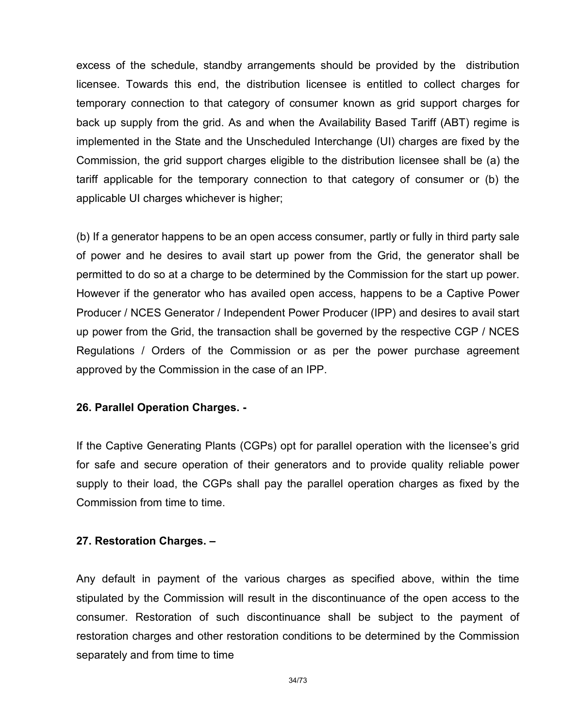excess of the schedule, standby arrangements should be provided by the distribution licensee. Towards this end, the distribution licensee is entitled to collect charges for temporary connection to that category of consumer known as grid support charges for back up supply from the grid. As and when the Availability Based Tariff (ABT) regime is implemented in the State and the Unscheduled Interchange (UI) charges are fixed by the Commission, the grid support charges eligible to the distribution licensee shall be (a) the tariff applicable for the temporary connection to that category of consumer or (b) the applicable UI charges whichever is higher;

(b) If a generator happens to be an open access consumer, partly or fully in third party sale of power and he desires to avail start up power from the Grid, the generator shall be permitted to do so at a charge to be determined by the Commission for the start up power. However if the generator who has availed open access, happens to be a Captive Power Producer / NCES Generator / Independent Power Producer (IPP) and desires to avail start up power from the Grid, the transaction shall be governed by the respective CGP / NCES Regulations / Orders of the Commission or as per the power purchase agreement approved by the Commission in the case of an IPP.

### 26. Parallel Operation Charges. -

If the Captive Generating Plants (CGPs) opt for parallel operation with the licensee's grid for safe and secure operation of their generators and to provide quality reliable power supply to their load, the CGPs shall pay the parallel operation charges as fixed by the Commission from time to time.

### 27. Restoration Charges. –

Any default in payment of the various charges as specified above, within the time stipulated by the Commission will result in the discontinuance of the open access to the consumer. Restoration of such discontinuance shall be subject to the payment of restoration charges and other restoration conditions to be determined by the Commission separately and from time to time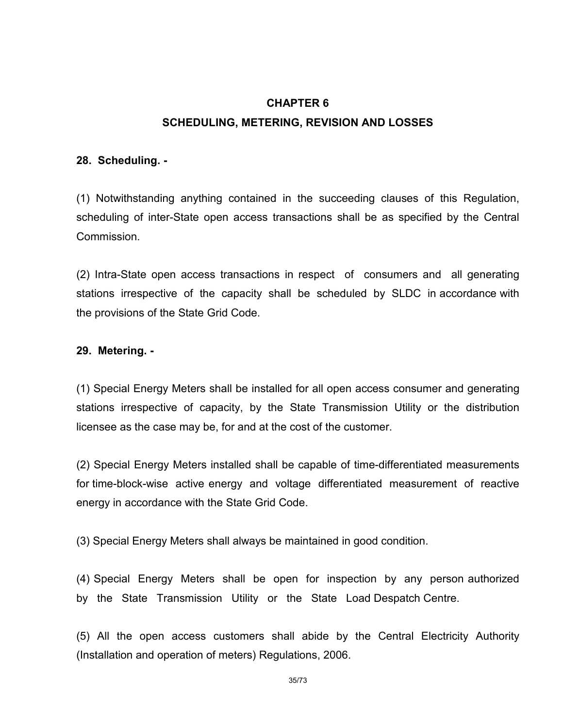# CHAPTER 6 SCHEDULING, METERING, REVISION AND LOSSES

### 28. Scheduling. -

(1) Notwithstanding anything contained in the succeeding clauses of this Regulation, scheduling of inter-State open access transactions shall be as specified by the Central Commission.

(2) Intra-State open access transactions in respect of consumers and all generating stations irrespective of the capacity shall be scheduled by SLDC in accordance with the provisions of the State Grid Code.

# 29. Metering. -

(1) Special Energy Meters shall be installed for all open access consumer and generating stations irrespective of capacity, by the State Transmission Utility or the distribution licensee as the case may be, for and at the cost of the customer.

(2) Special Energy Meters installed shall be capable of time-differentiated measurements for time-block-wise active energy and voltage differentiated measurement of reactive energy in accordance with the State Grid Code.

(3) Special Energy Meters shall always be maintained in good condition.

(4) Special Energy Meters shall be open for inspection by any person authorized by the State Transmission Utility or the State Load Despatch Centre.

(5) All the open access customers shall abide by the Central Electricity Authority (Installation and operation of meters) Regulations, 2006.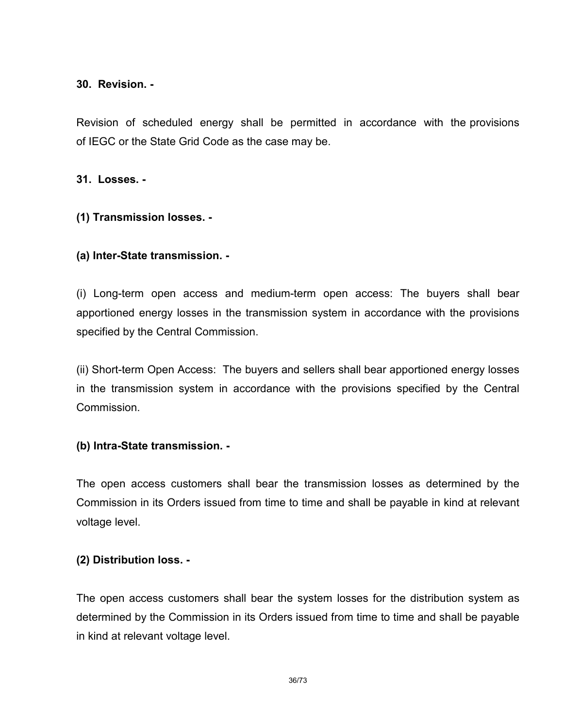### 30. Revision. -

Revision of scheduled energy shall be permitted in accordance with the provisions of IEGC or the State Grid Code as the case may be.

31. Losses. -

# (1) Transmission losses. -

# (a) Inter-State transmission. -

(i) Long-term open access and medium-term open access: The buyers shall bear apportioned energy losses in the transmission system in accordance with the provisions specified by the Central Commission.

(ii) Short-term Open Access: The buyers and sellers shall bear apportioned energy losses in the transmission system in accordance with the provisions specified by the Central Commission.

### (b) Intra-State transmission. -

The open access customers shall bear the transmission losses as determined by the Commission in its Orders issued from time to time and shall be payable in kind at relevant voltage level.

### (2) Distribution loss. -

The open access customers shall bear the system losses for the distribution system as determined by the Commission in its Orders issued from time to time and shall be payable in kind at relevant voltage level.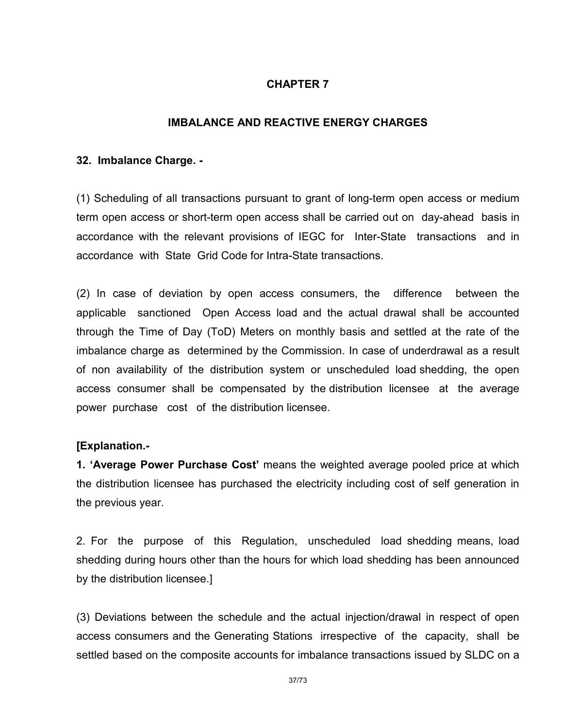## CHAPTER 7

## IMBALANCE AND REACTIVE ENERGY CHARGES

#### 32. Imbalance Charge. -

(1) Scheduling of all transactions pursuant to grant of long-term open access or medium term open access or short-term open access shall be carried out on day-ahead basis in accordance with the relevant provisions of IEGC for Inter-State transactions and in accordance with State Grid Code for Intra-State transactions.

(2) In case of deviation by open access consumers, the difference between the applicable sanctioned Open Access load and the actual drawal shall be accounted through the Time of Day (ToD) Meters on monthly basis and settled at the rate of the imbalance charge as determined by the Commission. In case of underdrawal as a result of non availability of the distribution system or unscheduled load shedding, the open access consumer shall be compensated by the distribution licensee at the average power purchase cost of the distribution licensee.

#### [Explanation.-

1. 'Average Power Purchase Cost' means the weighted average pooled price at which the distribution licensee has purchased the electricity including cost of self generation in the previous year.

2. For the purpose of this Regulation, unscheduled load shedding means, load shedding during hours other than the hours for which load shedding has been announced by the distribution licensee.]

(3) Deviations between the schedule and the actual injection/drawal in respect of open access consumers and the Generating Stations irrespective of the capacity, shall be settled based on the composite accounts for imbalance transactions issued by SLDC on a

37/73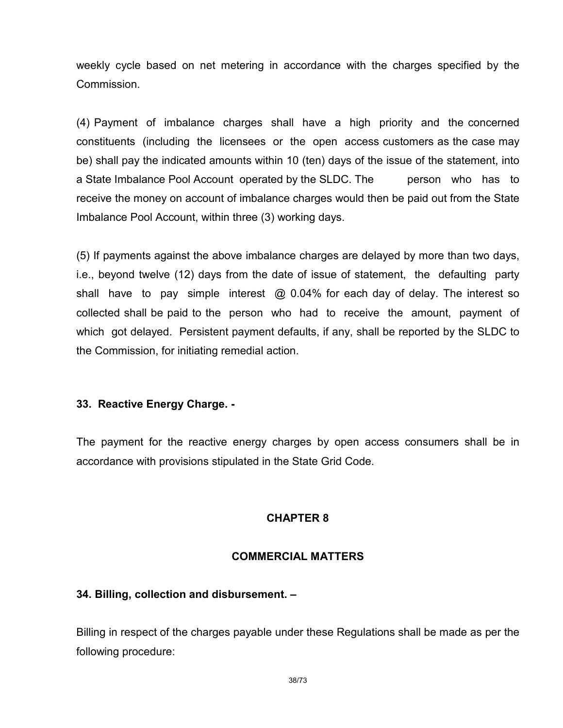weekly cycle based on net metering in accordance with the charges specified by the Commission.

(4) Payment of imbalance charges shall have a high priority and the concerned constituents (including the licensees or the open access customers as the case may be) shall pay the indicated amounts within 10 (ten) days of the issue of the statement, into a State Imbalance Pool Account operated by the SLDC. The person who has to receive the money on account of imbalance charges would then be paid out from the State Imbalance Pool Account, within three (3) working days.

(5) If payments against the above imbalance charges are delayed by more than two days, i.e., beyond twelve (12) days from the date of issue of statement, the defaulting party shall have to pay simple interest  $\omega$  0.04% for each day of delay. The interest so collected shall be paid to the person who had to receive the amount, payment of which got delayed. Persistent payment defaults, if any, shall be reported by the SLDC to the Commission, for initiating remedial action.

## 33. Reactive Energy Charge. -

The payment for the reactive energy charges by open access consumers shall be in accordance with provisions stipulated in the State Grid Code.

#### CHAPTER 8

#### COMMERCIAL MATTERS

#### 34. Billing, collection and disbursement. –

Billing in respect of the charges payable under these Regulations shall be made as per the following procedure: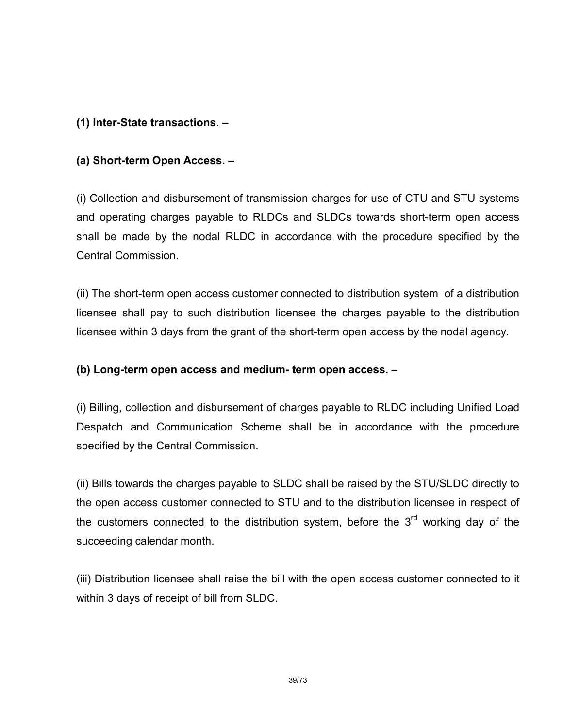## (1) Inter-State transactions. –

## (a) Short-term Open Access. –

(i) Collection and disbursement of transmission charges for use of CTU and STU systems and operating charges payable to RLDCs and SLDCs towards short-term open access shall be made by the nodal RLDC in accordance with the procedure specified by the Central Commission.

(ii) The short-term open access customer connected to distribution system of a distribution licensee shall pay to such distribution licensee the charges payable to the distribution licensee within 3 days from the grant of the short-term open access by the nodal agency.

## (b) Long-term open access and medium- term open access. –

(i) Billing, collection and disbursement of charges payable to RLDC including Unified Load Despatch and Communication Scheme shall be in accordance with the procedure specified by the Central Commission.

(ii) Bills towards the charges payable to SLDC shall be raised by the STU/SLDC directly to the open access customer connected to STU and to the distribution licensee in respect of the customers connected to the distribution system, before the  $3<sup>rd</sup>$  working day of the succeeding calendar month.

(iii) Distribution licensee shall raise the bill with the open access customer connected to it within 3 days of receipt of bill from SLDC.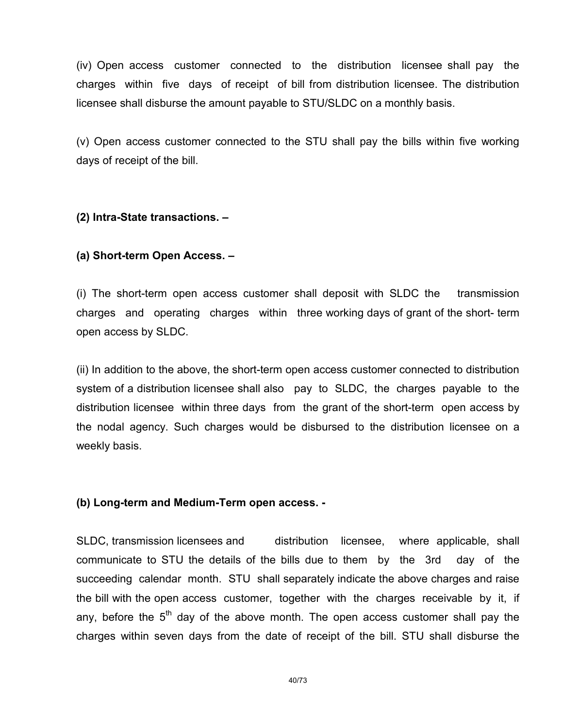(iv) Open access customer connected to the distribution licensee shall pay the charges within five days of receipt of bill from distribution licensee. The distribution licensee shall disburse the amount payable to STU/SLDC on a monthly basis.

(v) Open access customer connected to the STU shall pay the bills within five working days of receipt of the bill.

## (2) Intra-State transactions. –

## (a) Short-term Open Access. –

(i) The short-term open access customer shall deposit with SLDC the transmission charges and operating charges within three working days of grant of the short- term open access by SLDC.

(ii) In addition to the above, the short-term open access customer connected to distribution system of a distribution licensee shall also pay to SLDC, the charges payable to the distribution licensee within three days from the grant of the short-term open access by the nodal agency. Such charges would be disbursed to the distribution licensee on a weekly basis.

#### (b) Long-term and Medium-Term open access. -

SLDC, transmission licensees and distribution licensee, where applicable, shall communicate to STU the details of the bills due to them by the 3rd day of the succeeding calendar month. STU shall separately indicate the above charges and raise the bill with the open access customer, together with the charges receivable by it, if any, before the  $5<sup>th</sup>$  day of the above month. The open access customer shall pay the charges within seven days from the date of receipt of the bill. STU shall disburse the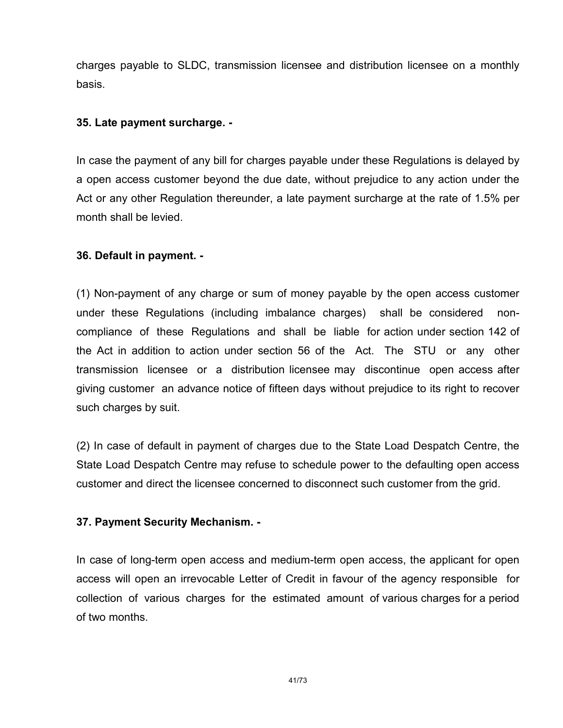charges payable to SLDC, transmission licensee and distribution licensee on a monthly basis.

## 35. Late payment surcharge. -

In case the payment of any bill for charges payable under these Regulations is delayed by a open access customer beyond the due date, without prejudice to any action under the Act or any other Regulation thereunder, a late payment surcharge at the rate of 1.5% per month shall be levied.

## 36. Default in payment. -

(1) Non-payment of any charge or sum of money payable by the open access customer under these Regulations (including imbalance charges) shall be considered noncompliance of these Regulations and shall be liable for action under section 142 of the Act in addition to action under section 56 of the Act. The STU or any other transmission licensee or a distribution licensee may discontinue open access after giving customer an advance notice of fifteen days without prejudice to its right to recover such charges by suit.

(2) In case of default in payment of charges due to the State Load Despatch Centre, the State Load Despatch Centre may refuse to schedule power to the defaulting open access customer and direct the licensee concerned to disconnect such customer from the grid.

## 37. Payment Security Mechanism. -

In case of long-term open access and medium-term open access, the applicant for open access will open an irrevocable Letter of Credit in favour of the agency responsible for collection of various charges for the estimated amount of various charges for a period of two months.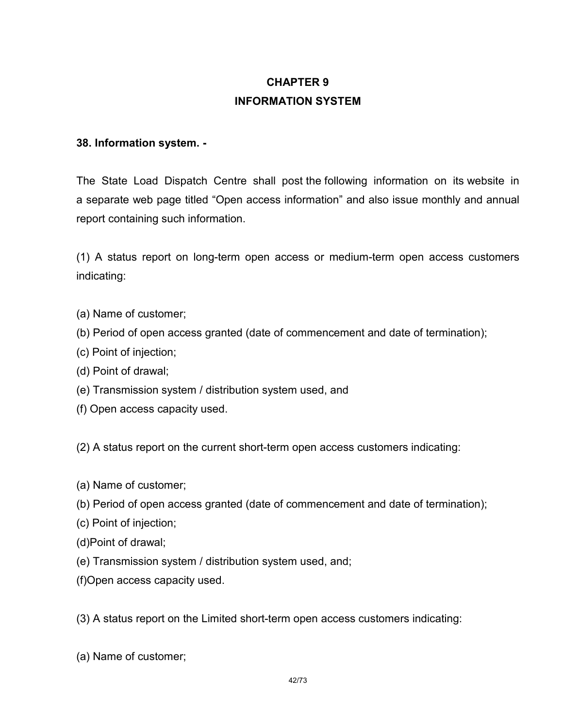# CHAPTER 9 INFORMATION SYSTEM

## 38. Information system. -

The State Load Dispatch Centre shall post the following information on its website in a separate web page titled "Open access information" and also issue monthly and annual report containing such information.

(1) A status report on long-term open access or medium-term open access customers indicating:

- (a) Name of customer;
- (b) Period of open access granted (date of commencement and date of termination);
- (c) Point of injection;
- (d) Point of drawal;
- (e) Transmission system / distribution system used, and
- (f) Open access capacity used.

(2) A status report on the current short-term open access customers indicating:

- (a) Name of customer;
- (b) Period of open access granted (date of commencement and date of termination);
- (c) Point of injection;
- (d)Point of drawal;
- (e) Transmission system / distribution system used, and;
- (f)Open access capacity used.

(3) A status report on the Limited short-term open access customers indicating:

(a) Name of customer;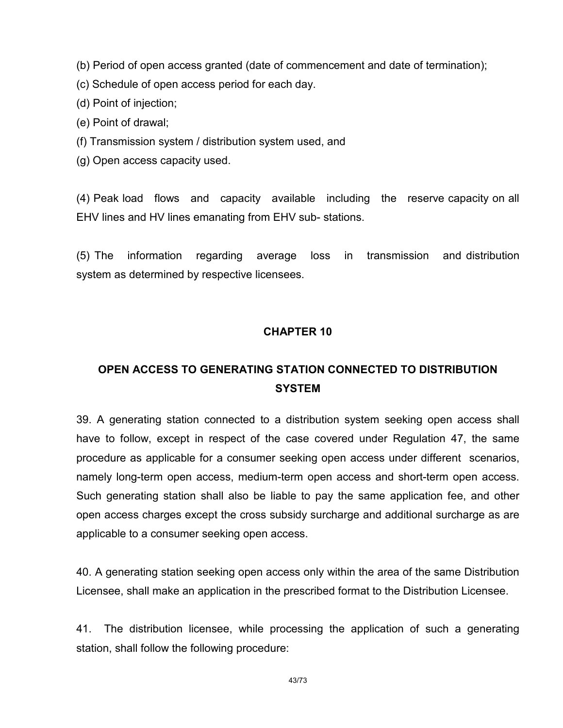(b) Period of open access granted (date of commencement and date of termination);

(c) Schedule of open access period for each day.

(d) Point of injection;

(e) Point of drawal;

(f) Transmission system / distribution system used, and

(g) Open access capacity used.

(4) Peak load flows and capacity available including the reserve capacity on all EHV lines and HV lines emanating from EHV sub- stations.

(5) The information regarding average loss in transmission and distribution system as determined by respective licensees.

## CHAPTER 10

# OPEN ACCESS TO GENERATING STATION CONNECTED TO DISTRIBUTION **SYSTEM**

39. A generating station connected to a distribution system seeking open access shall have to follow, except in respect of the case covered under Regulation 47, the same procedure as applicable for a consumer seeking open access under different scenarios, namely long-term open access, medium-term open access and short-term open access. Such generating station shall also be liable to pay the same application fee, and other open access charges except the cross subsidy surcharge and additional surcharge as are applicable to a consumer seeking open access.

40. A generating station seeking open access only within the area of the same Distribution Licensee, shall make an application in the prescribed format to the Distribution Licensee.

41. The distribution licensee, while processing the application of such a generating station, shall follow the following procedure: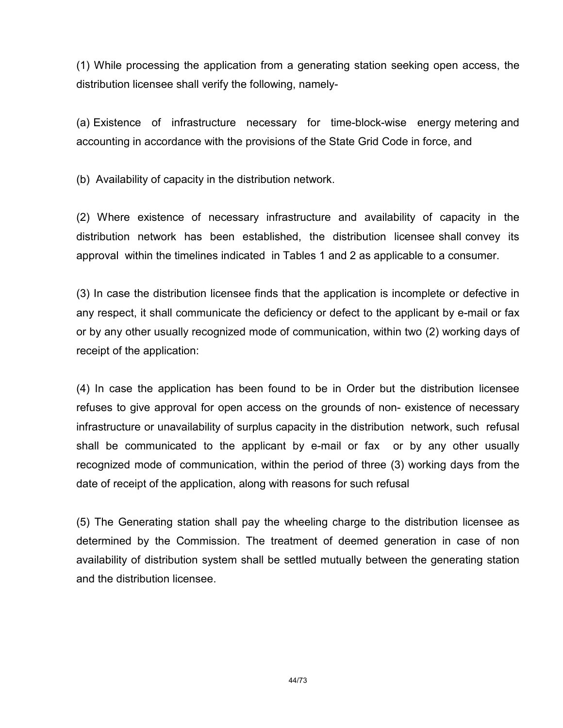(1) While processing the application from a generating station seeking open access, the distribution licensee shall verify the following, namely-

(a) Existence of infrastructure necessary for time-block-wise energy metering and accounting in accordance with the provisions of the State Grid Code in force, and

(b) Availability of capacity in the distribution network.

(2) Where existence of necessary infrastructure and availability of capacity in the distribution network has been established, the distribution licensee shall convey its approval within the timelines indicated in Tables 1 and 2 as applicable to a consumer.

(3) In case the distribution licensee finds that the application is incomplete or defective in any respect, it shall communicate the deficiency or defect to the applicant by e-mail or fax or by any other usually recognized mode of communication, within two (2) working days of receipt of the application:

(4) In case the application has been found to be in Order but the distribution licensee refuses to give approval for open access on the grounds of non- existence of necessary infrastructure or unavailability of surplus capacity in the distribution network, such refusal shall be communicated to the applicant by e-mail or fax or by any other usually recognized mode of communication, within the period of three (3) working days from the date of receipt of the application, along with reasons for such refusal

(5) The Generating station shall pay the wheeling charge to the distribution licensee as determined by the Commission. The treatment of deemed generation in case of non availability of distribution system shall be settled mutually between the generating station and the distribution licensee.

44/73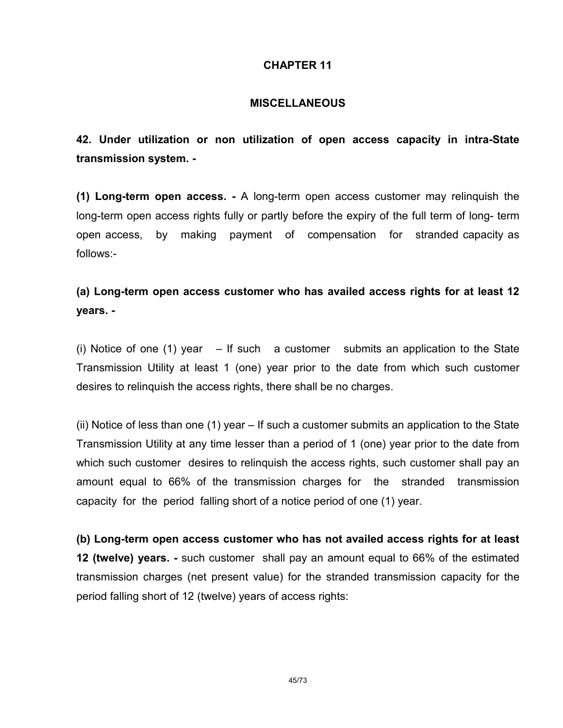## CHAPTER 11

## **MISCELLANEOUS**

42. Under utilization or non utilization of open access capacity in intra-State transmission system. -

(1) Long-term open access. - A long-term open access customer may relinquish the long-term open access rights fully or partly before the expiry of the full term of long- term open access, by making payment of compensation for stranded capacity as follows:-

# (a) Long-term open access customer who has availed access rights for at least 12 years. -

(i) Notice of one (1) year  $-$  If such a customer submits an application to the State Transmission Utility at least 1 (one) year prior to the date from which such customer desires to relinquish the access rights, there shall be no charges.

(ii) Notice of less than one (1) year – If such a customer submits an application to the State Transmission Utility at any time lesser than a period of 1 (one) year prior to the date from which such customer desires to relinquish the access rights, such customer shall pay an amount equal to 66% of the transmission charges for the stranded transmission capacity for the period falling short of a notice period of one (1) year.

(b) Long-term open access customer who has not availed access rights for at least 12 (twelve) years. - such customer shall pay an amount equal to 66% of the estimated transmission charges (net present value) for the stranded transmission capacity for the period falling short of 12 (twelve) years of access rights: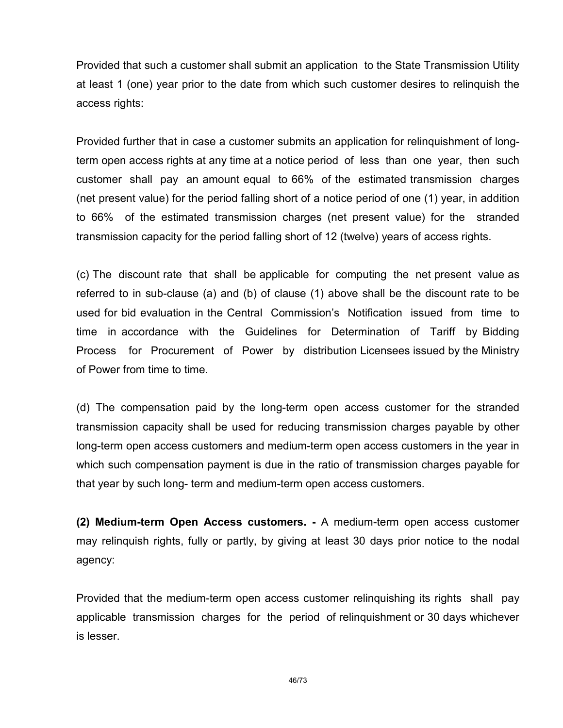Provided that such a customer shall submit an application to the State Transmission Utility at least 1 (one) year prior to the date from which such customer desires to relinquish the access rights:

Provided further that in case a customer submits an application for relinquishment of longterm open access rights at any time at a notice period of less than one year, then such customer shall pay an amount equal to 66% of the estimated transmission charges (net present value) for the period falling short of a notice period of one (1) year, in addition to 66% of the estimated transmission charges (net present value) for the stranded transmission capacity for the period falling short of 12 (twelve) years of access rights.

(c) The discount rate that shall be applicable for computing the net present value as referred to in sub-clause (a) and (b) of clause (1) above shall be the discount rate to be used for bid evaluation in the Central Commission's Notification issued from time to time in accordance with the Guidelines for Determination of Tariff by Bidding Process for Procurement of Power by distribution Licensees issued by the Ministry of Power from time to time.

(d) The compensation paid by the long-term open access customer for the stranded transmission capacity shall be used for reducing transmission charges payable by other long-term open access customers and medium-term open access customers in the year in which such compensation payment is due in the ratio of transmission charges payable for that year by such long- term and medium-term open access customers.

(2) Medium-term Open Access customers. - A medium-term open access customer may relinquish rights, fully or partly, by giving at least 30 days prior notice to the nodal agency:

Provided that the medium-term open access customer relinquishing its rights shall pay applicable transmission charges for the period of relinquishment or 30 days whichever is lesser.

46/73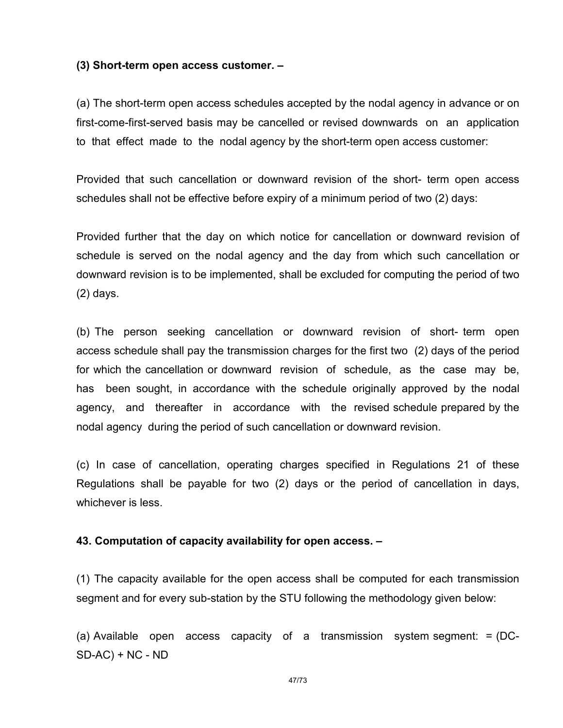#### (3) Short-term open access customer. –

(a) The short-term open access schedules accepted by the nodal agency in advance or on first-come-first-served basis may be cancelled or revised downwards on an application to that effect made to the nodal agency by the short-term open access customer:

Provided that such cancellation or downward revision of the short- term open access schedules shall not be effective before expiry of a minimum period of two (2) days:

Provided further that the day on which notice for cancellation or downward revision of schedule is served on the nodal agency and the day from which such cancellation or downward revision is to be implemented, shall be excluded for computing the period of two (2) days.

(b) The person seeking cancellation or downward revision of short- term open access schedule shall pay the transmission charges for the first two (2) days of the period for which the cancellation or downward revision of schedule, as the case may be, has been sought, in accordance with the schedule originally approved by the nodal agency, and thereafter in accordance with the revised schedule prepared by the nodal agency during the period of such cancellation or downward revision.

(c) In case of cancellation, operating charges specified in Regulations 21 of these Regulations shall be payable for two (2) days or the period of cancellation in days, whichever is less.

#### 43. Computation of capacity availability for open access. –

(1) The capacity available for the open access shall be computed for each transmission segment and for every sub-station by the STU following the methodology given below:

(a) Available open access capacity of a transmission system segment: = (DC-SD-AC) + NC - ND

47/73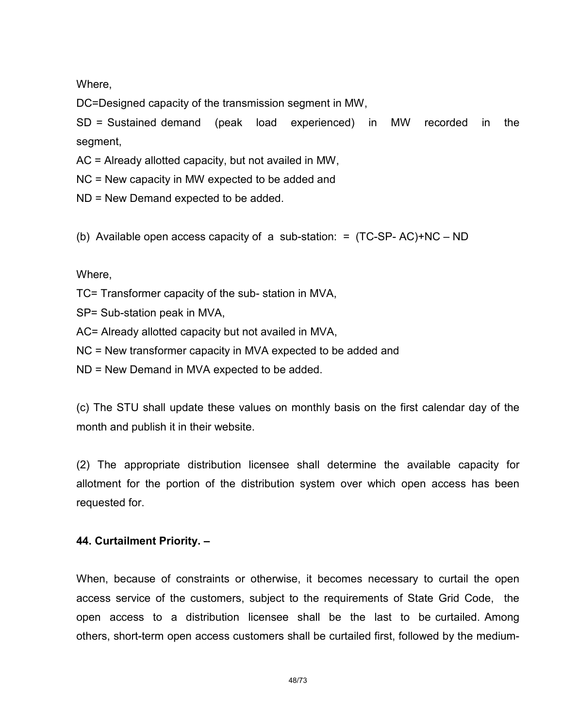Where,

DC=Designed capacity of the transmission segment in MW,

SD = Sustained demand (peak load experienced) in MW recorded in the segment,

AC = Already allotted capacity, but not availed in MW,

NC = New capacity in MW expected to be added and

ND = New Demand expected to be added.

(b) Available open access capacity of a sub-station: = (TC-SP- AC)+NC – ND

Where,

- TC= Transformer capacity of the sub- station in MVA,
- SP= Sub-station peak in MVA,
- AC= Already allotted capacity but not availed in MVA,
- NC = New transformer capacity in MVA expected to be added and
- ND = New Demand in MVA expected to be added.

(c) The STU shall update these values on monthly basis on the first calendar day of the month and publish it in their website.

(2) The appropriate distribution licensee shall determine the available capacity for allotment for the portion of the distribution system over which open access has been requested for.

#### 44. Curtailment Priority. –

When, because of constraints or otherwise, it becomes necessary to curtail the open access service of the customers, subject to the requirements of State Grid Code, the open access to a distribution licensee shall be the last to be curtailed. Among others, short-term open access customers shall be curtailed first, followed by the medium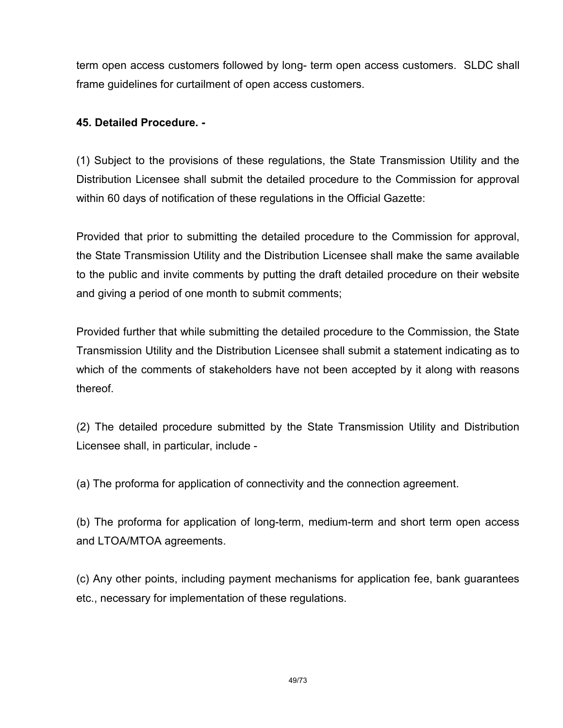term open access customers followed by long- term open access customers. SLDC shall frame guidelines for curtailment of open access customers.

## 45. Detailed Procedure. -

(1) Subject to the provisions of these regulations, the State Transmission Utility and the Distribution Licensee shall submit the detailed procedure to the Commission for approval within 60 days of notification of these regulations in the Official Gazette:

Provided that prior to submitting the detailed procedure to the Commission for approval, the State Transmission Utility and the Distribution Licensee shall make the same available to the public and invite comments by putting the draft detailed procedure on their website and giving a period of one month to submit comments;

Provided further that while submitting the detailed procedure to the Commission, the State Transmission Utility and the Distribution Licensee shall submit a statement indicating as to which of the comments of stakeholders have not been accepted by it along with reasons thereof.

(2) The detailed procedure submitted by the State Transmission Utility and Distribution Licensee shall, in particular, include -

(a) The proforma for application of connectivity and the connection agreement.

(b) The proforma for application of long-term, medium-term and short term open access and LTOA/MTOA agreements.

(c) Any other points, including payment mechanisms for application fee, bank guarantees etc., necessary for implementation of these regulations.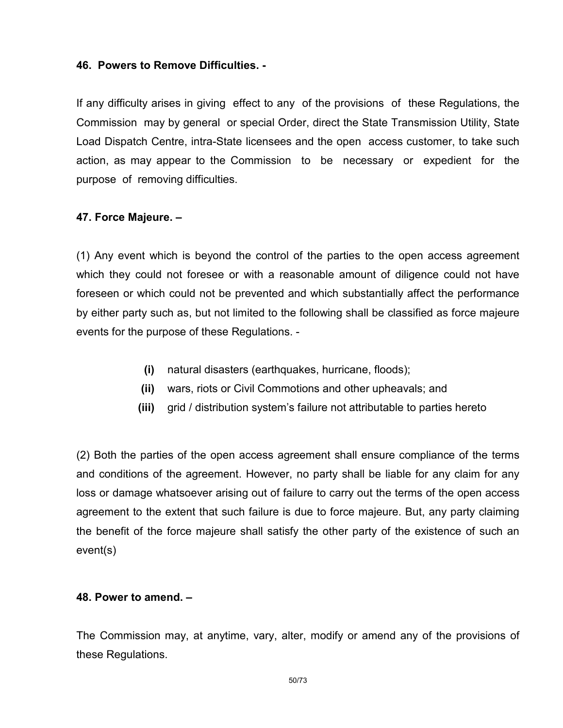## 46. Powers to Remove Difficulties. -

If any difficulty arises in giving effect to any of the provisions of these Regulations, the Commission may by general or special Order, direct the State Transmission Utility, State Load Dispatch Centre, intra-State licensees and the open access customer, to take such action, as may appear to the Commission to be necessary or expedient for the purpose of removing difficulties.

## 47. Force Majeure. –

(1) Any event which is beyond the control of the parties to the open access agreement which they could not foresee or with a reasonable amount of diligence could not have foreseen or which could not be prevented and which substantially affect the performance by either party such as, but not limited to the following shall be classified as force majeure events for the purpose of these Regulations. -

- (i) natural disasters (earthquakes, hurricane, floods);
- (ii) wars, riots or Civil Commotions and other upheavals; and
- (iii) grid / distribution system's failure not attributable to parties hereto

(2) Both the parties of the open access agreement shall ensure compliance of the terms and conditions of the agreement. However, no party shall be liable for any claim for any loss or damage whatsoever arising out of failure to carry out the terms of the open access agreement to the extent that such failure is due to force majeure. But, any party claiming the benefit of the force majeure shall satisfy the other party of the existence of such an event(s)

## 48. Power to amend. –

The Commission may, at anytime, vary, alter, modify or amend any of the provisions of these Regulations.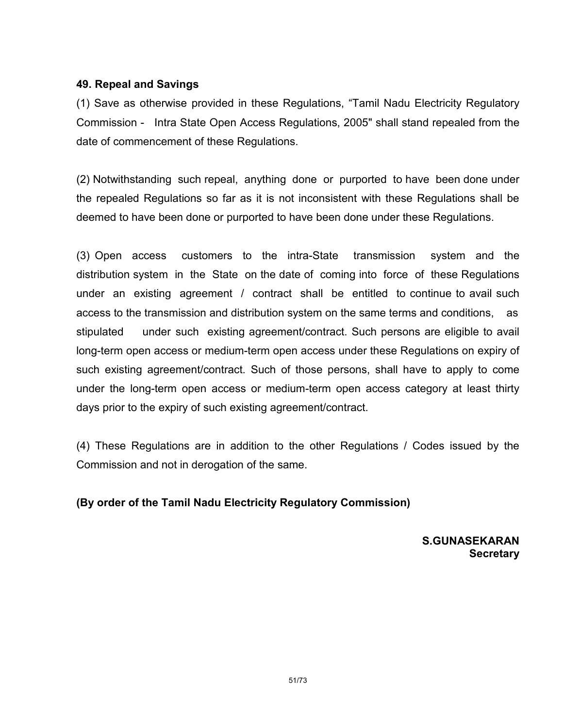## 49. Repeal and Savings

(1) Save as otherwise provided in these Regulations, "Tamil Nadu Electricity Regulatory Commission - Intra State Open Access Regulations, 2005" shall stand repealed from the date of commencement of these Regulations.

(2) Notwithstanding such repeal, anything done or purported to have been done under the repealed Regulations so far as it is not inconsistent with these Regulations shall be deemed to have been done or purported to have been done under these Regulations.

(3) Open access customers to the intra-State transmission system and the distribution system in the State on the date of coming into force of these Regulations under an existing agreement / contract shall be entitled to continue to avail such access to the transmission and distribution system on the same terms and conditions, as stipulated under such existing agreement/contract. Such persons are eligible to avail long-term open access or medium-term open access under these Regulations on expiry of such existing agreement/contract. Such of those persons, shall have to apply to come under the long-term open access or medium-term open access category at least thirty days prior to the expiry of such existing agreement/contract.

(4) These Regulations are in addition to the other Regulations / Codes issued by the Commission and not in derogation of the same.

## (By order of the Tamil Nadu Electricity Regulatory Commission)

S.GUNASEKARAN **Secretary**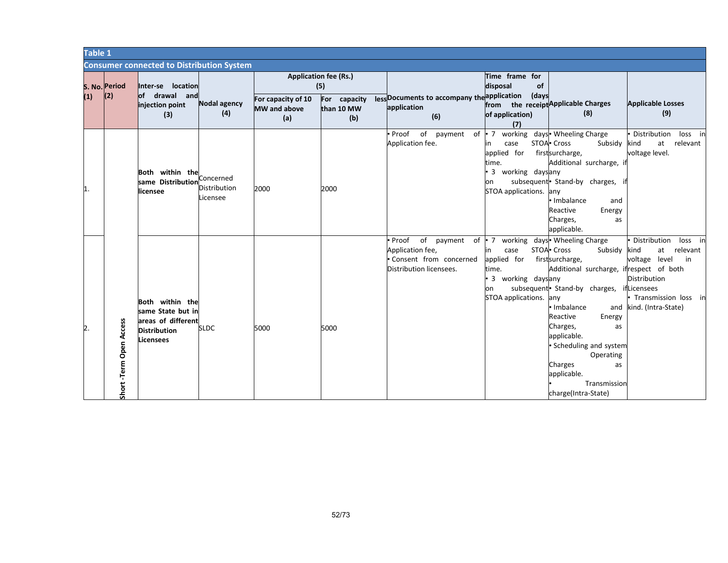| Table 1 |                           |                                                                                                |                                       |                                                  |                                   |                                                                                                                                    |                                                                                                                                  |                                                                                                                                                                                                                                                                                                                                 |                                                                                                                                                 |  |
|---------|---------------------------|------------------------------------------------------------------------------------------------|---------------------------------------|--------------------------------------------------|-----------------------------------|------------------------------------------------------------------------------------------------------------------------------------|----------------------------------------------------------------------------------------------------------------------------------|---------------------------------------------------------------------------------------------------------------------------------------------------------------------------------------------------------------------------------------------------------------------------------------------------------------------------------|-------------------------------------------------------------------------------------------------------------------------------------------------|--|
|         |                           | <b>Consumer connected to Distribution System</b>                                               |                                       |                                                  |                                   |                                                                                                                                    |                                                                                                                                  |                                                                                                                                                                                                                                                                                                                                 |                                                                                                                                                 |  |
|         | S. No. Period             | Inter-se location<br>of drawal and                                                             |                                       | <b>Application fee (Rs.)</b>                     | (5)                               |                                                                                                                                    | Time frame for<br>disposal<br>of                                                                                                 |                                                                                                                                                                                                                                                                                                                                 |                                                                                                                                                 |  |
| (1)     | (2)                       | injection point<br>(3)                                                                         | Nodal agency<br>(4)                   | For capacity of 10<br><b>MW</b> and above<br>(a) | For capacity<br>than 10 MW<br>(b) | less Documents to accompany the application (days<br>application<br>(6)                                                            | from the receipt Applicable Charges<br>of application)<br>(7)                                                                    | (8)                                                                                                                                                                                                                                                                                                                             | <b>Applicable Losses</b><br>(9)                                                                                                                 |  |
| 1.      |                           | Both within the<br>same Distribution<br>licensee                                               | Concerned<br>Distribution<br>Licensee | 2000                                             | 2000                              | of payment<br>Proof<br>Application fee.                                                                                            | of • 7 working days • Wheeling Charge<br>case<br>in<br>applied for<br>time.<br>3 working daysany<br>on<br>STOA applications. any | STOA <sup>.</sup> Cross<br>Subsidy<br>firstsurcharge,<br>Additional surcharge, if<br>subsequent • Stand-by charges, if<br>Imbalance<br>and<br>Reactive<br>Energy<br>Charges,<br>as<br>applicable.                                                                                                                               | Distribution<br>loss in<br>relevant<br>at<br>kind<br>voltage level.                                                                             |  |
| 2.      | Access<br>Short-Term Open | Both within the<br>same State but in<br>areas of different<br><b>Distribution</b><br>Licensees | <b>SLDC</b>                           | 5000                                             | 5000                              | of payment of • 7 working days • Wheeling Charge<br>Proof<br>Application fee,<br>Consent from concerned<br>Distribution licensees. | case<br>in<br>applied for<br>time.<br>3 working daysany<br>on<br>STOA applications. any                                          | STOA <sup>.</sup> Cross<br>Subsidy<br>firstsurcharge,<br>Additional surcharge, ifrespect of both<br>subsequent Stand-by charges, ifLicensees<br>Imbalance<br>Reactive<br>Energy<br>Charges,<br>as<br>applicable.<br>· Scheduling and system<br>Operating<br>Charges<br>as<br>applicable.<br>Transmission<br>charge(Intra-State) | Distribution<br>loss in<br>at relevant<br>kind<br>voltage level<br>in<br><b>Distribution</b><br>Transmission loss in<br>and kind. (Intra-State) |  |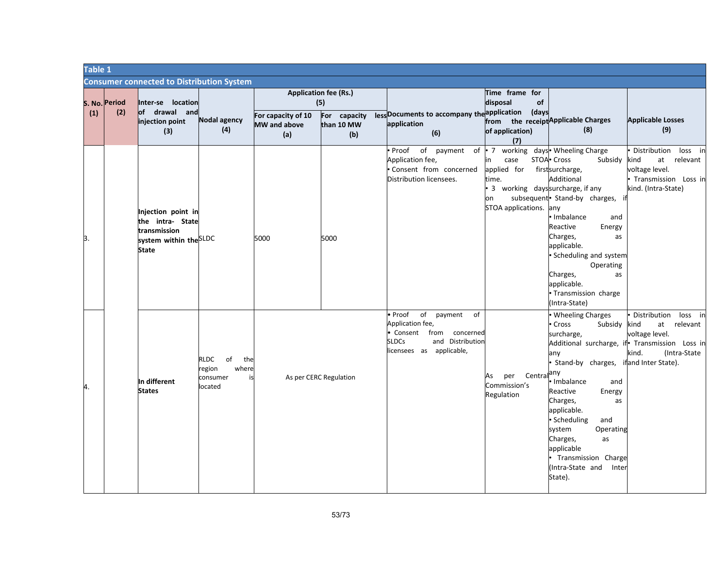| Table 1 |                      |                                                                                                  |                                                                   |                                                  |                                                                             |                                                                                                                                              |                                                                                                                                            |                                                                                                                                                                                                                                                                                                                                    |                                                                                                                                            |  |  |
|---------|----------------------|--------------------------------------------------------------------------------------------------|-------------------------------------------------------------------|--------------------------------------------------|-----------------------------------------------------------------------------|----------------------------------------------------------------------------------------------------------------------------------------------|--------------------------------------------------------------------------------------------------------------------------------------------|------------------------------------------------------------------------------------------------------------------------------------------------------------------------------------------------------------------------------------------------------------------------------------------------------------------------------------|--------------------------------------------------------------------------------------------------------------------------------------------|--|--|
|         |                      | <b>Consumer connected to Distribution System</b>                                                 |                                                                   |                                                  |                                                                             |                                                                                                                                              |                                                                                                                                            |                                                                                                                                                                                                                                                                                                                                    |                                                                                                                                            |  |  |
| (1)     | S. No. Period<br>(2) | Inter-se location<br>of drawal and<br>injection point<br>(3)                                     | Nodal agency<br>(4)                                               | For capacity of 10<br><b>MW</b> and above<br>(a) | <b>Application fee (Rs.)</b><br>(5)<br>capacity<br>For<br>than 10 MW<br>(b) | less Documents to accompany the application (days<br>application<br>(6)                                                                      | Time frame for<br>disposal<br>of<br>of application)<br>(7)                                                                                 | from the receipt <sup>Applicable Charges</sup><br>(8)                                                                                                                                                                                                                                                                              | <b>Applicable Losses</b><br>(9)                                                                                                            |  |  |
| 3.      |                      | Injection point in<br>the intra- State<br>transmission<br>system within the SLDC<br><b>State</b> |                                                                   | 5000                                             | 5000                                                                        | of<br>Proof<br>payment of<br>Application fee,<br>Consent from concerned<br>Distribution licensees.                                           | • 7 working days • Wheeling Charge<br>case<br>in<br>applied for<br>ime.<br>3 working dayssurcharge, if any<br>on<br>STOA applications. any | STOA <sup>.</sup> Cross<br>Subsidy<br>firstsurcharge,<br>Additional<br>subsequent • Stand-by charges,<br>Imbalance<br>and<br>Reactive<br>Energy<br>Charges,<br>as<br>applicable.<br>· Scheduling and system<br>Operating<br>Charges,<br>as<br>applicable.<br>· Transmission charge<br>(Intra-State)                                | Distribution<br>loss in<br>kind<br>at<br>relevant<br>voltage level.<br>Transmission Loss in<br>kind. (Intra-State)                         |  |  |
| 4.      |                      | In different<br><b>States</b>                                                                    | RLDC<br>of<br>the<br>where<br>region<br>consumer<br>is<br>located |                                                  | As per CERC Regulation                                                      | • Proof<br>of<br>payment<br>of<br>Application fee,<br>Consent from concerned<br>and Distribution<br><b>SLDCs</b><br>licensees as applicable, | Central <sup>any</sup><br>per<br>As<br>Commission's<br>Regulation                                                                          | <b>Wheeling Charges</b><br>Cross<br>Subsidy<br>surcharge,<br>any<br>Stand-by charges, ifland Inter State).<br>Imbalance<br>and<br>Reactive<br>Energy<br>Charges,<br>as<br>applicable.<br>· Scheduling<br>and<br>system<br>Operating<br>Charges,<br>as<br>applicable<br>Transmission Charge<br>(Intra-State and<br>Inter<br>State). | Distribution<br>loss in<br>kind<br>at relevant<br>voltage level.<br>Additional surcharge, if Transmission Loss in<br>kind.<br>(Intra-State |  |  |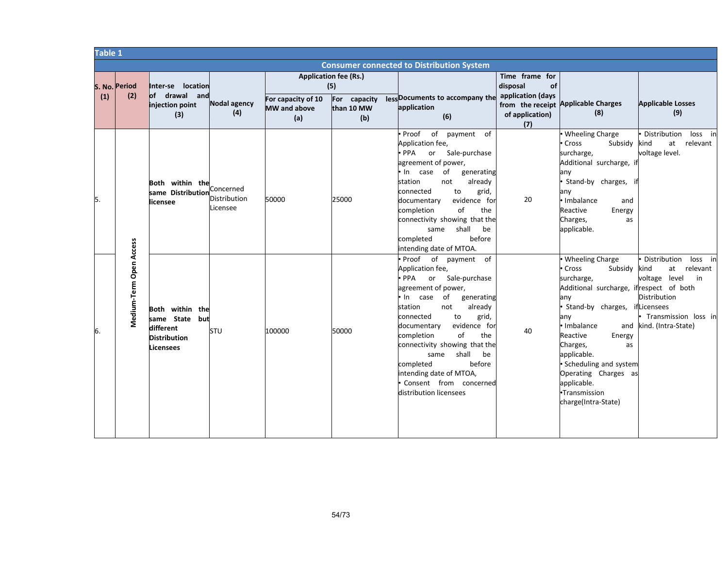|     |                         |                                                                                    |                                       | <b>Table 1</b>             |                                                     |                                                                                                                                                                                                                                                                                                                                                                                                                          |                                                       |                                                                                                                                                                                                                                                                                                                                          |                                                                                                                                         |  |  |  |  |
|-----|-------------------------|------------------------------------------------------------------------------------|---------------------------------------|----------------------------|-----------------------------------------------------|--------------------------------------------------------------------------------------------------------------------------------------------------------------------------------------------------------------------------------------------------------------------------------------------------------------------------------------------------------------------------------------------------------------------------|-------------------------------------------------------|------------------------------------------------------------------------------------------------------------------------------------------------------------------------------------------------------------------------------------------------------------------------------------------------------------------------------------------|-----------------------------------------------------------------------------------------------------------------------------------------|--|--|--|--|
|     |                         |                                                                                    |                                       |                            |                                                     | <b>Consumer connected to Distribution System</b>                                                                                                                                                                                                                                                                                                                                                                         |                                                       |                                                                                                                                                                                                                                                                                                                                          |                                                                                                                                         |  |  |  |  |
| (1) | S. No. Period<br>(2)    | Inter-se location<br>drawal and<br><b>of</b><br>injection point                    | Nodal agency                          | For capacity of 10         | <b>Application fee (Rs.)</b><br>(5)<br>For capacity | lessDocuments to accompany the                                                                                                                                                                                                                                                                                                                                                                                           | Time frame for<br>disposal<br>of<br>application (days | from the receipt Applicable Charges                                                                                                                                                                                                                                                                                                      | <b>Applicable Losses</b>                                                                                                                |  |  |  |  |
|     |                         | (3)                                                                                | (4)                                   | <b>MW</b> and above<br>(a) | than 10 MW<br>(b)                                   | application<br>(6)                                                                                                                                                                                                                                                                                                                                                                                                       | of application)<br>(7)                                | (8)                                                                                                                                                                                                                                                                                                                                      | (9)                                                                                                                                     |  |  |  |  |
| 5.  |                         | Both within the<br>same Distribution<br>licensee                                   | Concerned<br>Distribution<br>Licensee | 50000                      | 25000                                               | of payment<br>Proof<br>of<br>Application fee,<br>Sale-purchase<br>$\bullet$ PPA<br>or<br>agreement of power,<br>• In case<br>of<br>generating<br>station<br>not<br>already<br>connected<br>to<br>grid,<br>evidence for<br>documentary<br>completion<br>of<br>the<br>connectivity showing that the<br>shall<br>same<br>be<br>completed<br>before<br>intending date of MTOA.                                               | 20                                                    | • Wheeling Charge<br>• Cross<br>Subsidy<br>surcharge,<br>Additional surcharge, if<br>any<br>· Stand-by charges,<br>any<br>· Imbalance<br>and<br>Reactive<br>Energy<br>Charges,<br>as<br>applicable.                                                                                                                                      | Distribution<br>loss in<br>relevant<br>kind<br>at<br>voltage level.                                                                     |  |  |  |  |
| 6.  | Medium-Term Open Access | Both within the<br>same State but<br>different<br><b>Distribution</b><br>Licensees | STU                                   | 100000                     | 50000                                               | Proof of payment of<br>Application fee,<br>or Sale-purchase<br>PPA <sup>•</sup><br>agreement of power,<br>• In case<br>of<br>generating<br>already<br>station<br>not<br>to<br>connected<br>grid,<br>evidence for<br>documentary<br>of<br>completion<br>the<br>connectivity showing that the<br>shall<br>same<br>be<br>completed<br>before<br>intending date of MTOA,<br>Consent from concerned<br>distribution licensees | 40                                                    | • Wheeling Charge<br>• Cross<br>Subsidy<br>surcharge,<br>Additional surcharge, ifrespect of both<br>any<br>· Stand-by charges, ifLicensees<br>any<br>· Imbalance<br>and<br>Reactive<br>Energy<br>Charges,<br>as<br>applicable.<br>· Scheduling and system<br>Operating Charges as<br>applicable.<br>·Transmission<br>charge(Intra-State) | Distribution<br>loss in<br>relevant<br>kind<br>at<br>voltage level<br>in<br>Distribution<br>Transmission loss in<br>kind. (Intra-State) |  |  |  |  |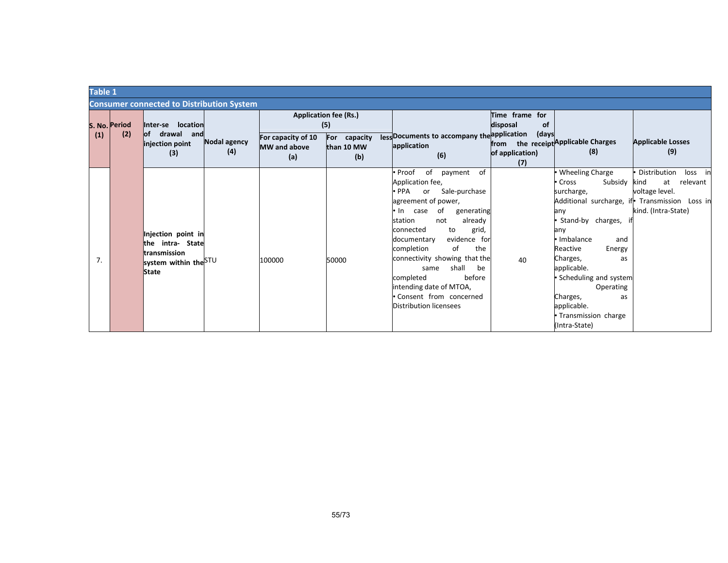|     | Table 1       |                                                  |                     |                              |                                             |                       |                                     |                                               |  |  |
|-----|---------------|--------------------------------------------------|---------------------|------------------------------|---------------------------------------------|-----------------------|-------------------------------------|-----------------------------------------------|--|--|
|     |               | <b>Consumer connected to Distribution System</b> |                     |                              |                                             |                       |                                     |                                               |  |  |
|     |               |                                                  |                     | <b>Application fee (Rs.)</b> |                                             | Time frame for        |                                     |                                               |  |  |
|     | S. No. Period | Inter-se location                                |                     | (5)                          |                                             | disposal<br><b>of</b> |                                     |                                               |  |  |
| (1) | (2)           | of drawal and<br>Nodal agency<br>injection point | For capacity of 10  | For capacity                 | less Documents to accompany the application | (days                 | from the receipt Applicable Charges | <b>Applicable Losses</b>                      |  |  |
|     |               | (4)<br>(3)                                       | <b>MW</b> and above | than 10 MW                   | application                                 | of application)       | (8)                                 | (9)                                           |  |  |
|     |               |                                                  | (a)                 | (b)                          | (6)                                         | (7)                   |                                     |                                               |  |  |
|     |               |                                                  |                     |                              | of payment<br>of<br>Proof                   |                       | • Wheeling Charge                   | Distribution<br>loss in                       |  |  |
|     |               |                                                  |                     |                              | Application fee,                            |                       | Subsidy kind<br>Cross               | at<br>relevant                                |  |  |
|     |               |                                                  |                     |                              | PPA or Sale-purchase                        |                       | surcharge,                          | voltage level.                                |  |  |
|     |               |                                                  |                     |                              | agreement of power,                         |                       |                                     | Additional surcharge, if Transmission Loss in |  |  |
|     |               |                                                  |                     |                              | • In case of<br>generating                  |                       | any                                 | kind. (Intra-State)                           |  |  |
|     |               |                                                  |                     |                              | already<br>station<br>not                   |                       | Stand-by charges, it                |                                               |  |  |
|     |               | Injection point in                               |                     |                              | grid,<br>connected<br>to                    |                       | any                                 |                                               |  |  |
|     |               | the intra- State                                 |                     |                              | evidence for<br>documentary                 |                       | le Imbalance<br>and                 |                                               |  |  |
|     |               | transmission                                     |                     |                              | of<br>completion<br>the                     |                       | Reactive<br>Energy                  |                                               |  |  |
| 7.  |               | system within the STU                            | 100000              | 50000                        | connectivity showing that the               | 40                    | Charges,<br>as                      |                                               |  |  |
|     |               | <b>State</b>                                     |                     |                              | shall<br>be<br>same                         |                       | applicable.                         |                                               |  |  |
|     |               |                                                  |                     |                              | before<br>completed                         |                       | • Scheduling and system             |                                               |  |  |
|     |               |                                                  |                     |                              | intending date of MTOA,                     |                       | Operating                           |                                               |  |  |
|     |               |                                                  |                     |                              | Consent from concerned                      |                       | Charges,<br>as                      |                                               |  |  |
|     |               |                                                  |                     |                              | Distribution licensees                      |                       | applicable.                         |                                               |  |  |
|     |               |                                                  |                     |                              |                                             |                       | • Transmission charge               |                                               |  |  |
|     |               |                                                  |                     |                              |                                             |                       | (Intra-State)                       |                                               |  |  |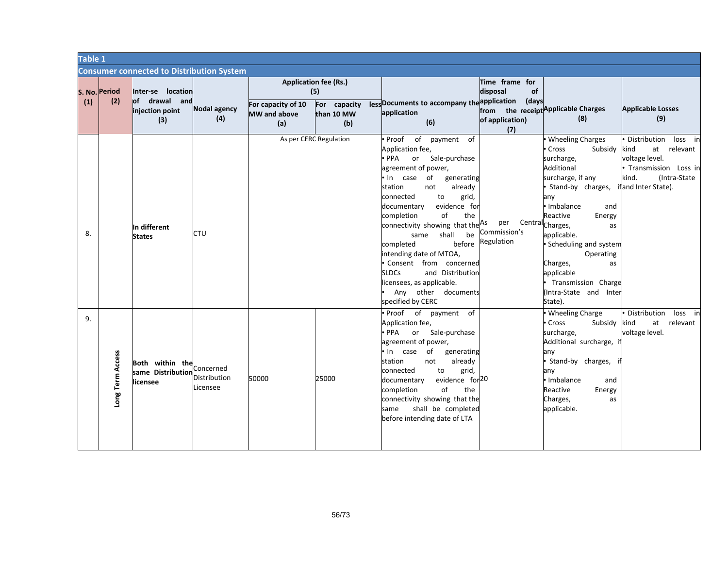|     | Table 1              |                                                              |                            |                                           |                                                                          |                                                                                                                                                                                                                                                                                                                                                                                                                                                                                                                             |                                                                                                   |                                                                                                                                                                                                                                                                                                                                                            |                                                                                                                                         |  |
|-----|----------------------|--------------------------------------------------------------|----------------------------|-------------------------------------------|--------------------------------------------------------------------------|-----------------------------------------------------------------------------------------------------------------------------------------------------------------------------------------------------------------------------------------------------------------------------------------------------------------------------------------------------------------------------------------------------------------------------------------------------------------------------------------------------------------------------|---------------------------------------------------------------------------------------------------|------------------------------------------------------------------------------------------------------------------------------------------------------------------------------------------------------------------------------------------------------------------------------------------------------------------------------------------------------------|-----------------------------------------------------------------------------------------------------------------------------------------|--|
|     |                      | <b>Consumer connected to Distribution System</b>             |                            |                                           |                                                                          |                                                                                                                                                                                                                                                                                                                                                                                                                                                                                                                             |                                                                                                   |                                                                                                                                                                                                                                                                                                                                                            |                                                                                                                                         |  |
| (1) | S. No. Period<br>(2) | Inter-se location<br>of drawal and<br>injection point<br>(3) | <b>Nodal agency</b><br>(4) | For capacity of 10<br>MW and above<br>(a) | <b>Application fee (Rs.)</b><br>(5)<br>For capacity<br>than 10 MW<br>(b) | less Documents to accompany the application (days<br>application<br>(6)                                                                                                                                                                                                                                                                                                                                                                                                                                                     | Time frame for<br>disposal<br>of<br>from the receipt Applicable Charges<br>of application)<br>(7) | (8)                                                                                                                                                                                                                                                                                                                                                        | <b>Applicable Losses</b><br>(9)                                                                                                         |  |
| 8.  |                      | In different<br><b>States</b>                                | <b>CTU</b>                 |                                           | As per CERC Regulation                                                   | of<br>payment of<br>• Proof<br>Application fee,<br>or Sale-purchase<br>$\bullet$ PPA<br>agreement of power,<br>. In case of<br>generating<br>station<br>not<br>already<br>connected<br>to<br>grid,<br>evidence for<br>documentary<br>completion<br>of<br>the<br>connectivity showing that the <sup>As</sup><br>be<br>shall<br>same<br>before<br>completed<br>intending date of MTOA,<br>Consent from concerned<br><b>SLDCs</b><br>and Distribution<br>licensees, as applicable.<br>Any other documents<br>specified by CERC | per<br>Commission's<br>Regulation                                                                 | <b>Wheeling Charges</b><br>Cross<br>Subsidy<br>surcharge,<br>Additional<br>surcharge, if any<br>Stand-by charges,<br>any<br>· Imbalance<br>and<br>Reactive<br>Energy<br>Central <sub>Charges,</sub><br>as<br>applicable.<br>Scheduling and system<br>Operating<br>Charges,<br>as<br>applicable<br>Transmission Charge<br>(Intra-State and Inter<br>State). | Distribution loss in<br>kind<br>at relevant<br>voltage level.<br>· Transmission Loss in<br>kind.<br>(Intra-State<br>ifand Inter State). |  |
| 9.  | Long Term Access     | Both within the Concerned<br>same Distribution<br>licensee   | Distribution<br>Licensee   | 50000                                     | 25000                                                                    | · Proof of payment of<br>Application fee,<br>$\bullet$ PPA<br>or Sale-purchase<br>agreement of power,<br>of<br>• In case<br>generating<br>not<br>already<br>station<br>connected<br>to<br>grid,<br>evidence for <sup>20</sup><br>documentary<br>of<br>completion<br>the<br>connectivity showing that the<br>shall be completed<br>same<br>before intending date of LTA                                                                                                                                                      |                                                                                                   | <b>Wheeling Charge</b><br>Subsidy kind<br>Cross<br>surcharge,<br>Additional surcharge, if<br>any<br>Stand-by charges,<br>any<br>· Imbalance<br>and<br>Reactive<br>Energy<br>Charges,<br>as<br>applicable.                                                                                                                                                  | Distribution<br>loss in<br>at relevant<br>voltage level.                                                                                |  |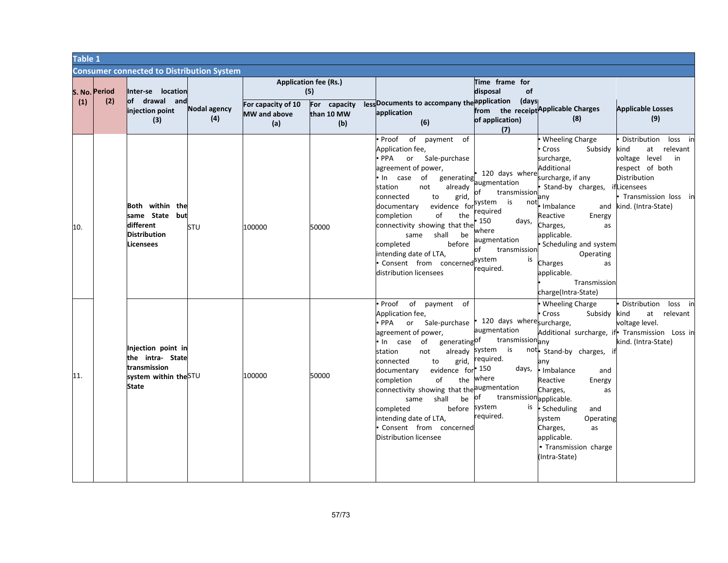| <b>Table 1</b> |     |                      |                                                                                                 |                     |                                                  |                                                                          |                                                                                                                                                                                                                                                                                                                                                                                                                                            |                                                                                                                                                                           |                                                                                                                                                                                                                                                                                                     |                                                                                                                                                                            |
|----------------|-----|----------------------|-------------------------------------------------------------------------------------------------|---------------------|--------------------------------------------------|--------------------------------------------------------------------------|--------------------------------------------------------------------------------------------------------------------------------------------------------------------------------------------------------------------------------------------------------------------------------------------------------------------------------------------------------------------------------------------------------------------------------------------|---------------------------------------------------------------------------------------------------------------------------------------------------------------------------|-----------------------------------------------------------------------------------------------------------------------------------------------------------------------------------------------------------------------------------------------------------------------------------------------------|----------------------------------------------------------------------------------------------------------------------------------------------------------------------------|
|                |     |                      | <b>Consumer connected to Distribution System</b>                                                |                     |                                                  |                                                                          |                                                                                                                                                                                                                                                                                                                                                                                                                                            |                                                                                                                                                                           |                                                                                                                                                                                                                                                                                                     |                                                                                                                                                                            |
|                | (1) | S. No. Period<br>(2) | Inter-se location<br>lof drawal andı<br>injection point<br>(3)                                  | Nodal agency<br>(4) | For capacity of 10<br><b>MW</b> and above<br>(a) | <b>Application fee (Rs.)</b><br>(5)<br>For capacity<br>than 10 MW<br>(b) | lessDocuments to accompany the application (days<br>application<br>(6)                                                                                                                                                                                                                                                                                                                                                                     | Time frame for<br>of<br>disposal<br>of application)<br>(7)                                                                                                                | from the receipt Applicable Charges<br>(8)                                                                                                                                                                                                                                                          | <b>Applicable Losses</b><br>(9)                                                                                                                                            |
|                | 10. |                      | Both within the<br>same State but<br>different<br><b>Distribution</b><br>Licensees              | STU                 | 100000                                           | 50000                                                                    | Proof of payment of<br>Application fee,<br>or Sale-purchase<br>PPA ·<br>agreement of power,<br>In case of<br>generating<br>already<br>station<br>not<br>connected<br>to<br>grid,<br>evidence for<br>documentary<br>the<br>completion<br>οf<br>connectivity showing that the<br>same shall<br>be<br>completed<br>before<br>intending date of LTA,<br>Consent from concerned<br>distribution licensees                                       | 120 days where<br>augmentation<br>transmission<br>system is<br>not<br>required<br>150<br>days,<br>where<br>augmentation<br>transmission<br>nf<br>system<br>is<br>equired. | Wheeling Charge<br>Cross<br>Subsidy<br>surcharge,<br>Additional<br>surcharge, if any<br>Stand-by charges,<br>any<br>Imbalance<br>Reactive<br>Energy<br>Charges,<br>as<br>applicable.<br>· Scheduling and system<br>Operating<br>Charges<br>as<br>applicable.<br>Transmission<br>charge(Intra-State) | Distribution<br>loss in<br>at relevant<br>kind<br>voltage level<br>in<br>respect of both<br>Distribution<br>ifLicensees<br>Transmission loss in<br>and kind. (Intra-State) |
|                | 11. |                      | Injection point in<br>the intra- State<br>transmission<br>system within the STU<br><b>State</b> |                     | 100000                                           | 50000                                                                    | Proof of payment of<br>Application fee,<br>Sale-purchase<br>$\bullet$ PPA<br>or<br>agreement of power,<br>generatingOf<br>of<br>In case<br>already<br>station<br>not<br>grid,<br>connected<br>to<br>evidence for<br>documentary<br>of<br>the<br>completion<br>connectivity showing that the augmentation<br>shall<br>be<br>same<br>before system<br>completed<br>intending date of LTA,<br>Consent from concerned<br>Distribution licensee | 120 days wheresurcharge,<br>augmentation<br>transmissionany<br>system is<br>required.<br>150<br>days,<br>where<br>transmission applicable.<br>of<br>is<br>required.       | • Wheeling Charge<br>Cross<br>Subsidy<br>not. Stand-by charges, if<br>any<br>· Imbalance<br>and<br>Reactive<br>Energy<br>Charges,<br>as<br>· Scheduling<br>and<br>system<br>Operating<br>Charges,<br>as<br>applicable.<br>• Transmission charge<br>(Intra-State)                                    | Distribution<br>loss in<br>at relevant<br>kind<br>voltage level.<br>Additional surcharge, if Transmission Loss in<br>kind. (Intra-State)                                   |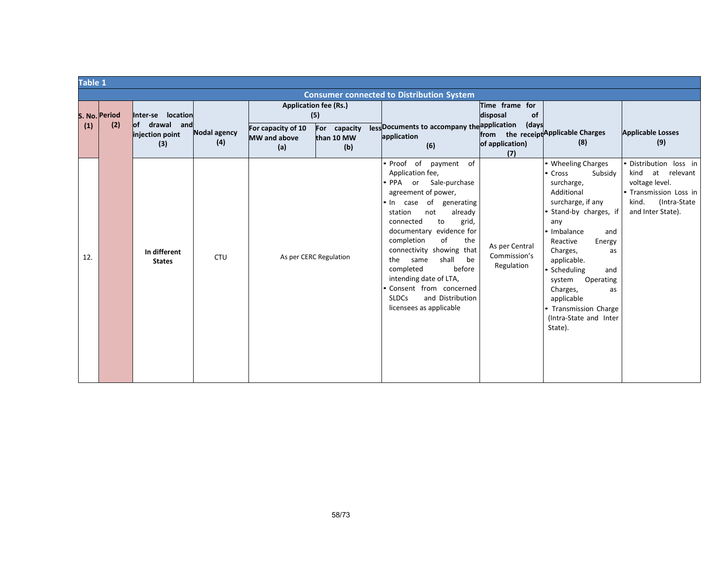|     | Table 1       |                                         |                     |                                                  |                                     |                                                                                                                                                                                                                                                                                                                                                                                                                                                        |                                              |                                                                                                                                                                                                                                                                                                                                                   |                                                                                                                                    |  |  |
|-----|---------------|-----------------------------------------|---------------------|--------------------------------------------------|-------------------------------------|--------------------------------------------------------------------------------------------------------------------------------------------------------------------------------------------------------------------------------------------------------------------------------------------------------------------------------------------------------------------------------------------------------------------------------------------------------|----------------------------------------------|---------------------------------------------------------------------------------------------------------------------------------------------------------------------------------------------------------------------------------------------------------------------------------------------------------------------------------------------------|------------------------------------------------------------------------------------------------------------------------------------|--|--|
|     |               |                                         |                     |                                                  |                                     | <b>Consumer connected to Distribution System</b>                                                                                                                                                                                                                                                                                                                                                                                                       |                                              |                                                                                                                                                                                                                                                                                                                                                   |                                                                                                                                    |  |  |
|     | S. No. Period | location<br>Inter-se                    |                     |                                                  | <b>Application fee (Rs.)</b><br>(5) |                                                                                                                                                                                                                                                                                                                                                                                                                                                        | Time frame for<br>of<br>disposal             |                                                                                                                                                                                                                                                                                                                                                   |                                                                                                                                    |  |  |
| (1) | (2)           | of drawal and<br>injection point<br>(3) | Nodal agency<br>(4) | For capacity of 10<br><b>MW</b> and above<br>(a) | For capacity<br>than 10 MW<br>(b)   | less Documents to accompany the application<br>application<br>(6)                                                                                                                                                                                                                                                                                                                                                                                      | (days<br>of application)<br>(7)              | from the receipt Applicable Charges<br>(8)                                                                                                                                                                                                                                                                                                        | <b>Applicable Losses</b><br>(9)                                                                                                    |  |  |
| 12. |               | In different<br><b>States</b>           | <b>CTU</b>          |                                                  | As per CERC Regulation              | • Proof of<br>of<br>payment<br>Application fee,<br>Sale-purchase<br>∙ PPA or<br>agreement of power,<br>generating<br>• In case of<br>already<br>station<br>not<br>to<br>connected<br>grid,<br>documentary evidence for<br>completion<br>of<br>the<br>connectivity showing that<br>shall<br>the<br>same<br>be<br>before<br>completed<br>intending date of LTA,<br>Consent from concerned<br><b>SLDCs</b><br>and Distribution<br>licensees as applicable | As per Central<br>Commission's<br>Regulation | • Wheeling Charges<br>• Cross<br>Subsidy<br>surcharge,<br>Additional<br>surcharge, if any<br>• Stand-by charges, if<br>any<br>· Imbalance<br>and<br>Reactive<br>Energy<br>Charges,<br>as<br>applicable.<br>Scheduling<br>and<br>system<br>Operating<br>Charges,<br>as<br>applicable<br>• Transmission Charge<br>(Intra-State and Inter<br>State). | Distribution loss in<br>kind at relevant<br>voltage level.<br>· Transmission Loss in<br>kind.<br>(Intra-State<br>and Inter State). |  |  |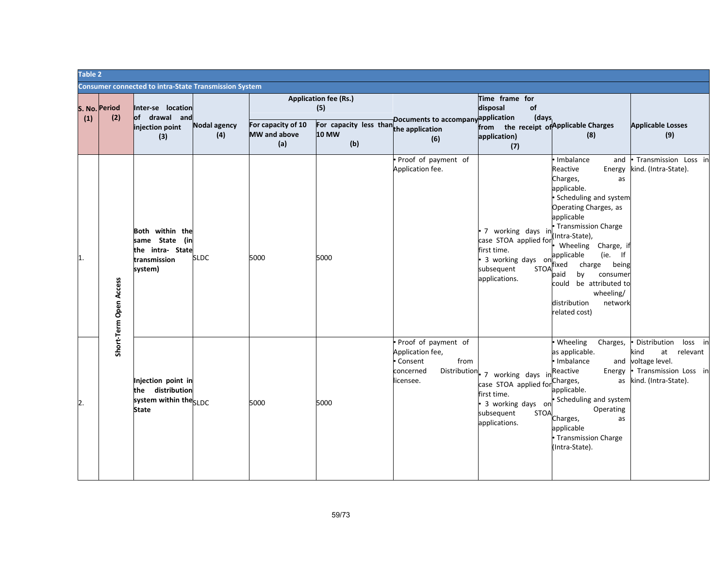|     | Table 2                |                                                                                     |                            |                                                  |                                                                                                      |                                                                                                       |                                                                                                                              |                                                                                                                                                                                                                                                                                                                                                                                |                                                                                                                     |  |  |
|-----|------------------------|-------------------------------------------------------------------------------------|----------------------------|--------------------------------------------------|------------------------------------------------------------------------------------------------------|-------------------------------------------------------------------------------------------------------|------------------------------------------------------------------------------------------------------------------------------|--------------------------------------------------------------------------------------------------------------------------------------------------------------------------------------------------------------------------------------------------------------------------------------------------------------------------------------------------------------------------------|---------------------------------------------------------------------------------------------------------------------|--|--|
|     |                        | <b>Consumer connected to intra-State Transmission System</b>                        |                            |                                                  |                                                                                                      |                                                                                                       |                                                                                                                              |                                                                                                                                                                                                                                                                                                                                                                                |                                                                                                                     |  |  |
| (1) | S. No. Period<br>(2)   | Inter-se location<br>of drawal and<br>injection point<br>(3)                        | <b>Nodal agency</b><br>(4) | For capacity of 10<br><b>MW</b> and above<br>(a) | <b>Application fee (Rs.)</b><br>(5)<br>For capacity less than the application<br><b>10 MW</b><br>(b) | Documents to accompany<br>(6)                                                                         | Time frame for<br>disposal<br>of<br>application<br>(days<br>from the receipt of Applicable Charges<br>application)<br>(7)    | (8)                                                                                                                                                                                                                                                                                                                                                                            | <b>Applicable Losses</b><br>(9)                                                                                     |  |  |
| 1.  | Short-Term Open Access | Both within the<br>same State<br>(in<br>the intra- State<br>transmission<br>system) | <b>SLDC</b>                | 5000                                             | 5000                                                                                                 | Proof of payment of<br>Application fee.                                                               | 7 working days in<br>case STOA applied for<br>first time.<br>3 working days on<br><b>STOA</b><br>subsequent<br>applications. | · Imbalance<br>and<br>Reactive<br>Energy<br>Charges,<br>as<br>applicable.<br>· Scheduling and system<br>Operating Charges, as<br>applicable<br>• Transmission Charge<br>(Intra-State),<br>Wheeling<br>Charge, if<br>(ie. If<br>applicable<br>charge being<br>ixed<br>consumer<br>oaid<br>by<br>could be attributed to<br>wheeling/<br>distribution<br>network<br>related cost) | Transmission Loss in<br>cind. (Intra-State).                                                                        |  |  |
| 2.  |                        | Injection point in<br>distribution<br>the<br>system within theSLDC<br><b>State</b>  |                            | 5000                                             | 5000                                                                                                 | Proof of payment of<br>Application fee,<br>from<br>Consent<br>Distribution.<br>concerned<br>licensee. | 7 working days in<br>case STOA applied for<br>first time.<br>3 working days on<br>subsequent<br><b>STOA</b><br>applications. | • Wheeling<br>Charges,<br>as applicable.<br>· Imbalance<br>and<br>Reactive<br>Energy<br>Charges,<br>as<br>applicable.<br>Scheduling and system<br>Operating<br>Charges,<br>as<br>applicable<br>• Transmission Charge<br>(Intra-State).                                                                                                                                         | Distribution<br>loss in<br>relevant<br>kind<br>at<br>voltage level.<br>Transmission Loss in<br>kind. (Intra-State). |  |  |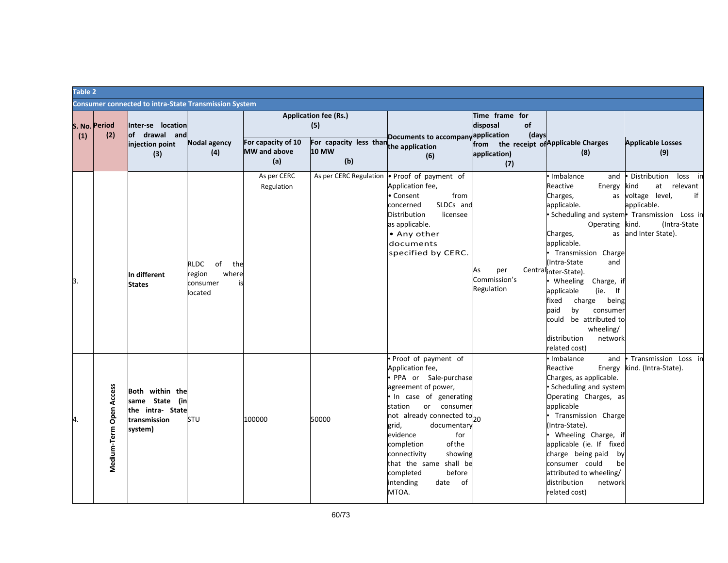|     | Table 2                 |                                                                                  |                                                                          |                                                  |                                                                                               |                                                                                                                                                                                                                                                                                                                                                                              |                                                   |                    |                                                                                                                                                                                                                                                                                                                                                                                   |                                                                                                                                                                                        |
|-----|-------------------------|----------------------------------------------------------------------------------|--------------------------------------------------------------------------|--------------------------------------------------|-----------------------------------------------------------------------------------------------|------------------------------------------------------------------------------------------------------------------------------------------------------------------------------------------------------------------------------------------------------------------------------------------------------------------------------------------------------------------------------|---------------------------------------------------|--------------------|-----------------------------------------------------------------------------------------------------------------------------------------------------------------------------------------------------------------------------------------------------------------------------------------------------------------------------------------------------------------------------------|----------------------------------------------------------------------------------------------------------------------------------------------------------------------------------------|
|     |                         | <b>Consumer connected to intra-State Transmission System</b>                     |                                                                          |                                                  |                                                                                               |                                                                                                                                                                                                                                                                                                                                                                              |                                                   |                    |                                                                                                                                                                                                                                                                                                                                                                                   |                                                                                                                                                                                        |
| (1) | S. No. Period<br>(2)    | Inter-se location<br>of drawal and<br>injection point<br>(3)                     | <b>Nodal agency</b><br>(4)                                               | For capacity of 10<br><b>MW</b> and above<br>(a) | <b>Application fee (Rs.)</b><br>(5)<br>For capacity less than the application<br>10 MW<br>(b) | Documents to accompanyapplication<br>(6)                                                                                                                                                                                                                                                                                                                                     | Time frame for<br>disposal<br>application)<br>(7) | <b>of</b><br>(days | from the receipt of Applicable Charges<br>(8)                                                                                                                                                                                                                                                                                                                                     | <b>Applicable Losses</b><br>(9)                                                                                                                                                        |
| 3.  |                         | In different<br><b>States</b>                                                    | <b>RLDC</b><br>of<br>the<br>where<br>region<br>consumer<br>i٢<br>located | As per CERC<br>Regulation                        |                                                                                               | As per CERC Regulation • Proof of payment of<br>Application fee,<br>from<br>• Consent<br>SLDCs and<br>concerned<br>Distribution<br>licensee<br>as applicable.<br>• Any other<br>documents<br>specified by CERC.                                                                                                                                                              | per<br>As<br>Commission's<br>Regulation           |                    | Imbalance<br>and<br>Reactive<br>Energy<br>Charges,<br>applicable.<br>Operating kind.<br>Charges,<br>applicable.<br>Transmission Charge<br>(Intra-State<br>and<br>Centralinter-State).<br>Wheeling<br>Charge, it<br>applicable<br>(ie. If<br>fixed<br>charge being<br>paid<br>by<br>consumer<br>be attributed to<br>could<br>wheeling/<br>distribution<br>network<br>related cost) | Distribution<br>loss in<br>relevant<br>kind<br>at<br>as voltage level,<br>if<br>applicable.<br>• Scheduling and system • Transmission Loss in<br>(Intra-State)<br>as and Inter State). |
| 4.  | Medium-Term Open Access | Both within the<br>same State (in<br>the intra- State<br>transmission<br>system) | STU                                                                      | 100000                                           | 50000                                                                                         | . Proof of payment of<br>Application fee,<br>· PPA or Sale-purchase<br>agreement of power,<br>· In case of generating<br>or consumer<br>station<br>not already connected to <sub>20</sub><br>grid,<br>documentary<br>evidence<br>for<br>of the<br>completion<br>connectivity<br>showing<br>that the same shall be<br>completed<br>before<br>intending<br>date<br>of<br>MTOA. |                                                   |                    | Imbalance<br>and<br>Reactive<br>Energy<br>Charges, as applicable.<br>· Scheduling and system<br>Operating Charges, as<br>applicable<br>Transmission Charge<br>(Intra-State).<br>Wheeling Charge, it<br>applicable (ie. If fixed<br>charge being paid<br>by<br>consumer could<br>be<br>attributed to wheeling/<br>distribution<br>network<br>related cost)                         | Transmission Loss ir<br>kind. (Intra-State).                                                                                                                                           |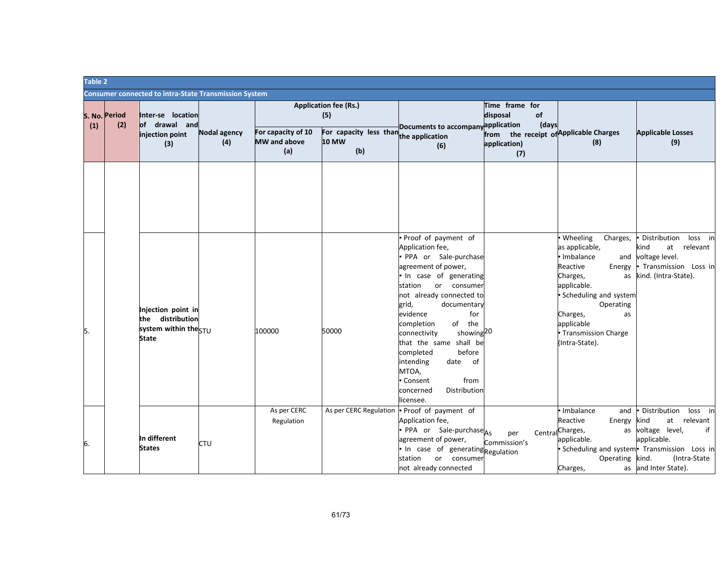| Table 2 |                      |                                                                                 |                            |                                                  |                                                               |                                                                                                                                                                                                                                                                                                                                                                                                                                           |                                                               |                                                                                                                                                                                                                                          |                                                                                                                                                                                                |
|---------|----------------------|---------------------------------------------------------------------------------|----------------------------|--------------------------------------------------|---------------------------------------------------------------|-------------------------------------------------------------------------------------------------------------------------------------------------------------------------------------------------------------------------------------------------------------------------------------------------------------------------------------------------------------------------------------------------------------------------------------------|---------------------------------------------------------------|------------------------------------------------------------------------------------------------------------------------------------------------------------------------------------------------------------------------------------------|------------------------------------------------------------------------------------------------------------------------------------------------------------------------------------------------|
|         |                      | <b>Consumer connected to intra-State Transmission System</b>                    |                            |                                                  |                                                               |                                                                                                                                                                                                                                                                                                                                                                                                                                           |                                                               |                                                                                                                                                                                                                                          |                                                                                                                                                                                                |
| (1)     | S. No. Period<br>(2) | Inter-se location<br>of drawal and                                              |                            |                                                  | <b>Application fee (Rs.)</b><br>(5)                           | Documents to accompany application                                                                                                                                                                                                                                                                                                                                                                                                        | Time frame for<br>disposal<br>of<br>(days                     |                                                                                                                                                                                                                                          |                                                                                                                                                                                                |
|         |                      | injection point<br>(3)                                                          | <b>Nodal agency</b><br>(4) | For capacity of 10<br><b>MW</b> and above<br>(a) | For capacity less than the application<br><b>10 MW</b><br>(b) | (6)                                                                                                                                                                                                                                                                                                                                                                                                                                       | from the receipt of Applicable Charges<br>application)<br>(7) | (8)                                                                                                                                                                                                                                      | <b>Applicable Losses</b><br>(9)                                                                                                                                                                |
|         |                      |                                                                                 |                            |                                                  |                                                               |                                                                                                                                                                                                                                                                                                                                                                                                                                           |                                                               |                                                                                                                                                                                                                                          |                                                                                                                                                                                                |
| 5.      |                      | Injection point in<br>the distribution<br>system within the STU<br><b>State</b> |                            | 100000                                           | 50000                                                         | Proof of payment of<br>Application fee,<br>· PPA or Sale-purchase<br>agreement of power,<br>. In case of generating<br>or consumer<br>station<br>not already connected to<br>grid,<br>documentary<br>evidence<br>for<br>of the<br>completion<br>showing <sup>20</sup><br>connectivity<br>that the same shall be<br>completed<br>before<br>intending<br>date<br>of<br>MTOA,<br>from<br>• Consent<br>Distribution<br>concerned<br>licensee. |                                                               | • Wheeling<br>Charges,<br>as applicable,<br>· Imbalance<br>and<br>Reactive<br>Energy<br>Charges,<br>as<br>applicable.<br>• Scheduling and system<br>Operating<br>Charges,<br>as<br>applicable<br>• Transmission Charge<br>(Intra-State). | Distribution<br>loss in<br>relevant<br>kind<br>at<br>voltage level.<br>· Transmission Loss in<br>kind. (Intra-State).                                                                          |
| 6.      |                      | In different<br><b>States</b>                                                   | CTU                        | As per CERC<br>Regulation                        |                                                               | As per CERC Regulation . Proof of payment of<br>Application fee,<br>PPA or Sale-purchase <sub>As</sub><br>agreement of power,<br>In case of generating Regulation<br>or consumer<br>station<br>not already connected                                                                                                                                                                                                                      | per<br>Commission's                                           | · Imbalance<br>and<br>Reactive<br>Energy<br>Central Charges,<br>applicable.<br>Operating<br>Charges,                                                                                                                                     | Distribution<br>loss in<br>relevant<br>kind<br>at<br>as voltage level,<br>if<br>applicable.<br>· Scheduling and system · Transmission Loss in<br>(Intra-State<br>kind.<br>as and Inter State). |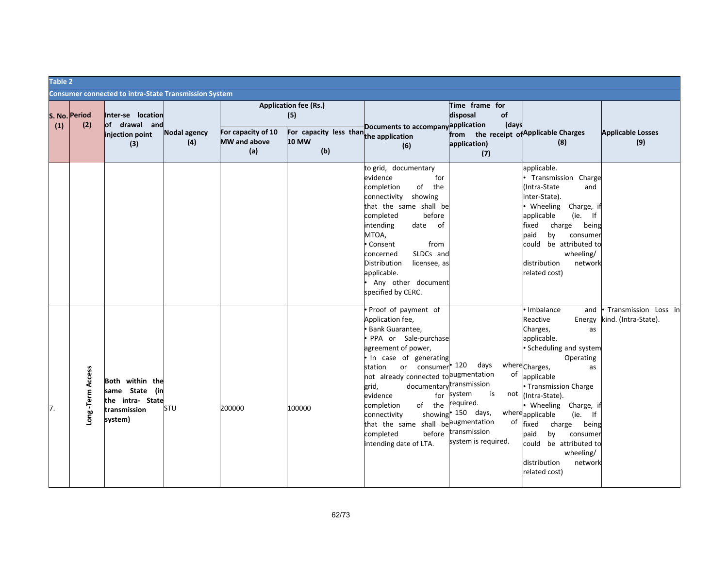| Table 2 |                      |                                                                                  |                            |                                           |                                                                                                      |                                                                                                                                                                                                                                                                                                                                                                               |                                                                                                                                                                 |                                                                                                                                                                                                                                                                                                                                                                                                                   |                                              |  |  |
|---------|----------------------|----------------------------------------------------------------------------------|----------------------------|-------------------------------------------|------------------------------------------------------------------------------------------------------|-------------------------------------------------------------------------------------------------------------------------------------------------------------------------------------------------------------------------------------------------------------------------------------------------------------------------------------------------------------------------------|-----------------------------------------------------------------------------------------------------------------------------------------------------------------|-------------------------------------------------------------------------------------------------------------------------------------------------------------------------------------------------------------------------------------------------------------------------------------------------------------------------------------------------------------------------------------------------------------------|----------------------------------------------|--|--|
|         |                      | <b>Consumer connected to intra-State Transmission System</b>                     |                            |                                           |                                                                                                      |                                                                                                                                                                                                                                                                                                                                                                               |                                                                                                                                                                 |                                                                                                                                                                                                                                                                                                                                                                                                                   |                                              |  |  |
| (1)     | S. No. Period<br>(2) | Inter-se location<br>of drawal and<br>injection point<br>(3)                     | <b>Nodal agency</b><br>(4) | For capacity of 10<br>MW and above<br>(a) | <b>Application fee (Rs.)</b><br>(5)<br>For capacity less than the application<br><b>10 MW</b><br>(b) | Documents to accompanyapplication<br>(6)                                                                                                                                                                                                                                                                                                                                      | Time frame for<br>disposal<br>of<br>(days<br>from the receipt of Applicable Charges<br>application)<br>(7)                                                      | (8)                                                                                                                                                                                                                                                                                                                                                                                                               | <b>Applicable Losses</b><br>(9)              |  |  |
|         |                      |                                                                                  |                            |                                           |                                                                                                      | to grid, documentary<br>evidence<br>for<br>completion<br>of the<br>connectivity showing<br>that the same shall be<br>completed<br>before<br>intending<br>date of<br>MTOA,<br>Consent<br>from<br>concerned<br>SLDCs and<br>Distribution<br>licensee, as<br>applicable.<br>Any other document<br>specified by CERC.                                                             |                                                                                                                                                                 | applicable.<br>Transmission Charge<br>Intra-State<br>and<br>inter-State).<br>Wheeling<br>Charge, it<br>applicable<br>(ie. If<br>fixed<br>charge<br>being<br>paid<br>by<br>consumer<br>be attributed to<br>could<br>wheeling/<br>distribution<br>network<br>related cost)                                                                                                                                          |                                              |  |  |
| 7.      | -Term Access<br>Long | Both within the<br>same State (in<br>the intra- State<br>transmission<br>system) | STU                        | 200000                                    | 100000                                                                                               | Proof of payment of<br>Application fee,<br>Bank Guarantee,<br>PPA or Sale-purchase<br>agreement of power,<br>In case of generating<br>or consumer<br>station<br>not already connected to augmentation<br>grid,<br>evidence<br>for<br>completion<br>of the<br>connectivity<br>that the same shall be <sup>laugmentation</sup><br>before<br>completed<br>intending date of LTA. | days<br>120<br>of<br>documentarytransmission<br>is<br>system<br>not<br>required.<br>showing <sup>•</sup> 150 days,<br>of<br>transmission<br>system is required. | • Imbalance<br>and<br>Reactive<br>Energy<br>Charges,<br>as<br>applicable.<br>· Scheduling and system<br>Operating<br>where <sub>Charges</sub> ,<br>as<br>applicable<br>• Transmission Charge<br>(Intra-State).<br>Wheeling Charge, if<br>whereapplicable<br>$(ie.$ If<br>fixed<br>charge<br>being<br>paid<br>by<br>consumer<br>be attributed to<br>could<br>wheeling/<br>distribution<br>network<br>related cost) | Transmission Loss in<br>kind. (Intra-State). |  |  |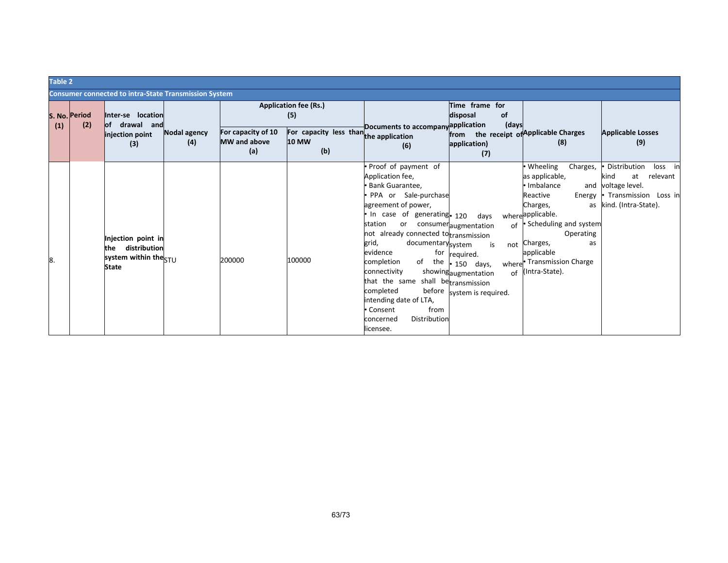|    | Table 2 |                      |                                                                                               |                     |                                                  |                                                               |                                                                                                                                                                                                                                                                                                                                                                                                                                                             |                                                                                                       |                                                                                                                                                                                                                                                                         |                                                                                                                                 |  |  |
|----|---------|----------------------|-----------------------------------------------------------------------------------------------|---------------------|--------------------------------------------------|---------------------------------------------------------------|-------------------------------------------------------------------------------------------------------------------------------------------------------------------------------------------------------------------------------------------------------------------------------------------------------------------------------------------------------------------------------------------------------------------------------------------------------------|-------------------------------------------------------------------------------------------------------|-------------------------------------------------------------------------------------------------------------------------------------------------------------------------------------------------------------------------------------------------------------------------|---------------------------------------------------------------------------------------------------------------------------------|--|--|
|    |         |                      | <b>Consumer connected to intra-State Transmission System</b>                                  |                     |                                                  |                                                               |                                                                                                                                                                                                                                                                                                                                                                                                                                                             |                                                                                                       |                                                                                                                                                                                                                                                                         |                                                                                                                                 |  |  |
|    |         | S. No. Period<br>(2) | Inter-se location<br>of drawal and                                                            |                     |                                                  | <b>Application fee (Rs.)</b><br>(5)                           |                                                                                                                                                                                                                                                                                                                                                                                                                                                             | Time frame for<br>disposal<br><b>of</b><br>(days                                                      |                                                                                                                                                                                                                                                                         |                                                                                                                                 |  |  |
|    | (1)     |                      | injection point<br>(3)                                                                        | Nodal agency<br>(4) | For capacity of 10<br><b>MW</b> and above<br>(a) | For capacity less than the application<br><b>10 MW</b><br>(b) | Documents to accompanyapplication<br>(6)                                                                                                                                                                                                                                                                                                                                                                                                                    | from the receipt of Applicable Charges<br>application)<br>(7)                                         | (8)                                                                                                                                                                                                                                                                     | <b>Applicable Losses</b><br>(9)                                                                                                 |  |  |
| 8. |         |                      | Injection point in<br>distribution<br>the<br>system within the <sub>STU</sub><br><b>State</b> |                     | 200000                                           | 100000                                                        | • Proof of payment of<br>Application fee,<br>· Bank Guarantee,<br>· PPA or Sale-purchase<br>agreement of power,<br>. In case of generating. 120<br>station<br>or consumeraugmentation<br>not already connected totransmission<br>grid,<br>documentarysystem<br>evidence<br>completion<br>of the<br>connectivity<br>that the same shall betransmission<br>completed<br>intending date of LTA,<br>• Consent<br>from<br>Distribution<br>concerned<br>licensee. | days<br>is<br>for required.<br>$\cdot$ 150 days,<br>showingaugmentation<br>before system is required. | • Wheeling<br>Charges,<br>as applicable,<br>• Imbalance<br>Reactive<br>Energy<br>Charges,<br>where <sup>applicable.</sup><br>of • Scheduling and system<br>Operating<br>not Charges,<br>as<br>applicable<br>where <sup>•</sup> Transmission Charge<br>of (Intra-State). | Distribution<br>loss<br>in<br>relevant<br>at<br>kind<br>and voltage level.<br>• Transmission Loss in<br>as kind. (Intra-State). |  |  |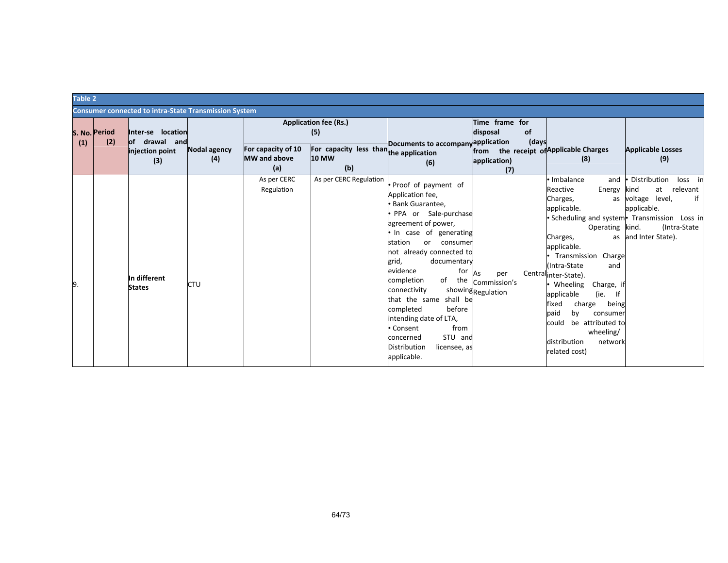|     | Table 2              |                                                              |                            |                                                  |                                                        |                                                                                                                                                                                                                                                                                                                                                                                                                                                        |                                                               |                                                                                                                                                                                                                                                                                                                                                                                               |                                                                                                                                                                                     |
|-----|----------------------|--------------------------------------------------------------|----------------------------|--------------------------------------------------|--------------------------------------------------------|--------------------------------------------------------------------------------------------------------------------------------------------------------------------------------------------------------------------------------------------------------------------------------------------------------------------------------------------------------------------------------------------------------------------------------------------------------|---------------------------------------------------------------|-----------------------------------------------------------------------------------------------------------------------------------------------------------------------------------------------------------------------------------------------------------------------------------------------------------------------------------------------------------------------------------------------|-------------------------------------------------------------------------------------------------------------------------------------------------------------------------------------|
|     |                      | <b>Consumer connected to intra-State Transmission System</b> |                            |                                                  |                                                        |                                                                                                                                                                                                                                                                                                                                                                                                                                                        |                                                               |                                                                                                                                                                                                                                                                                                                                                                                               |                                                                                                                                                                                     |
| (1) | S. No. Period<br>(2) | Inter-se location<br>of drawal and                           |                            |                                                  | <b>Application fee (Rs.)</b><br>(5)                    | Documents to accompanyapplication                                                                                                                                                                                                                                                                                                                                                                                                                      | Time frame for<br>disposal<br>of<br>(days                     |                                                                                                                                                                                                                                                                                                                                                                                               |                                                                                                                                                                                     |
|     |                      | injection point<br>(3)                                       | <b>Nodal agency</b><br>(4) | For capacity of 10<br><b>MW</b> and above<br>(a) | For capacity less than the application<br>10 MW<br>(b) | (6)                                                                                                                                                                                                                                                                                                                                                                                                                                                    | from the receipt of Applicable Charges<br>application)<br>(7) | (8)                                                                                                                                                                                                                                                                                                                                                                                           | <b>Applicable Losses</b><br>(9)                                                                                                                                                     |
| 9.  |                      | In different<br><b>States</b>                                | CTU                        | As per CERC<br>Regulation                        | As per CERC Regulation                                 | • Proof of payment of<br>Application fee,<br>Bank Guarantee,<br>PPA or Sale-purchase<br>agreement of power,<br>· In case of generating<br>station<br>or consumer<br>not already connected to<br>grid,<br>documentary<br>evidence<br>for<br>of the<br>completion<br>connectivity<br>that the same shall be<br>completed<br>before<br>intending date of LTA,<br>from<br>• Consent<br>STU and<br>concerned<br>Distribution<br>licensee, as<br>applicable. | As<br>per<br>Commission's<br>showingRegulation                | Imbalance<br>and<br>Reactive<br>Energy<br>Charges,<br>as<br>applicable.<br>Operating kind.<br>Charges,<br>applicable.<br>Transmission Charge<br>Intra-State<br>and<br>Centralinter-State).<br>Wheeling<br>Charge, i<br>applicable<br>(ie.<br>- If<br>fixed<br>being<br>charge<br>paid<br>by<br>consumer<br>be attributed to<br>could<br>wheeling/<br>distribution<br>network<br>related cost) | Distribution<br>loss in<br>at<br>relevant<br>kind<br>voltage level,<br>if<br>applicable.<br>• Scheduling and system • Transmission Loss in<br>(Intra-State)<br>as and Inter State). |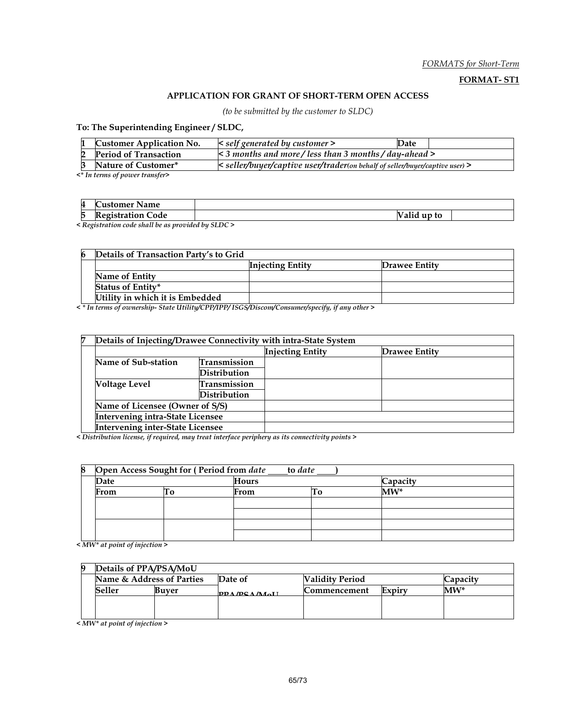#### FORMATS for Short-Term

#### FORMAT- ST1

#### APPLICATION FOR GRANT OF SHORT-TERM OPEN ACCESS

(to be submitted by the customer to SLDC)

To: The Superintending Engineer / SLDC,

| <b>Customer Application No.</b> | $\leq$ self generated by customer $\geq$                                     | Date |  |  |  |
|---------------------------------|------------------------------------------------------------------------------|------|--|--|--|
| <b>Period of Transaction</b>    | $\leq$ 3 months and more/less than 3 months/day-ahead $>$                    |      |  |  |  |
| Nature of Customer*             | < seller/buyer/captive user/trader(on behalf of seller/buyer/captive user) > |      |  |  |  |
|                                 |                                                                              |      |  |  |  |

<\* In terms of power transfer>

| 4 | <b>Name</b><br>ustomer |              |  |
|---|------------------------|--------------|--|
| 5 | ode<br>.               | up to<br>anu |  |

< Registration code shall be as provided by SLDC >

| 6 | Details of Transaction Party's to Grid |                         |               |
|---|----------------------------------------|-------------------------|---------------|
|   |                                        | <b>Injecting Entity</b> | Drawee Entity |
|   | Name of Entity                         |                         |               |
|   | Status of Entity*                      |                         |               |
|   | Utility in which it is Embedded        |                         |               |

< \* In terms of ownership- State Utility/CPP/IPP/ ISGS/Discom/Consumer/specify, if any other >

| 7 | Details of Injecting/Drawee Connectivity with intra-State System |                     |                         |               |  |
|---|------------------------------------------------------------------|---------------------|-------------------------|---------------|--|
|   |                                                                  |                     | <b>Injecting Entity</b> | Drawee Entity |  |
|   | Name of Sub-station                                              | <b>Transmission</b> |                         |               |  |
|   |                                                                  | Distribution        |                         |               |  |
|   | <b>Voltage Level</b>                                             | <b>Transmission</b> |                         |               |  |
|   |                                                                  | Distribution        |                         |               |  |
|   | Name of Licensee (Owner of S/S)                                  |                     |                         |               |  |
|   | <b>Intervening intra-State Licensee</b>                          |                     |                         |               |  |
|   | Intervening inter-State Licensee                                 |                     |                         |               |  |

< Distribution license, if required, may treat interface periphery as its connectivity points >

| 8 |      | Open Access Sought for (Period from date | to date      |  |          |
|---|------|------------------------------------------|--------------|--|----------|
|   | Date |                                          | <b>Hours</b> |  | Capacity |
|   | From |                                          | From         |  | $MW^*$   |
|   |      |                                          |              |  |          |
|   |      |                                          |              |  |          |
|   |      |                                          |              |  |          |
|   |      |                                          |              |  |          |

< MW\* at point of injection >

|        | Details of PPA/PSA/MoU    |                     |                        |          |
|--------|---------------------------|---------------------|------------------------|----------|
|        | Name & Address of Parties | Date of             | <b>Validity Period</b> | Capacity |
| Seller | Buver                     | <b>DDA/DCA/MALL</b> | Expiry<br>Commencement | $MW^*$   |
|        |                           |                     |                        |          |
|        |                           |                     |                        |          |

< MW\* at point of injection >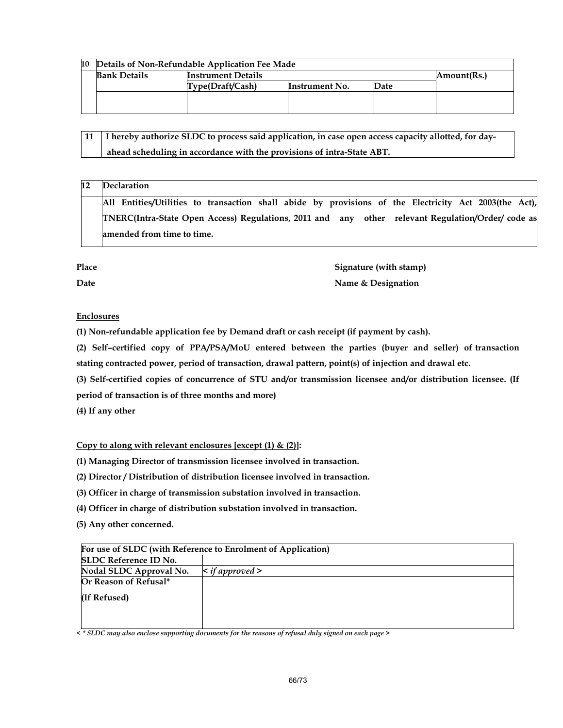| 10 | Details of Non-Refundable Application Fee Made |                           |                |             |  |  |
|----|------------------------------------------------|---------------------------|----------------|-------------|--|--|
|    | <b>Bank Details</b>                            | <b>Instrument Details</b> |                | Amount(Rs.) |  |  |
|    |                                                | Type(Draft/Cash)          | Instrument No. | Date        |  |  |
|    |                                                |                           |                |             |  |  |
|    |                                                |                           |                |             |  |  |

| 11 I hereby authorize SLDC to process said application, in case open access capacity allotted, for day- |
|---------------------------------------------------------------------------------------------------------|
| ahead scheduling in accordance with the provisions of intra-State ABT.                                  |

#### 12 Declaration

All Entities/Utilities to transaction shall abide by provisions of the Electricity Act 2003(the Act), TNERC(Intra-State Open Access) Regulations, 2011 and any other relevant Regulation/Order/ code as amended from time to time.

| Place | Signature (with stamp) |
|-------|------------------------|
| Date  | Name & Designation     |

#### **Enclosures**

(1) Non-refundable application fee by Demand draft or cash receipt (if payment by cash).

(2) Self–certified copy of PPA/PSA/MoU entered between the parties (buyer and seller) of transaction stating contracted power, period of transaction, drawal pattern, point(s) of injection and drawal etc.

(3) Self-certified copies of concurrence of STU and/or transmission licensee and/or distribution licensee. (If

period of transaction is of three months and more)

(4) If any other

Copy to along with relevant enclosures [except  $(1)$  &  $(2)$ ]:

(1) Managing Director of transmission licensee involved in transaction.

(2) Director / Distribution of distribution licensee involved in transaction.

(3) Officer in charge of transmission substation involved in transaction.

(4) Officer in charge of distribution substation involved in transaction.

(5) Any other concerned.

| For use of SLDC (with Reference to Enrolment of Application) |                           |  |  |
|--------------------------------------------------------------|---------------------------|--|--|
| <b>SLDC Reference ID No.</b>                                 |                           |  |  |
| Nodal SLDC Approval No.                                      | $\leq$ if approved $\geq$ |  |  |
| Or Reason of Refusal*                                        |                           |  |  |
| (If Refused)                                                 |                           |  |  |
|                                                              |                           |  |  |
|                                                              |                           |  |  |

 $\prec$  \* SLDC may also enclose supporting documents for the reasons of refusal duly signed on each page >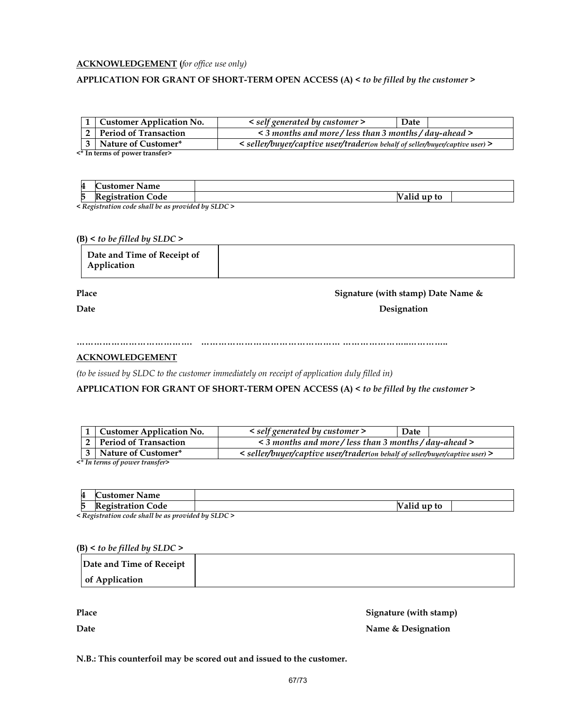#### **ACKNOWLEDGEMENT** (for office use only)

#### APPLICATION FOR GRANT OF SHORT-TERM OPEN ACCESS (A) < to be filled by the customer >

|                       | 1 Customer Application No.     | < self generated by customer >                                               | Date |  |  |  |
|-----------------------|--------------------------------|------------------------------------------------------------------------------|------|--|--|--|
|                       | 2   Period of Transaction      | $\leq$ 3 months and more/less than 3 months/day-ahead $>$                    |      |  |  |  |
| 3 Nature of Customer* |                                | < seller/buyer/captive user/trader(on behalf of seller/buyer/captive user) > |      |  |  |  |
|                       | <* In terms of power transfer> |                                                                              |      |  |  |  |

**Customer Name** 5 Registration Code Valid up to

< Registration code shall be as provided by SLDC >

#### $(B)$  < to be filled by SLDC >

#### Place Signature (with stamp) Date Name &

Date Designation and Designation and Designation and Designation and Designation and Designation and Designation

…………………………………. ………………………………………… …………………..…………..

#### ACKNOWLEDGEMENT

(to be issued by SLDC to the customer immediately on receipt of application duly filled in)

APPLICATION FOR GRANT OF SHORT-TERM OPEN ACCESS (A) < to be filled by the customer >

| 1   Customer Application No.                                                                          | < self generated by customer >                              | Date |  |  |
|-------------------------------------------------------------------------------------------------------|-------------------------------------------------------------|------|--|--|
| 2 Period of Transaction                                                                               | $\leq$ 3 months and more / less than 3 months / day-ahead > |      |  |  |
| 3 Nature of Customer*<br>< seller/buyer/captive user/trader(on behalf of seller/buyer/captive user) > |                                                             |      |  |  |
| $2*$ In taung of normal tuanoface                                                                     |                                                             |      |  |  |

<\* In terms of power transfer>

| 4            | <b>Name</b><br>ustomer                       |                                    |  |
|--------------|----------------------------------------------|------------------------------------|--|
| −<br>þ       | −<br>Code<br>'aaistration<br>egistration<br> | $\cdot$<br>to<br>u<br>'allu        |  |
| $\mathbf{r}$ | 77.7<br>.                                    | $\cdots$<br>$\alpha$ rn $\alpha$ . |  |

< Registration code shall be as provided by SLDC >

#### $(B)$  < to be filled by SLDC >

| Date and Time of Receipt |  |
|--------------------------|--|
| of Application           |  |

Place Signature (with stamp) Date **Name & Designation** 

N.B.: This counterfoil may be scored out and issued to the customer.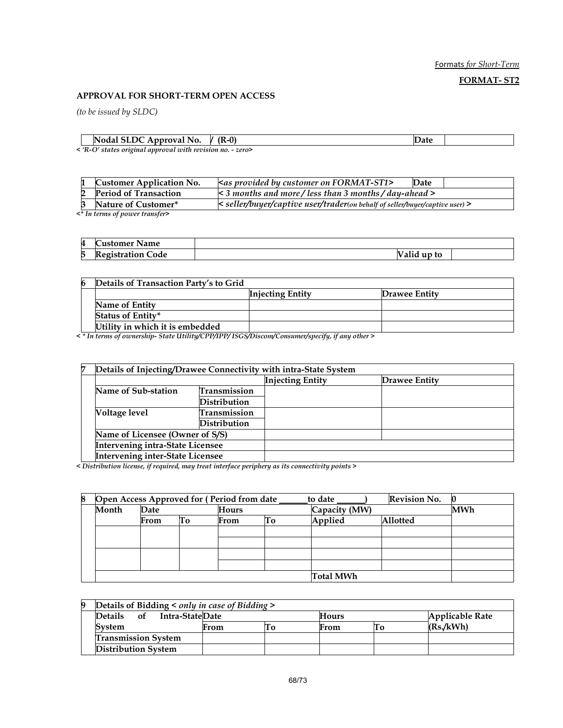Formats for Short-Term

FORMAT- ST2

#### APPROVAL FOR SHORT-TERM OPEN ACCESS

(to be issued by SLDC)

| Nodal SLDC Approval No.                                       | $(R-0)$<br>v | . |  |
|---------------------------------------------------------------|--------------|---|--|
| $\sim$ P $O$ states original annuaral with revision no $\sim$ |              |   |  |

< 'R-O' states original approval with revision no. - zero>

| <b>Customer Application No.</b> | kas provided by customer on FORMAT-ST1>                                             | Date |  |  |  |  |
|---------------------------------|-------------------------------------------------------------------------------------|------|--|--|--|--|
| <b>Period of Transaction</b>    | $\leq$ 3 months and more/less than 3 months/day-ahead >                             |      |  |  |  |  |
| 3 Nature of Customer*           | $\kappa$ seller/buyer/captive user/trader(on behalf of seller/buyer/captive user) > |      |  |  |  |  |
| A In torme of nornor trancfors  |                                                                                     |      |  |  |  |  |

<\* In terms of power transfer>

| 4 | $\sim$<br><b>Customer Name</b> |            |  |
|---|--------------------------------|------------|--|
| p | R<br>ode<br>ceoistratior<br>   | alid up to |  |

| 6 | Details of Transaction Party's to Grid |                         |               |
|---|----------------------------------------|-------------------------|---------------|
|   |                                        | <b>Injecting Entity</b> | Drawee Entity |
|   | Name of Entity                         |                         |               |
|   | Status of Entity*                      |                         |               |
|   | Utility in which it is embedded        |                         |               |

< \* In terms of ownership- State Utility/CPP/IPP/ ISGS/Discom/Consumer/specify, if any other >

| 7 | Details of Injecting/Drawee Connectivity with intra-State System |                     |                         |               |  |
|---|------------------------------------------------------------------|---------------------|-------------------------|---------------|--|
|   |                                                                  |                     | <b>Injecting Entity</b> | Drawee Entity |  |
|   | Name of Sub-station                                              | <b>Transmission</b> |                         |               |  |
|   |                                                                  | Distribution        |                         |               |  |
|   | Voltage level                                                    | Transmission        |                         |               |  |
|   |                                                                  | Distribution        |                         |               |  |
|   | Name of Licensee (Owner of S/S)                                  |                     |                         |               |  |
|   | <b>Intervening intra-State Licensee</b>                          |                     |                         |               |  |
|   | <b>Intervening inter-State Licensee</b>                          |                     |                         |               |  |

< Distribution license, if required, may treat interface periphery as its connectivity points >

| 8 | Open Access Approved for (Period from date |      |    |              |    | <b>Revision No.</b><br>to date |                 |            |
|---|--------------------------------------------|------|----|--------------|----|--------------------------------|-----------------|------------|
|   | Month<br>Date                              |      |    | <b>Hours</b> |    | Capacity (MW)                  |                 | <b>MWh</b> |
|   |                                            | From | Γо | From         | Тo | Applied                        | <b>Allotted</b> |            |
|   |                                            |      |    |              |    |                                |                 |            |
|   |                                            |      |    |              |    |                                |                 |            |
|   |                                            |      |    |              |    |                                |                 |            |
|   |                                            |      |    |              |    |                                |                 |            |
|   |                                            |      |    |              |    | <b>Total MWh</b>               |                 |            |

#### 9 Details of Bidding < only in case of Bidding >

| <b>Details</b><br>Intra-StateDate<br><b>of</b> |      |  | <b>Hours</b> |  | Applicable Rate |  |  |
|------------------------------------------------|------|--|--------------|--|-----------------|--|--|
| System                                         | From |  | From         |  | (Rs.KWh)        |  |  |
| <b>Transmission System</b>                     |      |  |              |  |                 |  |  |
| <b>Distribution System</b>                     |      |  |              |  |                 |  |  |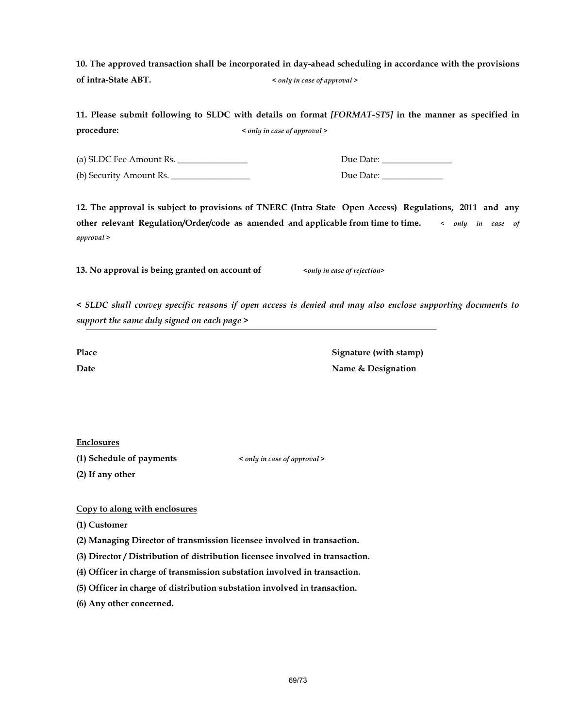10. The approved transaction shall be incorporated in day-ahead scheduling in accordance with the provisions of intra-State ABT.  $\leq$  only in case of approval >

|            | 11. Please submit following to SLDC with details on format [FORMAT-ST5] in the manner as specified in |  |
|------------|-------------------------------------------------------------------------------------------------------|--|
| procedure: | < only in case of approval >                                                                          |  |

(a) SLDC Fee Amount Rs. \_\_\_\_\_\_\_\_\_\_\_\_\_\_\_\_ Due Date: \_\_\_\_\_\_\_\_\_\_\_\_\_\_\_\_

(b) Security Amount Rs. \_\_\_\_\_\_\_\_\_\_\_\_\_\_\_\_\_\_ Due Date: \_\_\_\_\_\_\_\_\_\_\_\_\_\_

12. The approval is subject to provisions of TNERC (Intra State Open Access) Regulations, 2011 and any other relevant Regulation/Order/code as amended and applicable from time to time.  $\langle$  only in case of approval >

13. No approval is being granted on account of  $\langle \text{only in case of rejection} \rangle$ 

< SLDC shall convey specific reasons if open access is denied and may also enclose supporting documents to support the same duly signed on each page >

Place Signature (with stamp) Date **Name & Designation** 

**Enclosures** 

(1) Schedule of payments < only in case of approval >

(2) If any other

Copy to along with enclosures

(1) Customer

(2) Managing Director of transmission licensee involved in transaction.

(3) Director / Distribution of distribution licensee involved in transaction.

(4) Officer in charge of transmission substation involved in transaction.

(5) Officer in charge of distribution substation involved in transaction.

(6) Any other concerned.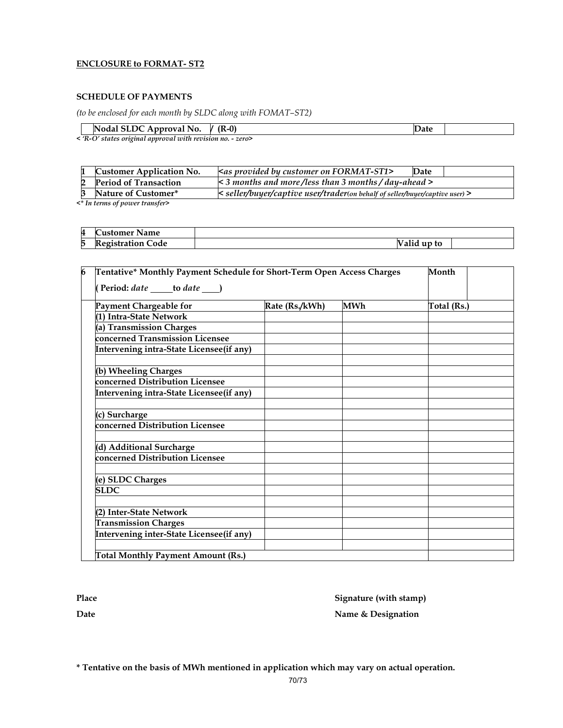#### ENCLOSURE to FORMAT- ST2

#### SCHEDULE OF PAYMENTS

(to be enclosed for each month by SLDC along with FOMAT–ST2)

| val No.<br>INoda:<br>Approval<br>$\cdots$ $\cdots$ $\cdots$ $\cdots$ $\cdots$ $\cdots$ | $\sqrt{2}$<br>-0)<br>- (K<br>$\mathbf{z}$ |  |
|----------------------------------------------------------------------------------------|-------------------------------------------|--|
| $\cdot$ $\sim$ $\cdot$ $\cdot$<br>.                                                    |                                           |  |

< 'R-O' states original approval with revision no. - zero>

|                                     | <b>Customer Application No.</b> | <as by="" customer="" format-st1="" on="" provided=""></as>                         | Date |  |  |  |
|-------------------------------------|---------------------------------|-------------------------------------------------------------------------------------|------|--|--|--|
|                                     | <b>Period of Transaction</b>    | $\leq$ 3 months and more/less than 3 months/day-ahead >                             |      |  |  |  |
|                                     | Nature of Customer*             | $\kappa$ seller/buyer/captive user/trader(on behalf of seller/buyer/captive user) > |      |  |  |  |
| $2*$ In tanners of norman tuanofans |                                 |                                                                                     |      |  |  |  |

<\* In terms of power transfer>

| $\boldsymbol{\Lambda}$<br>ш | -<br><b>Name</b><br>Customer               |                  |  |
|-----------------------------|--------------------------------------------|------------------|--|
| 5                           | Code<br>agustration.<br>ation<br>2.IJ LL 6 | 'V<br>alid up to |  |

| 6 | Tentative* Monthly Payment Schedule for Short-Term Open Access Charges<br>Month |             |  |  |  |  |  |
|---|---------------------------------------------------------------------------------|-------------|--|--|--|--|--|
|   | (Period: $date$ _____ to date _____)                                            |             |  |  |  |  |  |
|   | Payment Chargeable for                                                          | Total (Rs.) |  |  |  |  |  |
|   | (1) Intra-State Network                                                         |             |  |  |  |  |  |
|   | (a) Transmission Charges                                                        |             |  |  |  |  |  |
|   | concerned Transmission Licensee                                                 |             |  |  |  |  |  |
|   | Intervening intra-State Licensee(if any)                                        |             |  |  |  |  |  |
|   |                                                                                 |             |  |  |  |  |  |
|   | (b) Wheeling Charges                                                            |             |  |  |  |  |  |
|   | concerned Distribution Licensee                                                 |             |  |  |  |  |  |
|   | Intervening intra-State Licensee(if any)                                        |             |  |  |  |  |  |
|   |                                                                                 |             |  |  |  |  |  |
|   | (c) Surcharge                                                                   |             |  |  |  |  |  |
|   | concerned Distribution Licensee                                                 |             |  |  |  |  |  |
|   |                                                                                 |             |  |  |  |  |  |
|   | (d) Additional Surcharge                                                        |             |  |  |  |  |  |
|   | concerned Distribution Licensee                                                 |             |  |  |  |  |  |
|   |                                                                                 |             |  |  |  |  |  |
|   | (e) SLDC Charges                                                                |             |  |  |  |  |  |
|   | <b>SLDC</b>                                                                     |             |  |  |  |  |  |
|   |                                                                                 |             |  |  |  |  |  |
|   | (2) Inter-State Network                                                         |             |  |  |  |  |  |
|   | <b>Transmission Charges</b>                                                     |             |  |  |  |  |  |
|   | <b>Intervening inter-State Licensee(if any)</b>                                 |             |  |  |  |  |  |
|   |                                                                                 |             |  |  |  |  |  |
|   | <b>Total Monthly Payment Amount (Rs.)</b>                                       |             |  |  |  |  |  |

Place Signature (with stamp) Date Name & Designation

\* Tentative on the basis of MWh mentioned in application which may vary on actual operation.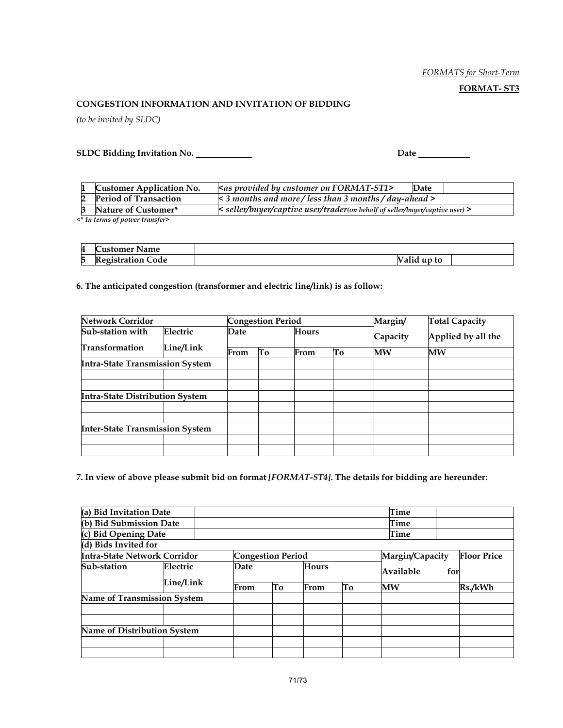#### FORMATS for Short-Term

#### FORMAT- ST3

#### CONGESTION INFORMATION AND INVITATION OF BIDDING

(to be invited by SLDC)

SLDC Bidding Invitation No. Date

|                                     | <b>Customer Application No.</b> | <as by="" customer="" format-st1="" on="" provided=""></as>                  | Date |  |  |  |
|-------------------------------------|---------------------------------|------------------------------------------------------------------------------|------|--|--|--|
|                                     | <b>Period of Transaction</b>    | $\lt 3$ months and more/less than 3 months/day-ahead >                       |      |  |  |  |
|                                     | Nature of Customer*             | < seller/buyer/captive user/trader(on behalf of seller/buyer/captive user) > |      |  |  |  |
| $2*$ In tanners of norman tuanofans |                                 |                                                                              |      |  |  |  |

<\* In terms of power transfer>

| 4 | ' Name<br>ustomer :    |                 |  |
|---|------------------------|-----------------|--|
| 5 | lode<br>ratınn<br>ISTF | v<br>alid up to |  |

#### 6. The anticipated congestion (transformer and electric line/link) is as follow:

| <b>Network Corridor</b>                |                       | <b>Congestion Period</b> |    |              |    | <b>Total Capacity</b> |                    |  |
|----------------------------------------|-----------------------|--------------------------|----|--------------|----|-----------------------|--------------------|--|
| Sub-station with                       | Electric<br>Line/Link | Date                     |    | <b>Hours</b> |    | Capacity              | Applied by all the |  |
| <b>Transformation</b>                  |                       | From                     | To | From         | To | $M\bar{W}$            | <b>MW</b>          |  |
| <b>Intra-State Transmission System</b> |                       |                          |    |              |    |                       |                    |  |
|                                        |                       |                          |    |              |    |                       |                    |  |
|                                        |                       |                          |    |              |    |                       |                    |  |
| <b>Intra-State Distribution System</b> |                       |                          |    |              |    |                       |                    |  |
|                                        |                       |                          |    |              |    |                       |                    |  |
|                                        |                       |                          |    |              |    |                       |                    |  |
| <b>Inter-State Transmission System</b> |                       |                          |    |              |    |                       |                    |  |
|                                        |                       |                          |    |              |    |                       |                    |  |
|                                        |                       |                          |    |              |    |                       |                    |  |

7. In view of above please submit bid on format [FORMAT-ST4]. The details for bidding are hereunder:

| (a) Bid Invitation Date             |          |                          |    |              |    | Time            |                    |
|-------------------------------------|----------|--------------------------|----|--------------|----|-----------------|--------------------|
| (b) Bid Submission Date             |          | Time                     |    |              |    |                 |                    |
| (c) Bid Opening Date                |          |                          |    |              |    | Time            |                    |
| (d) Bids Invited for                |          |                          |    |              |    |                 |                    |
| <b>Intra-State Network Corridor</b> |          | <b>Congestion Period</b> |    |              |    | Margin/Capacity | <b>Floor Price</b> |
| Sub-station                         | Electric | Date                     |    | <b>Hours</b> |    | Available       | for                |
| Line/Link                           |          | From                     | To | From         | Tо | <b>MW</b>       | Rs./kWh            |
| <b>Name of Transmission System</b>  |          |                          |    |              |    |                 |                    |
|                                     |          |                          |    |              |    |                 |                    |
| Name of Distribution System         |          |                          |    |              |    |                 |                    |
|                                     |          |                          |    |              |    |                 |                    |
|                                     |          |                          |    |              |    |                 |                    |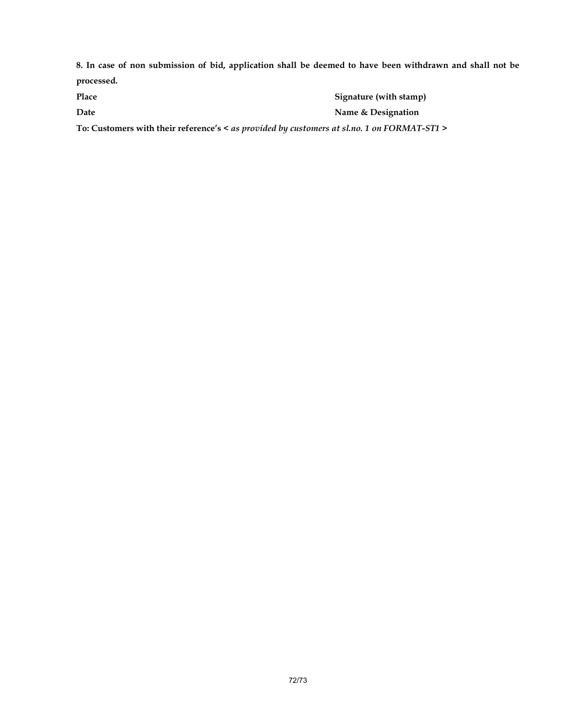8. In case of non submission of bid, application shall be deemed to have been withdrawn and shall not be processed.

| Place                                                                                       | Signature (with stamp) |
|---------------------------------------------------------------------------------------------|------------------------|
| Date                                                                                        | Name & Designation     |
| To: Customers with their reference's < as provided by customers at sl.no. 1 on FORMAT-ST1 > |                        |